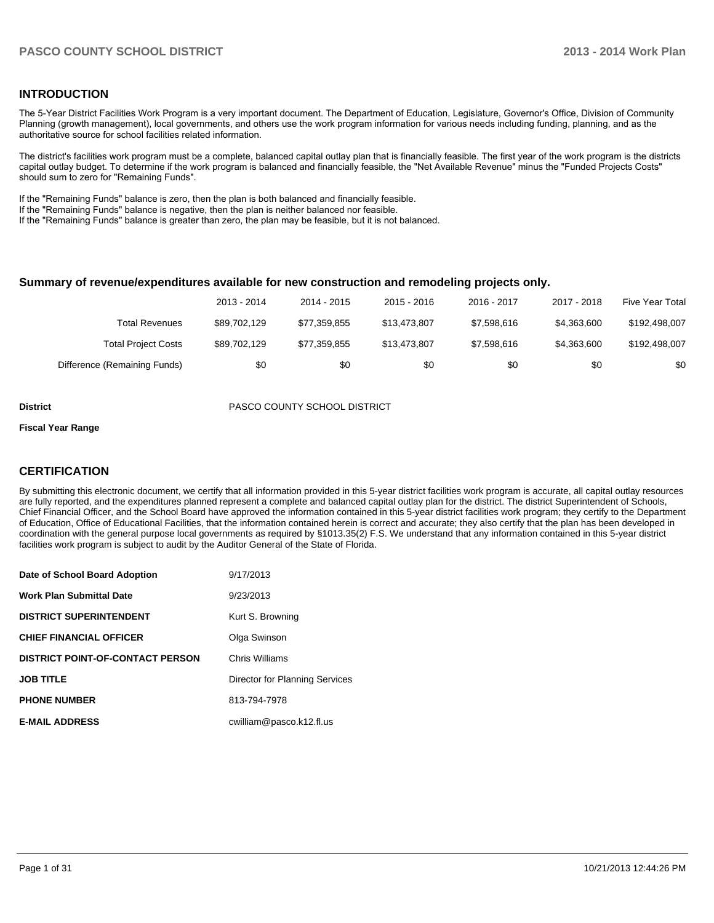#### **INTRODUCTION**

The 5-Year District Facilities Work Program is a very important document. The Department of Education, Legislature, Governor's Office, Division of Community Planning (growth management), local governments, and others use the work program information for various needs including funding, planning, and as the authoritative source for school facilities related information.

The district's facilities work program must be a complete, balanced capital outlay plan that is financially feasible. The first year of the work program is the districts capital outlay budget. To determine if the work program is balanced and financially feasible, the "Net Available Revenue" minus the "Funded Projects Costs" should sum to zero for "Remaining Funds".

If the "Remaining Funds" balance is zero, then the plan is both balanced and financially feasible.

If the "Remaining Funds" balance is negative, then the plan is neither balanced nor feasible.

If the "Remaining Funds" balance is greater than zero, the plan may be feasible, but it is not balanced.

#### **Summary of revenue/expenditures available for new construction and remodeling projects only.**

|                              | 2013 - 2014  | 2014 - 2015  | $2015 - 2016$ | 2016 - 2017 | 2017 - 2018 | Five Year Total |
|------------------------------|--------------|--------------|---------------|-------------|-------------|-----------------|
| Total Revenues               | \$89,702,129 | \$77.359.855 | \$13.473.807  | \$7.598.616 | \$4.363.600 | \$192,498,007   |
| <b>Total Project Costs</b>   | \$89,702,129 | \$77.359.855 | \$13.473.807  | \$7.598.616 | \$4.363.600 | \$192.498.007   |
| Difference (Remaining Funds) | \$0          | \$0          | \$0           | \$0         | \$0         | \$0             |

**District** PASCO COUNTY SCHOOL DISTRICT

#### **Fiscal Year Range**

#### **CERTIFICATION**

By submitting this electronic document, we certify that all information provided in this 5-year district facilities work program is accurate, all capital outlay resources are fully reported, and the expenditures planned represent a complete and balanced capital outlay plan for the district. The district Superintendent of Schools, Chief Financial Officer, and the School Board have approved the information contained in this 5-year district facilities work program; they certify to the Department of Education, Office of Educational Facilities, that the information contained herein is correct and accurate; they also certify that the plan has been developed in coordination with the general purpose local governments as required by §1013.35(2) F.S. We understand that any information contained in this 5-year district facilities work program is subject to audit by the Auditor General of the State of Florida.

| Date of School Board Adoption           | 9/17/2013                      |
|-----------------------------------------|--------------------------------|
| <b>Work Plan Submittal Date</b>         | 9/23/2013                      |
| <b>DISTRICT SUPERINTENDENT</b>          | Kurt S. Browning               |
| <b>CHIEF FINANCIAL OFFICER</b>          | Olga Swinson                   |
| <b>DISTRICT POINT-OF-CONTACT PERSON</b> | Chris Williams                 |
| <b>JOB TITLE</b>                        | Director for Planning Services |
| <b>PHONE NUMBER</b>                     | 813-794-7978                   |
| <b>E-MAIL ADDRESS</b>                   | cwilliam@pasco.k12.fl.us       |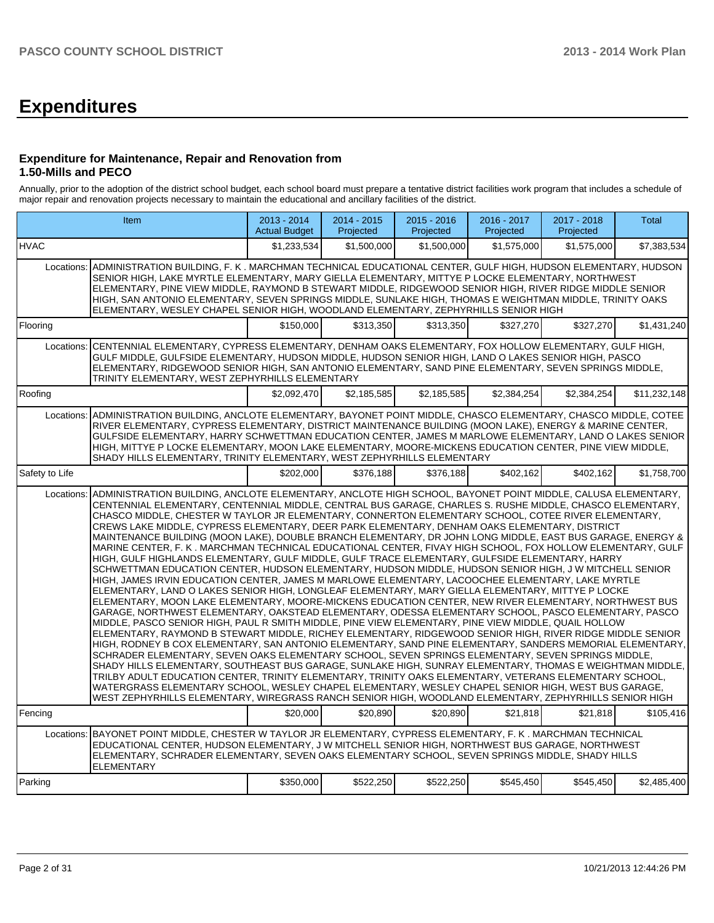# **Expenditures**

#### **Expenditure for Maintenance, Repair and Renovation from 1.50-Mills and PECO**

Annually, prior to the adoption of the district school budget, each school board must prepare a tentative district facilities work program that includes a schedule of major repair and renovation projects necessary to maintain the educational and ancillary facilities of the district.

|                | Item                                                                                                                                                                                                                                                                                                                                                                                                                                                                                                                                                                                                                                                                                                                                                                                                                                                                                                                                                                                                                                                                                                                                                                                                                                                                                                                                                                                                                                                                                                                                                                                                                                                                                                                                                                                                                                                                                                                                                                                                                                                                                                                                                                                  | $2013 - 2014$<br><b>Actual Budget</b> | $2014 - 2015$<br>Projected | $2015 - 2016$<br>Projected | $2016 - 2017$<br>Projected | 2017 - 2018<br>Projected | <b>Total</b> |  |  |  |
|----------------|---------------------------------------------------------------------------------------------------------------------------------------------------------------------------------------------------------------------------------------------------------------------------------------------------------------------------------------------------------------------------------------------------------------------------------------------------------------------------------------------------------------------------------------------------------------------------------------------------------------------------------------------------------------------------------------------------------------------------------------------------------------------------------------------------------------------------------------------------------------------------------------------------------------------------------------------------------------------------------------------------------------------------------------------------------------------------------------------------------------------------------------------------------------------------------------------------------------------------------------------------------------------------------------------------------------------------------------------------------------------------------------------------------------------------------------------------------------------------------------------------------------------------------------------------------------------------------------------------------------------------------------------------------------------------------------------------------------------------------------------------------------------------------------------------------------------------------------------------------------------------------------------------------------------------------------------------------------------------------------------------------------------------------------------------------------------------------------------------------------------------------------------------------------------------------------|---------------------------------------|----------------------------|----------------------------|----------------------------|--------------------------|--------------|--|--|--|
| <b>HVAC</b>    |                                                                                                                                                                                                                                                                                                                                                                                                                                                                                                                                                                                                                                                                                                                                                                                                                                                                                                                                                                                                                                                                                                                                                                                                                                                                                                                                                                                                                                                                                                                                                                                                                                                                                                                                                                                                                                                                                                                                                                                                                                                                                                                                                                                       | \$1,233,534                           | \$1,500,000                | \$1.500.000                | \$1,575,000                | \$1,575,000              | \$7,383,534  |  |  |  |
| Locations:     | LADMINISTRATION BUILDING. F. K . MARCHMAN TECHNICAL EDUCATIONAL CENTER. GULF HIGH. HUDSON ELEMENTARY. HUDSON<br>SENIOR HIGH, LAKE MYRTLE ELEMENTARY, MARY GIELLA ELEMENTARY, MITTYE P LOCKE ELEMENTARY, NORTHWEST<br>ELEMENTARY, PINE VIEW MIDDLE, RAYMOND B STEWART MIDDLE, RIDGEWOOD SENIOR HIGH, RIVER RIDGE MIDDLE SENIOR<br>HIGH, SAN ANTONIO ELEMENTARY, SEVEN SPRINGS MIDDLE, SUNLAKE HIGH, THOMAS E WEIGHTMAN MIDDLE, TRINITY OAKS<br>ELEMENTARY, WESLEY CHAPEL SENIOR HIGH, WOODLAND ELEMENTARY, ZEPHYRHILLS SENIOR HIGH                                                                                                                                                                                                                                                                                                                                                                                                                                                                                                                                                                                                                                                                                                                                                                                                                                                                                                                                                                                                                                                                                                                                                                                                                                                                                                                                                                                                                                                                                                                                                                                                                                                     |                                       |                            |                            |                            |                          |              |  |  |  |
| Flooring       |                                                                                                                                                                                                                                                                                                                                                                                                                                                                                                                                                                                                                                                                                                                                                                                                                                                                                                                                                                                                                                                                                                                                                                                                                                                                                                                                                                                                                                                                                                                                                                                                                                                                                                                                                                                                                                                                                                                                                                                                                                                                                                                                                                                       | \$150,000                             | \$313,350                  | \$313,350                  | \$327,270                  | \$327,270                | \$1,431,240  |  |  |  |
| Locations:     | CENTENNIAL ELEMENTARY, CYPRESS ELEMENTARY, DENHAM OAKS ELEMENTARY, FOX HOLLOW ELEMENTARY, GULF HIGH,<br>GULF MIDDLE, GULFSIDE ELEMENTARY, HUDSON MIDDLE, HUDSON SENIOR HIGH, LAND O LAKES SENIOR HIGH, PASCO<br>ELEMENTARY, RIDGEWOOD SENIOR HIGH, SAN ANTONIO ELEMENTARY, SAND PINE ELEMENTARY, SEVEN SPRINGS MIDDLE,<br>TRINITY ELEMENTARY, WEST ZEPHYRHILLS ELEMENTARY                                                                                                                                                                                                                                                                                                                                                                                                                                                                                                                                                                                                                                                                                                                                                                                                                                                                                                                                                                                                                                                                                                                                                                                                                                                                                                                                                                                                                                                                                                                                                                                                                                                                                                                                                                                                             |                                       |                            |                            |                            |                          |              |  |  |  |
| Roofing        |                                                                                                                                                                                                                                                                                                                                                                                                                                                                                                                                                                                                                                                                                                                                                                                                                                                                                                                                                                                                                                                                                                                                                                                                                                                                                                                                                                                                                                                                                                                                                                                                                                                                                                                                                                                                                                                                                                                                                                                                                                                                                                                                                                                       | \$2,092,470                           | \$2,185,585                | \$2,185,585                | \$2,384,254                | \$2,384,254              | \$11,232,148 |  |  |  |
| Locations:     | ADMINISTRATION BUILDING, ANCLOTE ELEMENTARY, BAYONET POINT MIDDLE, CHASCO ELEMENTARY, CHASCO MIDDLE, COTEE<br>RIVER ELEMENTARY, CYPRESS ELEMENTARY, DISTRICT MAINTENANCE BUILDING (MOON LAKE), ENERGY & MARINE CENTER,<br>GULFSIDE ELEMENTARY, HARRY SCHWETTMAN EDUCATION CENTER, JAMES M MARLOWE ELEMENTARY, LAND O LAKES SENIOR<br>HIGH, MITTYE P LOCKE ELEMENTARY, MOON LAKE ELEMENTARY, MOORE-MICKENS EDUCATION CENTER, PINE VIEW MIDDLE,<br>SHADY HILLS ELEMENTARY, TRINITY ELEMENTARY, WEST ZEPHYRHILLS ELEMENTARY                                                                                                                                                                                                                                                                                                                                                                                                                                                                                                                                                                                                                                                                                                                                                                                                                                                                                                                                                                                                                                                                                                                                                                                                                                                                                                                                                                                                                                                                                                                                                                                                                                                              |                                       |                            |                            |                            |                          |              |  |  |  |
| Safety to Life |                                                                                                                                                                                                                                                                                                                                                                                                                                                                                                                                                                                                                                                                                                                                                                                                                                                                                                                                                                                                                                                                                                                                                                                                                                                                                                                                                                                                                                                                                                                                                                                                                                                                                                                                                                                                                                                                                                                                                                                                                                                                                                                                                                                       | \$202,000                             | \$376,188                  | \$376,188                  | \$402,162                  | \$402,162                | \$1,758,700  |  |  |  |
| Locations:     | ADMINISTRATION BUILDING, ANCLOTE ELEMENTARY, ANCLOTE HIGH SCHOOL, BAYONET POINT MIDDLE, CALUSA ELEMENTARY,<br>CENTENNIAL ELEMENTARY, CENTENNIAL MIDDLE, CENTRAL BUS GARAGE, CHARLES S. RUSHE MIDDLE, CHASCO ELEMENTARY,<br>CHASCO MIDDLE, CHESTER W TAYLOR JR ELEMENTARY, CONNERTON ELEMENTARY SCHOOL, COTEE RIVER ELEMENTARY,<br>CREWS LAKE MIDDLE, CYPRESS ELEMENTARY, DEER PARK ELEMENTARY, DENHAM OAKS ELEMENTARY, DISTRICT<br>IMAINTENANCE BUILDING (MOON LAKE). DOUBLE BRANCH ELEMENTARY. DR JOHN LONG MIDDLE. EAST BUS GARAGE. ENERGY &<br>MARINE CENTER, F. K. MARCHMAN TECHNICAL EDUCATIONAL CENTER, FIVAY HIGH SCHOOL, FOX HOLLOW ELEMENTARY, GULF<br>HIGH, GULF HIGHLANDS ELEMENTARY, GULF MIDDLE, GULF TRACE ELEMENTARY, GULFSIDE ELEMENTARY, HARRY<br>SCHWETTMAN EDUCATION CENTER, HUDSON ELEMENTARY, HUDSON MIDDLE, HUDSON SENIOR HIGH, J W MITCHELL SENIOR<br>HIGH, JAMES IRVIN EDUCATION CENTER, JAMES M MARLOWE ELEMENTARY, LACOOCHEE ELEMENTARY, LAKE MYRTLE<br>ELEMENTARY, LAND O LAKES SENIOR HIGH, LONGLEAF ELEMENTARY, MARY GIELLA ELEMENTARY, MITTYE P LOCKE<br>ELEMENTARY, MOON LAKE ELEMENTARY, MOORE-MICKENS EDUCATION CENTER, NEW RIVER ELEMENTARY, NORTHWEST BUS<br>GARAGE, NORTHWEST ELEMENTARY, OAKSTEAD ELEMENTARY, ODESSA ELEMENTARY SCHOOL, PASCO ELEMENTARY, PASCO<br>MIDDLE, PASCO SENIOR HIGH, PAUL R SMITH MIDDLE, PINE VIEW ELEMENTARY, PINE VIEW MIDDLE, QUAIL HOLLOW<br>ELEMENTARY, RAYMOND B STEWART MIDDLE, RICHEY ELEMENTARY, RIDGEWOOD SENIOR HIGH, RIVER RIDGE MIDDLE SENIOR<br>HIGH, RODNEY B COX ELEMENTARY, SAN ANTONIO ELEMENTARY, SAND PINE ELEMENTARY, SANDERS MEMORIAL ELEMENTARY,<br>SCHRADER ELEMENTARY, SEVEN OAKS ELEMENTARY SCHOOL, SEVEN SPRINGS ELEMENTARY, SEVEN SPRINGS MIDDLE,<br>SHADY HILLS ELEMENTARY, SOUTHEAST BUS GARAGE, SUNLAKE HIGH, SUNRAY ELEMENTARY, THOMAS E WEIGHTMAN MIDDLE,<br>TRILBY ADULT EDUCATION CENTER, TRINITY ELEMENTARY, TRINITY OAKS ELEMENTARY, VETERANS ELEMENTARY SCHOOL,<br>WATERGRASS ELEMENTARY SCHOOL, WESLEY CHAPEL ELEMENTARY, WESLEY CHAPEL SENIOR HIGH, WEST BUS GARAGE,<br>WEST ZEPHYRHILLS ELEMENTARY, WIREGRASS RANCH SENIOR HIGH, WOODLAND ELEMENTARY, ZEPHYRHILLS SENIOR HIGH |                                       |                            |                            |                            |                          |              |  |  |  |
| Fencing        |                                                                                                                                                                                                                                                                                                                                                                                                                                                                                                                                                                                                                                                                                                                                                                                                                                                                                                                                                                                                                                                                                                                                                                                                                                                                                                                                                                                                                                                                                                                                                                                                                                                                                                                                                                                                                                                                                                                                                                                                                                                                                                                                                                                       | \$20,000                              | \$20.890                   | \$20.890                   | \$21.818                   | \$21.818                 | \$105,416    |  |  |  |
|                | Locations: BAYONET POINT MIDDLE, CHESTER W TAYLOR JR ELEMENTARY, CYPRESS ELEMENTARY, F. K. MARCHMAN TECHNICAL<br>EDUCATIONAL CENTER, HUDSON ELEMENTARY, J W MITCHELL SENIOR HIGH, NORTHWEST BUS GARAGE, NORTHWEST<br>ELEMENTARY, SCHRADER ELEMENTARY, SEVEN OAKS ELEMENTARY SCHOOL, SEVEN SPRINGS MIDDLE, SHADY HILLS<br><b>ELEMENTARY</b>                                                                                                                                                                                                                                                                                                                                                                                                                                                                                                                                                                                                                                                                                                                                                                                                                                                                                                                                                                                                                                                                                                                                                                                                                                                                                                                                                                                                                                                                                                                                                                                                                                                                                                                                                                                                                                            |                                       |                            |                            |                            |                          |              |  |  |  |
| Parking        |                                                                                                                                                                                                                                                                                                                                                                                                                                                                                                                                                                                                                                                                                                                                                                                                                                                                                                                                                                                                                                                                                                                                                                                                                                                                                                                                                                                                                                                                                                                                                                                                                                                                                                                                                                                                                                                                                                                                                                                                                                                                                                                                                                                       | \$350,000                             | \$522,250                  | \$522,250                  | \$545,450                  | \$545,450                | \$2,485,400  |  |  |  |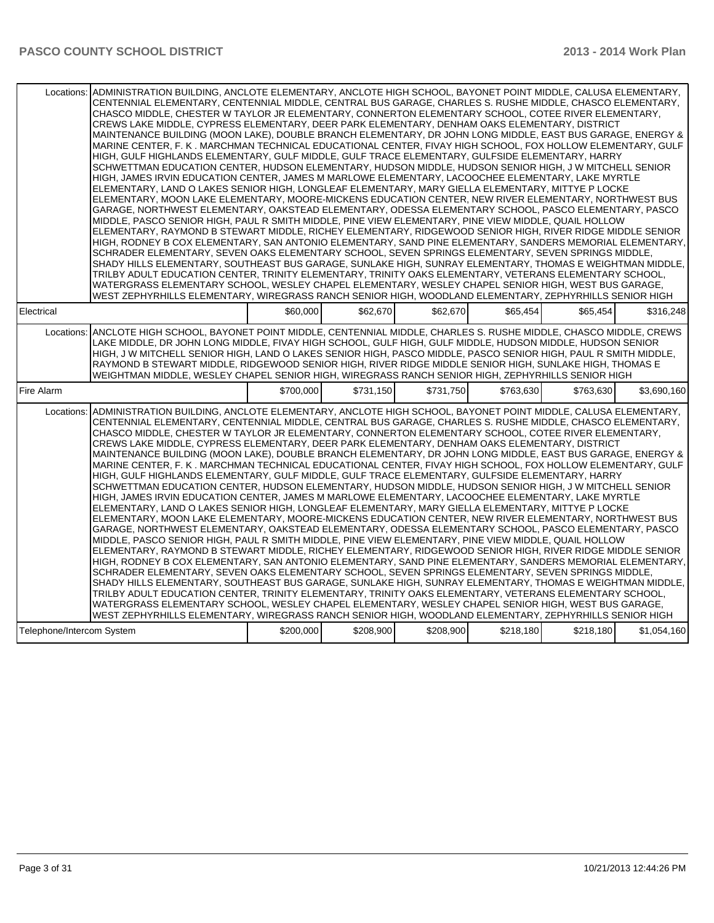|                           | Locations: ADMINISTRATION BUILDING, ANCLOTE ELEMENTARY, ANCLOTE HIGH SCHOOL, BAYONET POINT MIDDLE, CALUSA ELEMENTARY,<br>CENTENNIAL ELEMENTARY, CENTENNIAL MIDDLE, CENTRAL BUS GARAGE, CHARLES S. RUSHE MIDDLE, CHASCO ELEMENTARY,<br>CHASCO MIDDLE, CHESTER W TAYLOR JR ELEMENTARY, CONNERTON ELEMENTARY SCHOOL, COTEE RIVER ELEMENTARY,<br>CREWS LAKE MIDDLE, CYPRESS ELEMENTARY, DEER PARK ELEMENTARY, DENHAM OAKS ELEMENTARY, DISTRICT<br>MAINTENANCE BUILDING (MOON LAKE), DOUBLE BRANCH ELEMENTARY, DR JOHN LONG MIDDLE, EAST BUS GARAGE, ENERGY &<br>MARINE CENTER, F. K. MARCHMAN TECHNICAL EDUCATIONAL CENTER, FIVAY HIGH SCHOOL, FOX HOLLOW ELEMENTARY, GULF<br>HIGH, GULF HIGHLANDS ELEMENTARY, GULF MIDDLE, GULF TRACE ELEMENTARY, GULFSIDE ELEMENTARY, HARRY<br>SCHWETTMAN EDUCATION CENTER, HUDSON ELEMENTARY, HUDSON MIDDLE, HUDSON SENIOR HIGH, J W MITCHELL SENIOR<br>HIGH, JAMES IRVIN EDUCATION CENTER, JAMES M MARLOWE ELEMENTARY, LACOOCHEE ELEMENTARY, LAKE MYRTLE<br>ELEMENTARY, LAND O LAKES SENIOR HIGH, LONGLEAF ELEMENTARY, MARY GIELLA ELEMENTARY, MITTYE P LOCKE<br>ELEMENTARY, MOON LAKE ELEMENTARY, MOORE-MICKENS EDUCATION CENTER, NEW RIVER ELEMENTARY, NORTHWEST BUS<br>GARAGE, NORTHWEST ELEMENTARY, OAKSTEAD ELEMENTARY, ODESSA ELEMENTARY SCHOOL, PASCO ELEMENTARY, PASCO<br>MIDDLE, PASCO SENIOR HIGH, PAUL R SMITH MIDDLE, PINE VIEW ELEMENTARY, PINE VIEW MIDDLE, QUAIL HOLLOW<br>ELEMENTARY, RAYMOND B STEWART MIDDLE, RICHEY ELEMENTARY, RIDGEWOOD SENIOR HIGH, RIVER RIDGE MIDDLE SENIOR<br>HIGH, RODNEY B COX ELEMENTARY, SAN ANTONIO ELEMENTARY, SAND PINE ELEMENTARY, SANDERS MEMORIAL ELEMENTARY,<br>SCHRADER ELEMENTARY, SEVEN OAKS ELEMENTARY SCHOOL, SEVEN SPRINGS ELEMENTARY, SEVEN SPRINGS MIDDLE,<br>SHADY HILLS ELEMENTARY, SOUTHEAST BUS GARAGE, SUNLAKE HIGH, SUNRAY ELEMENTARY, THOMAS E WEIGHTMAN MIDDLE,<br>TRILBY ADULT EDUCATION CENTER, TRINITY ELEMENTARY, TRINITY OAKS ELEMENTARY, VETERANS ELEMENTARY SCHOOL,<br>WATERGRASS ELEMENTARY SCHOOL, WESLEY CHAPEL ELEMENTARY, WESLEY CHAPEL SENIOR HIGH, WEST BUS GARAGE,<br>WEST ZEPHYRHILLS ELEMENTARY, WIREGRASS RANCH SENIOR HIGH, WOODLAND ELEMENTARY, ZEPHYRHILLS SENIOR HIGH |           |           |           |           |           |             |
|---------------------------|-------------------------------------------------------------------------------------------------------------------------------------------------------------------------------------------------------------------------------------------------------------------------------------------------------------------------------------------------------------------------------------------------------------------------------------------------------------------------------------------------------------------------------------------------------------------------------------------------------------------------------------------------------------------------------------------------------------------------------------------------------------------------------------------------------------------------------------------------------------------------------------------------------------------------------------------------------------------------------------------------------------------------------------------------------------------------------------------------------------------------------------------------------------------------------------------------------------------------------------------------------------------------------------------------------------------------------------------------------------------------------------------------------------------------------------------------------------------------------------------------------------------------------------------------------------------------------------------------------------------------------------------------------------------------------------------------------------------------------------------------------------------------------------------------------------------------------------------------------------------------------------------------------------------------------------------------------------------------------------------------------------------------------------------------------------------------------------------------------------------------------------------------------------------------------------------------|-----------|-----------|-----------|-----------|-----------|-------------|
| Electrical                |                                                                                                                                                                                                                                                                                                                                                                                                                                                                                                                                                                                                                                                                                                                                                                                                                                                                                                                                                                                                                                                                                                                                                                                                                                                                                                                                                                                                                                                                                                                                                                                                                                                                                                                                                                                                                                                                                                                                                                                                                                                                                                                                                                                                 | \$60,000  | \$62,670  | \$62,670  | \$65.454  | \$65.454  | \$316.248   |
| Locations:                | ANCLOTE HIGH SCHOOL, BAYONET POINT MIDDLE, CENTENNIAL MIDDLE, CHARLES S. RUSHE MIDDLE, CHASCO MIDDLE, CREWS<br>LAKE MIDDLE. DR JOHN LONG MIDDLE. FIVAY HIGH SCHOOL. GULF HIGH. GULF MIDDLE. HUDSON MIDDLE. HUDSON SENIOR<br>HIGH, J W MITCHELL SENIOR HIGH, LAND O LAKES SENIOR HIGH, PASCO MIDDLE, PASCO SENIOR HIGH, PAUL R SMITH MIDDLE,<br>RAYMOND B STEWART MIDDLE, RIDGEWOOD SENIOR HIGH, RIVER RIDGE MIDDLE SENIOR HIGH, SUNLAKE HIGH, THOMAS E<br>WEIGHTMAN MIDDLE, WESLEY CHAPEL SENIOR HIGH, WIREGRASS RANCH SENIOR HIGH, ZEPHYRHILLS SENIOR HIGH                                                                                                                                                                                                                                                                                                                                                                                                                                                                                                                                                                                                                                                                                                                                                                                                                                                                                                                                                                                                                                                                                                                                                                                                                                                                                                                                                                                                                                                                                                                                                                                                                                     |           |           |           |           |           |             |
| Fire Alarm                |                                                                                                                                                                                                                                                                                                                                                                                                                                                                                                                                                                                                                                                                                                                                                                                                                                                                                                                                                                                                                                                                                                                                                                                                                                                                                                                                                                                                                                                                                                                                                                                                                                                                                                                                                                                                                                                                                                                                                                                                                                                                                                                                                                                                 | \$700.000 | \$731.150 | \$731.750 | \$763,630 | \$763,630 | \$3,690,160 |
| Locations:                | ADMINISTRATION BUILDING, ANCLOTE ELEMENTARY, ANCLOTE HIGH SCHOOL, BAYONET POINT MIDDLE, CALUSA ELEMENTARY,<br>CENTENNIAL ELEMENTARY, CENTENNIAL MIDDLE, CENTRAL BUS GARAGE, CHARLES S. RUSHE MIDDLE, CHASCO ELEMENTARY,<br>CHASCO MIDDLE, CHESTER W TAYLOR JR ELEMENTARY, CONNERTON ELEMENTARY SCHOOL, COTEE RIVER ELEMENTARY,<br>CREWS LAKE MIDDLE, CYPRESS ELEMENTARY, DEER PARK ELEMENTARY, DENHAM OAKS ELEMENTARY, DISTRICT<br>MAINTENANCE BUILDING (MOON LAKE), DOUBLE BRANCH ELEMENTARY, DR JOHN LONG MIDDLE, EAST BUS GARAGE, ENERGY &<br>MARINE CENTER, F. K. MARCHMAN TECHNICAL EDUCATIONAL CENTER, FIVAY HIGH SCHOOL, FOX HOLLOW ELEMENTARY, GULF<br>HIGH, GULF HIGHLANDS ELEMENTARY, GULF MIDDLE, GULF TRACE ELEMENTARY, GULFSIDE ELEMENTARY, HARRY<br>SCHWETTMAN EDUCATION CENTER, HUDSON ELEMENTARY, HUDSON MIDDLE, HUDSON SENIOR HIGH, J W MITCHELL SENIOR<br>HIGH, JAMES IRVIN EDUCATION CENTER, JAMES M MARLOWE ELEMENTARY, LACOOCHEE ELEMENTARY, LAKE MYRTLE<br>ELEMENTARY, LAND O LAKES SENIOR HIGH, LONGLEAF ELEMENTARY, MARY GIELLA ELEMENTARY, MITTYE P LOCKE<br>ELEMENTARY, MOON LAKE ELEMENTARY, MOORE-MICKENS EDUCATION CENTER, NEW RIVER ELEMENTARY, NORTHWEST BUS<br>GARAGE, NORTHWEST ELEMENTARY, OAKSTEAD ELEMENTARY, ODESSA ELEMENTARY SCHOOL, PASCO ELEMENTARY, PASCO<br>MIDDLE, PASCO SENIOR HIGH, PAUL R SMITH MIDDLE, PINE VIEW ELEMENTARY, PINE VIEW MIDDLE, QUAIL HOLLOW<br>ELEMENTARY, RAYMOND B STEWART MIDDLE, RICHEY ELEMENTARY, RIDGEWOOD SENIOR HIGH, RIVER RIDGE MIDDLE SENIOR<br>HIGH, RODNEY B COX ELEMENTARY, SAN ANTONIO ELEMENTARY, SAND PINE ELEMENTARY, SANDERS MEMORIAL ELEMENTARY,<br>SCHRADER ELEMENTARY, SEVEN OAKS ELEMENTARY SCHOOL, SEVEN SPRINGS ELEMENTARY, SEVEN SPRINGS MIDDLE,<br>SHADY HILLS ELEMENTARY, SOUTHEAST BUS GARAGE, SUNLAKE HIGH, SUNRAY ELEMENTARY, THOMAS E WEIGHTMAN MIDDLE,<br>TRILBY ADULT EDUCATION CENTER, TRINITY ELEMENTARY, TRINITY OAKS ELEMENTARY, VETERANS ELEMENTARY SCHOOL,<br>WATERGRASS ELEMENTARY SCHOOL, WESLEY CHAPEL ELEMENTARY, WESLEY CHAPEL SENIOR HIGH, WEST BUS GARAGE,<br>WEST ZEPHYRHILLS ELEMENTARY, WIREGRASS RANCH SENIOR HIGH, WOODLAND ELEMENTARY, ZEPHYRHILLS SENIOR HIGH            |           |           |           |           |           |             |
| Telephone/Intercom System |                                                                                                                                                                                                                                                                                                                                                                                                                                                                                                                                                                                                                                                                                                                                                                                                                                                                                                                                                                                                                                                                                                                                                                                                                                                                                                                                                                                                                                                                                                                                                                                                                                                                                                                                                                                                                                                                                                                                                                                                                                                                                                                                                                                                 | \$200,000 | \$208,900 | \$208,900 | \$218,180 | \$218,180 | \$1,054,160 |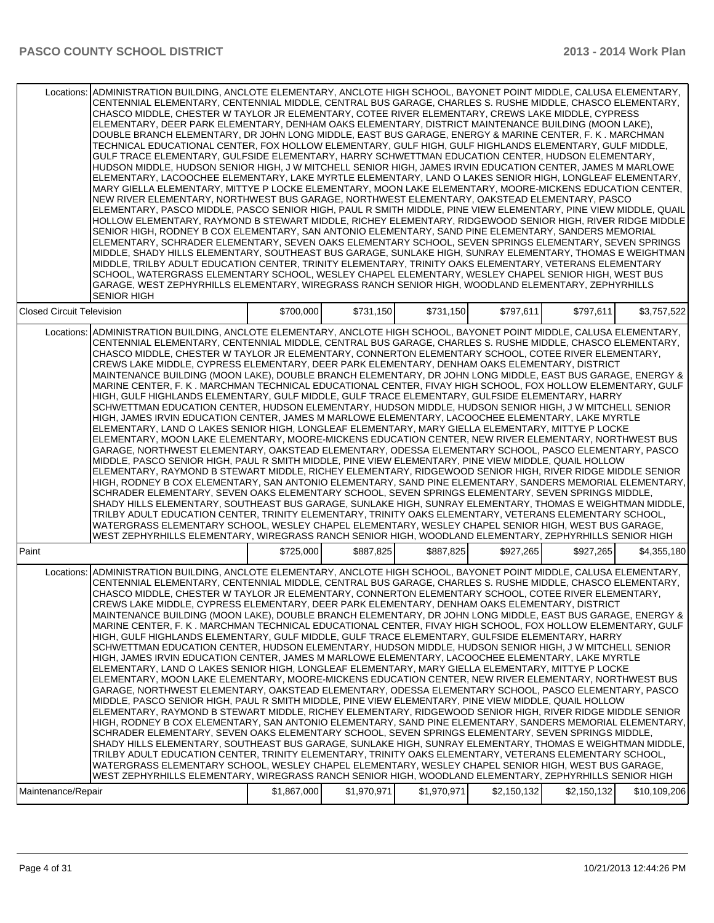|                                  | Locations: ADMINISTRATION BUILDING, ANCLOTE ELEMENTARY, ANCLOTE HIGH SCHOOL, BAYONET POINT MIDDLE, CALUSA ELEMENTARY,<br>CENTENNIAL ELEMENTARY, CENTENNIAL MIDDLE, CENTRAL BUS GARAGE, CHARLES S. RUSHE MIDDLE, CHASCO ELEMENTARY,<br>CHASCO MIDDLE, CHESTER W TAYLOR JR ELEMENTARY, COTEE RIVER ELEMENTARY, CREWS LAKE MIDDLE, CYPRESS<br>ELEMENTARY, DEER PARK ELEMENTARY, DENHAM OAKS ELEMENTARY, DISTRICT MAINTENANCE BUILDING (MOON LAKE),<br>DOUBLE BRANCH ELEMENTARY, DR JOHN LONG MIDDLE, EAST BUS GARAGE, ENERGY & MARINE CENTER, F. K. MARCHMAN<br>TECHNICAL EDUCATIONAL CENTER, FOX HOLLOW ELEMENTARY, GULF HIGH, GULF HIGHLANDS ELEMENTARY, GULF MIDDLE,<br>GULF TRACE ELEMENTARY, GULFSIDE ELEMENTARY, HARRY SCHWETTMAN EDUCATION CENTER, HUDSON ELEMENTARY,<br>HUDSON MIDDLE, HUDSON SENIOR HIGH, J W MITCHELL SENIOR HIGH, JAMES IRVIN EDUCATION CENTER, JAMES M MARLOWE<br>ELEMENTARY, LACOOCHEE ELEMENTARY, LAKE MYRTLE ELEMENTARY, LAND O LAKES SENIOR HIGH, LONGLEAF ELEMENTARY,<br>IMARY GIELLA ELEMENTARY, MITTYE P LOCKE ELEMENTARY, MOON LAKE ELEMENTARY, MOORE-MICKENS EDUCATION CENTER,<br>NEW RIVER ELEMENTARY, NORTHWEST BUS GARAGE, NORTHWEST ELEMENTARY, OAKSTEAD ELEMENTARY, PASCO<br> ELEMENTARY, PASCO MIDDLE, PASCO SENIOR HIGH, PAUL R SMITH MIDDLE, PINE VIEW ELEMENTARY, PINE VIEW MIDDLE, QUAIL<br>HOLLOW ELEMENTARY, RAYMOND B STEWART MIDDLE, RICHEY ELEMENTARY, RIDGEWOOD SENIOR HIGH, RIVER RIDGE MIDDLE<br>SENIOR HIGH, RODNEY B COX ELEMENTARY, SAN ANTONIO ELEMENTARY, SAND PINE ELEMENTARY, SANDERS MEMORIAL<br> ELEMENTARY, SCHRADER ELEMENTARY, SEVEN OAKS ELEMENTARY SCHOOL, SEVEN SPRINGS ELEMENTARY, SEVEN SPRINGS<br>MIDDLE, SHADY HILLS ELEMENTARY, SOUTHEAST BUS GARAGE, SUNLAKE HIGH, SUNRAY ELEMENTARY, THOMAS E WEIGHTMAN<br>MIDDLE, TRILBY ADULT EDUCATION CENTER, TRINITY ELEMENTARY, TRINITY OAKS ELEMENTARY, VETERANS ELEMENTARY<br>SCHOOL, WATERGRASS ELEMENTARY SCHOOL, WESLEY CHAPEL ELEMENTARY, WESLEY CHAPEL SENIOR HIGH, WEST BUS<br>GARAGE, WEST ZEPHYRHILLS ELEMENTARY, WIREGRASS RANCH SENIOR HIGH, WOODLAND ELEMENTARY, ZEPHYRHILLS<br><b>SENIOR HIGH</b>                                                                 |             |             |             |             |             |              |
|----------------------------------|-------------------------------------------------------------------------------------------------------------------------------------------------------------------------------------------------------------------------------------------------------------------------------------------------------------------------------------------------------------------------------------------------------------------------------------------------------------------------------------------------------------------------------------------------------------------------------------------------------------------------------------------------------------------------------------------------------------------------------------------------------------------------------------------------------------------------------------------------------------------------------------------------------------------------------------------------------------------------------------------------------------------------------------------------------------------------------------------------------------------------------------------------------------------------------------------------------------------------------------------------------------------------------------------------------------------------------------------------------------------------------------------------------------------------------------------------------------------------------------------------------------------------------------------------------------------------------------------------------------------------------------------------------------------------------------------------------------------------------------------------------------------------------------------------------------------------------------------------------------------------------------------------------------------------------------------------------------------------------------------------------------------------------------------------------------------------------------------------------------------------------------------------------------------------------------------------|-------------|-------------|-------------|-------------|-------------|--------------|
| <b>Closed Circuit Television</b> |                                                                                                                                                                                                                                                                                                                                                                                                                                                                                                                                                                                                                                                                                                                                                                                                                                                                                                                                                                                                                                                                                                                                                                                                                                                                                                                                                                                                                                                                                                                                                                                                                                                                                                                                                                                                                                                                                                                                                                                                                                                                                                                                                                                                 | \$700,000   | \$731,150   | \$731,150   | \$797,611   | \$797,611   | \$3.757.522  |
|                                  | Locations: ADMINISTRATION BUILDING, ANCLOTE ELEMENTARY, ANCLOTE HIGH SCHOOL, BAYONET POINT MIDDLE, CALUSA ELEMENTARY,<br>CENTENNIAL ELEMENTARY, CENTENNIAL MIDDLE, CENTRAL BUS GARAGE, CHARLES S. RUSHE MIDDLE, CHASCO ELEMENTARY,<br>CHASCO MIDDLE, CHESTER W TAYLOR JR ELEMENTARY, CONNERTON ELEMENTARY SCHOOL, COTEE RIVER ELEMENTARY,<br>CREWS LAKE MIDDLE, CYPRESS ELEMENTARY, DEER PARK ELEMENTARY, DENHAM OAKS ELEMENTARY, DISTRICT<br>MAINTENANCE BUILDING (MOON LAKE), DOUBLE BRANCH ELEMENTARY, DR JOHN LONG MIDDLE, EAST BUS GARAGE, ENERGY &<br>MARINE CENTER, F. K. MARCHMAN TECHNICAL EDUCATIONAL CENTER, FIVAY HIGH SCHOOL, FOX HOLLOW ELEMENTARY, GULF<br>HIGH. GULF HIGHLANDS ELEMENTARY. GULF MIDDLE. GULF TRACE ELEMENTARY. GULFSIDE ELEMENTARY. HARRY<br>SCHWETTMAN EDUCATION CENTER, HUDSON ELEMENTARY, HUDSON MIDDLE, HUDSON SENIOR HIGH, J W MITCHELL SENIOR<br>HIGH, JAMES IRVIN EDUCATION CENTER, JAMES M MARLOWE ELEMENTARY, LACOOCHEE ELEMENTARY, LAKE MYRTLE<br>ELEMENTARY, LAND O LAKES SENIOR HIGH, LONGLEAF ELEMENTARY, MARY GIELLA ELEMENTARY, MITTYE P LOCKE<br>ELEMENTARY, MOON LAKE ELEMENTARY, MOORE-MICKENS EDUCATION CENTER, NEW RIVER ELEMENTARY, NORTHWEST BUS<br>GARAGE, NORTHWEST ELEMENTARY, OAKSTEAD ELEMENTARY, ODESSA ELEMENTARY SCHOOL, PASCO ELEMENTARY, PASCO<br>MIDDLE, PASCO SENIOR HIGH, PAUL R SMITH MIDDLE, PINE VIEW ELEMENTARY, PINE VIEW MIDDLE, QUAIL HOLLOW<br>ELEMENTARY, RAYMOND B STEWART MIDDLE, RICHEY ELEMENTARY, RIDGEWOOD SENIOR HIGH, RIVER RIDGE MIDDLE SENIOR<br>HIGH, RODNEY B COX ELEMENTARY, SAN ANTONIO ELEMENTARY, SAND PINE ELEMENTARY, SANDERS MEMORIAL ELEMENTARY,<br>SCHRADER ELEMENTARY, SEVEN OAKS ELEMENTARY SCHOOL, SEVEN SPRINGS ELEMENTARY, SEVEN SPRINGS MIDDLE,<br>SHADY HILLS ELEMENTARY, SOUTHEAST BUS GARAGE, SUNLAKE HIGH, SUNRAY ELEMENTARY, THOMAS E WEIGHTMAN MIDDLE,<br>TRILBY ADULT EDUCATION CENTER, TRINITY ELEMENTARY, TRINITY OAKS ELEMENTARY, VETERANS ELEMENTARY SCHOOL,<br>WATERGRASS ELEMENTARY SCHOOL, WESLEY CHAPEL ELEMENTARY, WESLEY CHAPEL SENIOR HIGH, WEST BUS GARAGE,<br>WEST ZEPHYRHILLS ELEMENTARY, WIREGRASS RANCH SENIOR HIGH, WOODLAND ELEMENTARY, ZEPHYRHILLS SENIOR HIGH |             |             |             |             |             |              |
| Paint                            |                                                                                                                                                                                                                                                                                                                                                                                                                                                                                                                                                                                                                                                                                                                                                                                                                                                                                                                                                                                                                                                                                                                                                                                                                                                                                                                                                                                                                                                                                                                                                                                                                                                                                                                                                                                                                                                                                                                                                                                                                                                                                                                                                                                                 | \$725,000   | \$887,825   | \$887,825   | \$927,265   | \$927,265   | \$4,355,180  |
| Locations:                       | ADMINISTRATION BUILDING, ANCLOTE ELEMENTARY, ANCLOTE HIGH SCHOOL, BAYONET POINT MIDDLE, CALUSA ELEMENTARY,<br>CENTENNIAL ELEMENTARY, CENTENNIAL MIDDLE, CENTRAL BUS GARAGE, CHARLES S. RUSHE MIDDLE, CHASCO ELEMENTARY,<br>CHASCO MIDDLE, CHESTER W TAYLOR JR ELEMENTARY, CONNERTON ELEMENTARY SCHOOL, COTEE RIVER ELEMENTARY,<br>CREWS LAKE MIDDLE, CYPRESS ELEMENTARY, DEER PARK ELEMENTARY, DENHAM OAKS ELEMENTARY, DISTRICT<br>MAINTENANCE BUILDING (MOON LAKE), DOUBLE BRANCH ELEMENTARY, DR JOHN LONG MIDDLE, EAST BUS GARAGE, ENERGY &<br>MARINE CENTER, F. K . MARCHMAN TECHNICAL EDUCATIONAL CENTER, FIVAY HIGH SCHOOL, FOX HOLLOW ELEMENTARY, GULF<br>HIGH, GULF HIGHLANDS ELEMENTARY, GULF MIDDLE, GULF TRACE ELEMENTARY, GULFSIDE ELEMENTARY, HARRY<br>SCHWETTMAN EDUCATION CENTER, HUDSON ELEMENTARY, HUDSON MIDDLE, HUDSON SENIOR HIGH, J W MITCHELL SENIOR<br>HIGH, JAMES IRVIN EDUCATION CENTER, JAMES M MARLOWE ELEMENTARY, LACOOCHEE ELEMENTARY, LAKE MYRTLE<br>ELEMENTARY, LAND O LAKES SENIOR HIGH, LONGLEAF ELEMENTARY, MARY GIELLA ELEMENTARY, MITTYE P LOCKE<br>ELEMENTARY, MOON LAKE ELEMENTARY, MOORE-MICKENS EDUCATION CENTER, NEW RIVER ELEMENTARY, NORTHWEST BUS<br>IGARAGE, NORTHWEST ELEMENTARY, OAKSTEAD ELEMENTARY, ODESSA ELEMENTARY SCHOOL, PASCO ELEMENTARY, PASCO<br>MIDDLE, PASCO SENIOR HIGH, PAUL R SMITH MIDDLE, PINE VIEW ELEMENTARY, PINE VIEW MIDDLE, QUAIL HOLLOW<br>IELEMENTARY, RAYMOND B STEWART MIDDLE, RICHEY ELEMENTARY, RIDGEWOOD SENIOR HIGH, RIVER RIDGE MIDDLE SENIOR<br>HIGH, RODNEY B COX ELEMENTARY, SAN ANTONIO ELEMENTARY, SAND PINE ELEMENTARY, SANDERS MEMORIAL ELEMENTARY,<br>SCHRADER ELEMENTARY, SEVEN OAKS ELEMENTARY SCHOOL, SEVEN SPRINGS ELEMENTARY, SEVEN SPRINGS MIDDLE,<br>SHADY HILLS ELEMENTARY, SOUTHEAST BUS GARAGE, SUNLAKE HIGH, SUNRAY ELEMENTARY, THOMAS E WEIGHTMAN MIDDLE,<br>TRILBY ADULT EDUCATION CENTER, TRINITY ELEMENTARY, TRINITY OAKS ELEMENTARY, VETERANS ELEMENTARY SCHOOL,<br>WATERGRASS ELEMENTARY SCHOOL, WESLEY CHAPEL ELEMENTARY, WESLEY CHAPEL SENIOR HIGH, WEST BUS GARAGE,<br>WEST ZEPHYRHILLS ELEMENTARY, WIREGRASS RANCH SENIOR HIGH, WOODLAND ELEMENTARY, ZEPHYRHILLS SENIOR HIGH         |             |             |             |             |             |              |
| Maintenance/Repair               |                                                                                                                                                                                                                                                                                                                                                                                                                                                                                                                                                                                                                                                                                                                                                                                                                                                                                                                                                                                                                                                                                                                                                                                                                                                                                                                                                                                                                                                                                                                                                                                                                                                                                                                                                                                                                                                                                                                                                                                                                                                                                                                                                                                                 | \$1,867,000 | \$1,970,971 | \$1,970,971 | \$2,150,132 | \$2,150,132 | \$10,109,206 |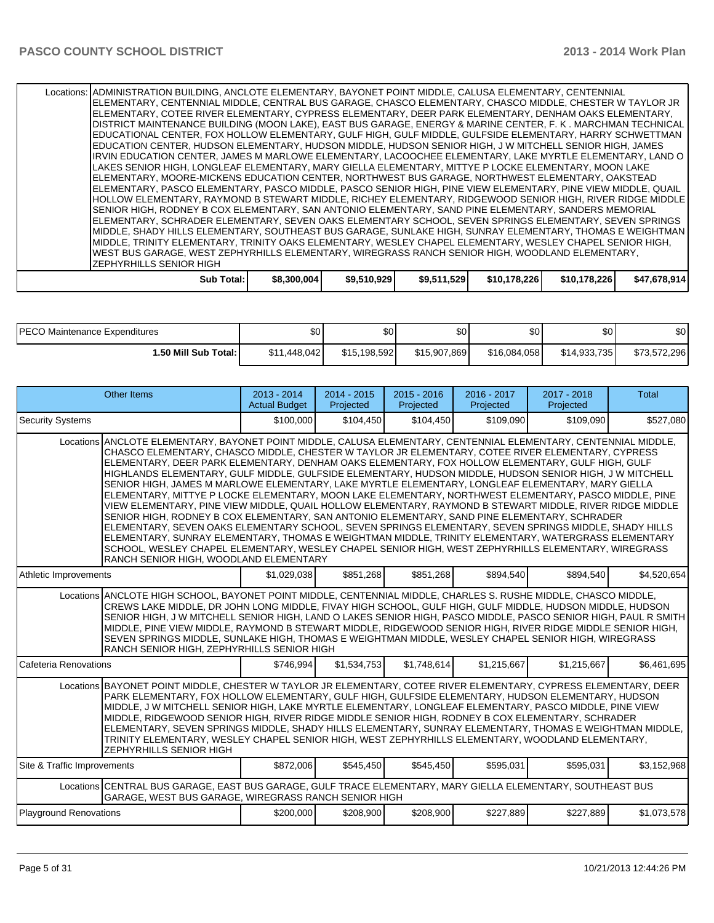Locations: ADMINISTRATION BUILDING, ANCLOTE ELEMENTARY, BAYONET POINT MIDDLE, CALUSA ELEMENTARY, CENTENNIAL ELEMENTARY, CENTENNIAL MIDDLE, CENTRAL BUS GARAGE, CHASCO ELEMENTARY, CHASCO MIDDLE, CHESTER W TAYLOR JR ELEMENTARY, COTEE RIVER ELEMENTARY, CYPRESS ELEMENTARY, DEER PARK ELEMENTARY, DENHAM OAKS ELEMENTARY, DISTRICT MAINTENANCE BUILDING (MOON LAKE), EAST BUS GARAGE, ENERGY & MARINE CENTER, F. K . MARCHMAN TECHNICAL EDUCATIONAL CENTER, FOX HOLLOW ELEMENTARY, GULF HIGH, GULF MIDDLE, GULFSIDE ELEMENTARY, HARRY SCHWETTMAN EDUCATION CENTER, HUDSON ELEMENTARY, HUDSON MIDDLE, HUDSON SENIOR HIGH, J W MITCHELL SENIOR HIGH, JAMES IRVIN EDUCATION CENTER, JAMES M MARLOWE ELEMENTARY, LACOOCHEE ELEMENTARY, LAKE MYRTLE ELEMENTARY, LAND O LAKES SENIOR HIGH, LONGLEAF ELEMENTARY, MARY GIELLA ELEMENTARY, MITTYE P LOCKE ELEMENTARY, MOON LAKE ELEMENTARY, MOORE-MICKENS EDUCATION CENTER, NORTHWEST BUS GARAGE, NORTHWEST ELEMENTARY, OAKSTEAD ELEMENTARY, PASCO ELEMENTARY, PASCO MIDDLE, PASCO SENIOR HIGH, PINE VIEW ELEMENTARY, PINE VIEW MIDDLE, QUAIL HOLLOW ELEMENTARY, RAYMOND B STEWART MIDDLE, RICHEY ELEMENTARY, RIDGEWOOD SENIOR HIGH, RIVER RIDGE MIDDLE SENIOR HIGH, RODNEY B COX ELEMENTARY, SAN ANTONIO ELEMENTARY, SAND PINE ELEMENTARY, SANDERS MEMORIAL ELEMENTARY, SCHRADER ELEMENTARY, SEVEN OAKS ELEMENTARY SCHOOL, SEVEN SPRINGS ELEMENTARY, SEVEN SPRINGS MIDDLE, SHADY HILLS ELEMENTARY, SOUTHEAST BUS GARAGE, SUNLAKE HIGH, SUNRAY ELEMENTARY, THOMAS E WEIGHTMAN MIDDLE, TRINITY ELEMENTARY, TRINITY OAKS ELEMENTARY, WESLEY CHAPEL ELEMENTARY, WESLEY CHAPEL SENIOR HIGH, WEST BUS GARAGE, WEST ZEPHYRHILLS ELEMENTARY, WIREGRASS RANCH SENIOR HIGH, WOODLAND ELEMENTARY, ZEPHYRHILLS SENIOR HIGH

| Total:<br>Sub | \$8,300,004 | \$9,510,929 | \$9,511,529 | \$10.178.226 | \$10.178.226 | \$47,678,914 |
|---------------|-------------|-------------|-------------|--------------|--------------|--------------|
|               |             |             |             |              |              |              |

| <b>PECO Maintenance Expenditures</b> | \$٥          | ሶሳ<br>งบ     | ድ∩<br>υU     | $\mathbf{A}$<br>JU. | ሶሳ<br>Ψ∪     | \$0          |
|--------------------------------------|--------------|--------------|--------------|---------------------|--------------|--------------|
| <b>⊮.50 Mill Sub Total: I</b>        | \$11,448,042 | \$15,198,592 | \$15,907,869 | \$16.084.058        | \$14,933,735 | \$73,572,296 |

|                                                                                                                                                                                                                                                                                                                                                                                                                                                                                                                                                                                                                                                                                                                                                                                                                                                                                                                                                                                                                                                                                                                                                                                                                                 | Other Items                                                                                                                                                                                                                                                                                                                                                                                                                                                                                                                                                                                                      | $2013 - 2014$<br><b>Actual Budget</b> | $2014 - 2015$<br>Projected | $2015 - 2016$<br>Projected | $2016 - 2017$<br>Projected | $2017 - 2018$<br>Projected | Total       |  |  |
|---------------------------------------------------------------------------------------------------------------------------------------------------------------------------------------------------------------------------------------------------------------------------------------------------------------------------------------------------------------------------------------------------------------------------------------------------------------------------------------------------------------------------------------------------------------------------------------------------------------------------------------------------------------------------------------------------------------------------------------------------------------------------------------------------------------------------------------------------------------------------------------------------------------------------------------------------------------------------------------------------------------------------------------------------------------------------------------------------------------------------------------------------------------------------------------------------------------------------------|------------------------------------------------------------------------------------------------------------------------------------------------------------------------------------------------------------------------------------------------------------------------------------------------------------------------------------------------------------------------------------------------------------------------------------------------------------------------------------------------------------------------------------------------------------------------------------------------------------------|---------------------------------------|----------------------------|----------------------------|----------------------------|----------------------------|-------------|--|--|
| <b>Security Systems</b>                                                                                                                                                                                                                                                                                                                                                                                                                                                                                                                                                                                                                                                                                                                                                                                                                                                                                                                                                                                                                                                                                                                                                                                                         |                                                                                                                                                                                                                                                                                                                                                                                                                                                                                                                                                                                                                  | \$100,000                             | \$104,450                  | \$104,450                  | \$109,090                  | \$109,090                  | \$527,080   |  |  |
| Locations ANCLOTE ELEMENTARY, BAYONET POINT MIDDLE, CALUSA ELEMENTARY, CENTENNIAL ELEMENTARY, CENTENNIAL MIDDLE,<br>CHASCO ELEMENTARY, CHASCO MIDDLE, CHESTER W TAYLOR JR ELEMENTARY, COTEE RIVER ELEMENTARY, CYPRESS<br>ELEMENTARY, DEER PARK ELEMENTARY, DENHAM OAKS ELEMENTARY, FOX HOLLOW ELEMENTARY, GULF HIGH, GULF<br>HIGHLANDS ELEMENTARY, GULF MIDDLE, GULFSIDE ELEMENTARY, HUDSON MIDDLE, HUDSON SENIOR HIGH, J W MITCHELL<br>SENIOR HIGH, JAMES M MARLOWE ELEMENTARY, LAKE MYRTLE ELEMENTARY, LONGLEAF ELEMENTARY, MARY GIELLA<br>ELEMENTARY, MITTYE P LOCKE ELEMENTARY, MOON LAKE ELEMENTARY, NORTHWEST ELEMENTARY, PASCO MIDDLE, PINE<br>VIEW ELEMENTARY, PINE VIEW MIDDLE, QUAIL HOLLOW ELEMENTARY, RAYMOND B STEWART MIDDLE, RIVER RIDGE MIDDLE<br>SENIOR HIGH, RODNEY B COX ELEMENTARY, SAN ANTONIO ELEMENTARY, SAND PINE ELEMENTARY, SCHRADER<br>ELEMENTARY, SEVEN OAKS ELEMENTARY SCHOOL, SEVEN SPRINGS ELEMENTARY, SEVEN SPRINGS MIDDLE, SHADY HILLS<br>ELEMENTARY, SUNRAY ELEMENTARY, THOMAS E WEIGHTMAN MIDDLE, TRINITY ELEMENTARY, WATERGRASS ELEMENTARY<br>SCHOOL, WESLEY CHAPEL ELEMENTARY, WESLEY CHAPEL SENIOR HIGH, WEST ZEPHYRHILLS ELEMENTARY, WIREGRASS<br>RANCH SENIOR HIGH, WOODLAND ELEMENTARY |                                                                                                                                                                                                                                                                                                                                                                                                                                                                                                                                                                                                                  |                                       |                            |                            |                            |                            |             |  |  |
| Athletic Improvements                                                                                                                                                                                                                                                                                                                                                                                                                                                                                                                                                                                                                                                                                                                                                                                                                                                                                                                                                                                                                                                                                                                                                                                                           |                                                                                                                                                                                                                                                                                                                                                                                                                                                                                                                                                                                                                  | \$1,029,038                           | \$851,268                  | \$851,268                  | \$894,540                  | \$894.540                  | \$4,520,654 |  |  |
|                                                                                                                                                                                                                                                                                                                                                                                                                                                                                                                                                                                                                                                                                                                                                                                                                                                                                                                                                                                                                                                                                                                                                                                                                                 | Locations ANCLOTE HIGH SCHOOL, BAYONET POINT MIDDLE, CENTENNIAL MIDDLE, CHARLES S. RUSHE MIDDLE, CHASCO MIDDLE,<br>CREWS LAKE MIDDLE, DR JOHN LONG MIDDLE, FIVAY HIGH SCHOOL, GULF HIGH, GULF MIDDLE, HUDSON MIDDLE, HUDSON<br>SENIOR HIGH, J W MITCHELL SENIOR HIGH, LAND O LAKES SENIOR HIGH, PASCO MIDDLE, PASCO SENIOR HIGH, PAUL R SMITH<br>MIDDLE, PINE VIEW MIDDLE, RAYMOND B STEWART MIDDLE, RIDGEWOOD SENIOR HIGH, RIVER RIDGE MIDDLE SENIOR HIGH,<br>SEVEN SPRINGS MIDDLE, SUNLAKE HIGH, THOMAS E WEIGHTMAN MIDDLE, WESLEY CHAPEL SENIOR HIGH, WIREGRASS<br>RANCH SENIOR HIGH, ZEPHYRHILLS SENIOR HIGH |                                       |                            |                            |                            |                            |             |  |  |
| Cafeteria Renovations                                                                                                                                                                                                                                                                                                                                                                                                                                                                                                                                                                                                                                                                                                                                                                                                                                                                                                                                                                                                                                                                                                                                                                                                           |                                                                                                                                                                                                                                                                                                                                                                                                                                                                                                                                                                                                                  | \$746.994                             | \$1,534,753                | \$1,748,614                | \$1,215,667                | \$1,215,667                | \$6,461,695 |  |  |
| Locations BAYONET POINT MIDDLE, CHESTER W TAYLOR JR ELEMENTARY, COTEE RIVER ELEMENTARY, CYPRESS ELEMENTARY, DEER<br>PARK ELEMENTARY, FOX HOLLOW ELEMENTARY, GULF HIGH, GULFSIDE ELEMENTARY, HUDSON ELEMENTARY, HUDSON<br>MIDDLE, J W MITCHELL SENIOR HIGH, LAKE MYRTLE ELEMENTARY, LONGLEAF ELEMENTARY, PASCO MIDDLE, PINE VIEW<br>MIDDLE, RIDGEWOOD SENIOR HIGH, RIVER RIDGE MIDDLE SENIOR HIGH, RODNEY B COX ELEMENTARY, SCHRADER<br>ELEMENTARY, SEVEN SPRINGS MIDDLE, SHADY HILLS ELEMENTARY, SUNRAY ELEMENTARY, THOMAS E WEIGHTMAN MIDDLE,<br>TRINITY ELEMENTARY, WESLEY CHAPEL SENIOR HIGH, WEST ZEPHYRHILLS ELEMENTARY, WOODLAND ELEMENTARY,<br>ZEPHYRHILLS SENIOR HIGH                                                                                                                                                                                                                                                                                                                                                                                                                                                                                                                                                   |                                                                                                                                                                                                                                                                                                                                                                                                                                                                                                                                                                                                                  |                                       |                            |                            |                            |                            |             |  |  |
| Site & Traffic Improvements                                                                                                                                                                                                                                                                                                                                                                                                                                                                                                                                                                                                                                                                                                                                                                                                                                                                                                                                                                                                                                                                                                                                                                                                     |                                                                                                                                                                                                                                                                                                                                                                                                                                                                                                                                                                                                                  | \$872,006                             | \$545,450                  | \$545,450                  | \$595,031                  | \$595,031                  | \$3,152,968 |  |  |
|                                                                                                                                                                                                                                                                                                                                                                                                                                                                                                                                                                                                                                                                                                                                                                                                                                                                                                                                                                                                                                                                                                                                                                                                                                 | Locations CENTRAL BUS GARAGE, EAST BUS GARAGE, GULF TRACE ELEMENTARY, MARY GIELLA ELEMENTARY, SOUTHEAST BUS<br>GARAGE, WEST BUS GARAGE, WIREGRASS RANCH SENIOR HIGH                                                                                                                                                                                                                                                                                                                                                                                                                                              |                                       |                            |                            |                            |                            |             |  |  |
| <b>Playground Renovations</b>                                                                                                                                                                                                                                                                                                                                                                                                                                                                                                                                                                                                                                                                                                                                                                                                                                                                                                                                                                                                                                                                                                                                                                                                   |                                                                                                                                                                                                                                                                                                                                                                                                                                                                                                                                                                                                                  | \$200,000                             | \$208,900                  | \$208,900                  | \$227,889                  | \$227,889                  | \$1,073,578 |  |  |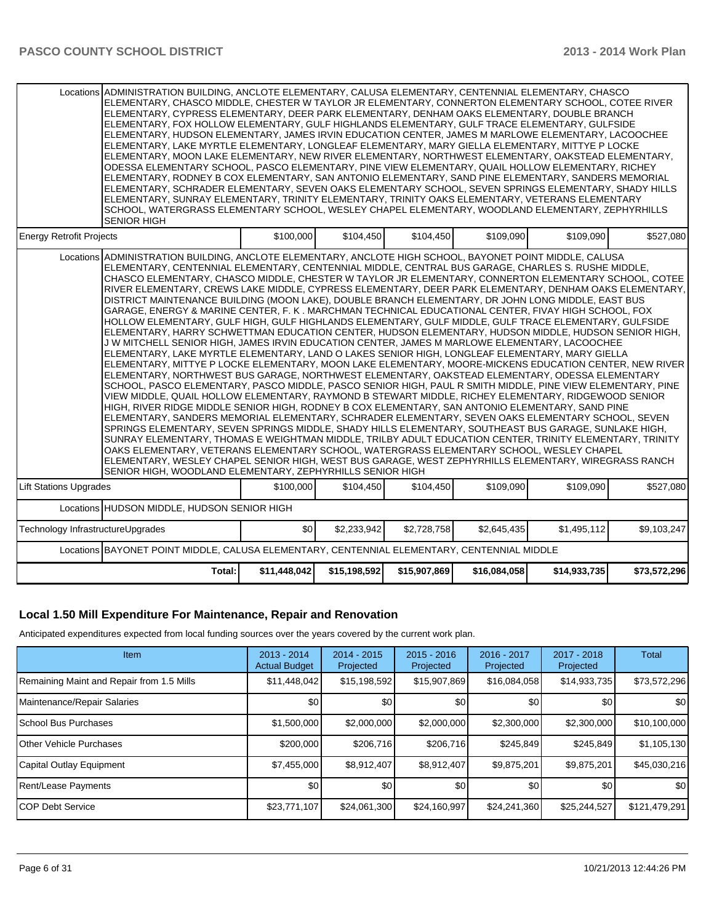|                                   | Locations ADMINISTRATION BUILDING, ANCLOTE ELEMENTARY, CALUSA ELEMENTARY, CENTENNIAL ELEMENTARY, CHASCO<br>ELEMENTARY, CHASCO MIDDLE, CHESTER W TAYLOR JR ELEMENTARY, CONNERTON ELEMENTARY SCHOOL, COTEE RIVER<br>ELEMENTARY, CYPRESS ELEMENTARY, DEER PARK ELEMENTARY, DENHAM OAKS ELEMENTARY, DOUBLE BRANCH<br>ELEMENTARY, FOX HOLLOW ELEMENTARY, GULF HIGHLANDS ELEMENTARY, GULF TRACE ELEMENTARY, GULFSIDE<br>ELEMENTARY, HUDSON ELEMENTARY, JAMES IRVIN EDUCATION CENTER, JAMES M MARLOWE ELEMENTARY, LACOOCHEE<br>ELEMENTARY, LAKE MYRTLE ELEMENTARY, LONGLEAF ELEMENTARY, MARY GIELLA ELEMENTARY, MITTYE P LOCKE<br>ELEMENTARY, MOON LAKE ELEMENTARY, NEW RIVER ELEMENTARY, NORTHWEST ELEMENTARY, OAKSTEAD ELEMENTARY,<br>ODESSA ELEMENTARY SCHOOL, PASCO ELEMENTARY, PINE VIEW ELEMENTARY, QUAIL HOLLOW ELEMENTARY, RICHEY<br>ELEMENTARY, RODNEY B COX ELEMENTARY, SAN ANTONIO ELEMENTARY, SAND PINE ELEMENTARY, SANDERS MEMORIAL<br>ELEMENTARY, SCHRADER ELEMENTARY, SEVEN OAKS ELEMENTARY SCHOOL, SEVEN SPRINGS ELEMENTARY, SHADY HILLS<br>ELEMENTARY, SUNRAY ELEMENTARY, TRINITY ELEMENTARY, TRINITY OAKS ELEMENTARY, VETERANS ELEMENTARY<br>SCHOOL, WATERGRASS ELEMENTARY SCHOOL, WESLEY CHAPEL ELEMENTARY, WOODLAND ELEMENTARY, ZEPHYRHILLS<br>SENIOR HIGH                                                                                                                                                                                                                                                                                                                                                                                                                                                                                                                                                                                                                                                                                                                                                                                                                                                                                                                           |           |             |             |             |             |             |  |
|-----------------------------------|---------------------------------------------------------------------------------------------------------------------------------------------------------------------------------------------------------------------------------------------------------------------------------------------------------------------------------------------------------------------------------------------------------------------------------------------------------------------------------------------------------------------------------------------------------------------------------------------------------------------------------------------------------------------------------------------------------------------------------------------------------------------------------------------------------------------------------------------------------------------------------------------------------------------------------------------------------------------------------------------------------------------------------------------------------------------------------------------------------------------------------------------------------------------------------------------------------------------------------------------------------------------------------------------------------------------------------------------------------------------------------------------------------------------------------------------------------------------------------------------------------------------------------------------------------------------------------------------------------------------------------------------------------------------------------------------------------------------------------------------------------------------------------------------------------------------------------------------------------------------------------------------------------------------------------------------------------------------------------------------------------------------------------------------------------------------------------------------------------------------------------------------------------------------------------------------------|-----------|-------------|-------------|-------------|-------------|-------------|--|
| <b>Energy Retrofit Projects</b>   |                                                                                                                                                                                                                                                                                                                                                                                                                                                                                                                                                                                                                                                                                                                                                                                                                                                                                                                                                                                                                                                                                                                                                                                                                                                                                                                                                                                                                                                                                                                                                                                                                                                                                                                                                                                                                                                                                                                                                                                                                                                                                                                                                                                                   | \$100,000 | \$104,450   | \$104,450   | \$109,090   | \$109.090   | \$527,080   |  |
|                                   | Locations ADMINISTRATION BUILDING, ANCLOTE ELEMENTARY, ANCLOTE HIGH SCHOOL, BAYONET POINT MIDDLE, CALUSA<br>ELEMENTARY, CENTENNIAL ELEMENTARY, CENTENNIAL MIDDLE, CENTRAL BUS GARAGE, CHARLES S. RUSHE MIDDLE,<br>CHASCO ELEMENTARY, CHASCO MIDDLE, CHESTER W TAYLOR JR ELEMENTARY, CONNERTON ELEMENTARY SCHOOL, COTEE<br>RIVER ELEMENTARY, CREWS LAKE MIDDLE, CYPRESS ELEMENTARY, DEER PARK ELEMENTARY, DENHAM OAKS ELEMENTARY,<br>DISTRICT MAINTENANCE BUILDING (MOON LAKE). DOUBLE BRANCH ELEMENTARY, DR JOHN LONG MIDDLE, EAST BUS<br>GARAGE, ENERGY & MARINE CENTER, F. K. MARCHMAN TECHNICAL EDUCATIONAL CENTER, FIVAY HIGH SCHOOL, FOX<br>HOLLOW ELEMENTARY, GULF HIGH, GULF HIGHLANDS ELEMENTARY, GULF MIDDLE, GULF TRACE ELEMENTARY, GULFSIDE<br>ELEMENTARY, HARRY SCHWETTMAN EDUCATION CENTER, HUDSON ELEMENTARY, HUDSON MIDDLE, HUDSON SENIOR HIGH,<br>J W MITCHELL SENIOR HIGH, JAMES IRVIN EDUCATION CENTER, JAMES M MARLOWE ELEMENTARY, LACOOCHEE<br>ELEMENTARY, LAKE MYRTLE ELEMENTARY, LAND O LAKES SENIOR HIGH, LONGLEAF ELEMENTARY, MARY GIELLA<br>ELEMENTARY, MITTYE P LOCKE ELEMENTARY, MOON LAKE ELEMENTARY, MOORE-MICKENS EDUCATION CENTER, NEW RIVER<br>ELEMENTARY, NORTHWEST BUS GARAGE, NORTHWEST ELEMENTARY, OAKSTEAD ELEMENTARY, ODESSA ELEMENTARY<br>SCHOOL, PASCO ELEMENTARY, PASCO MIDDLE, PASCO SENIOR HIGH, PAUL R SMITH MIDDLE, PINE VIEW ELEMENTARY, PINE<br>VIEW MIDDLE, QUAIL HOLLOW ELEMENTARY, RAYMOND B STEWART MIDDLE, RICHEY ELEMENTARY, RIDGEWOOD SENIOR<br>HIGH, RIVER RIDGE MIDDLE SENIOR HIGH, RODNEY B COX ELEMENTARY, SAN ANTONIO ELEMENTARY, SAND PINE<br>ELEMENTARY, SANDERS MEMORIAL ELEMENTARY, SCHRADER ELEMENTARY, SEVEN OAKS ELEMENTARY SCHOOL, SEVEN<br>SPRINGS ELEMENTARY, SEVEN SPRINGS MIDDLE, SHADY HILLS ELEMENTARY, SOUTHEAST BUS GARAGE, SUNLAKE HIGH,<br>SUNRAY ELEMENTARY, THOMAS E WEIGHTMAN MIDDLE, TRILBY ADULT EDUCATION CENTER, TRINITY ELEMENTARY, TRINITY<br>OAKS ELEMENTARY, VETERANS ELEMENTARY SCHOOL, WATERGRASS ELEMENTARY SCHOOL, WESLEY CHAPEL<br>ELEMENTARY, WESLEY CHAPEL SENIOR HIGH, WEST BUS GARAGE, WEST ZEPHYRHILLS ELEMENTARY, WIREGRASS RANCH<br>SENIOR HIGH, WOODLAND ELEMENTARY, ZEPHYRHILLS SENIOR HIGH |           |             |             |             |             |             |  |
| <b>Lift Stations Upgrades</b>     |                                                                                                                                                                                                                                                                                                                                                                                                                                                                                                                                                                                                                                                                                                                                                                                                                                                                                                                                                                                                                                                                                                                                                                                                                                                                                                                                                                                                                                                                                                                                                                                                                                                                                                                                                                                                                                                                                                                                                                                                                                                                                                                                                                                                   | \$100,000 | \$104,450   | \$104,450   | \$109,090   | \$109.090   | \$527,080   |  |
|                                   | Locations HUDSON MIDDLE, HUDSON SENIOR HIGH                                                                                                                                                                                                                                                                                                                                                                                                                                                                                                                                                                                                                                                                                                                                                                                                                                                                                                                                                                                                                                                                                                                                                                                                                                                                                                                                                                                                                                                                                                                                                                                                                                                                                                                                                                                                                                                                                                                                                                                                                                                                                                                                                       |           |             |             |             |             |             |  |
| Technology InfrastructureUpgrades |                                                                                                                                                                                                                                                                                                                                                                                                                                                                                                                                                                                                                                                                                                                                                                                                                                                                                                                                                                                                                                                                                                                                                                                                                                                                                                                                                                                                                                                                                                                                                                                                                                                                                                                                                                                                                                                                                                                                                                                                                                                                                                                                                                                                   | \$0       | \$2,233,942 | \$2,728,758 | \$2,645,435 | \$1,495,112 | \$9,103,247 |  |
|                                   | Locations BAYONET POINT MIDDLE, CALUSA ELEMENTARY, CENTENNIAL ELEMENTARY, CENTENNIAL MIDDLE                                                                                                                                                                                                                                                                                                                                                                                                                                                                                                                                                                                                                                                                                                                                                                                                                                                                                                                                                                                                                                                                                                                                                                                                                                                                                                                                                                                                                                                                                                                                                                                                                                                                                                                                                                                                                                                                                                                                                                                                                                                                                                       |           |             |             |             |             |             |  |
|                                   | \$11,448,042<br>\$15,198,592<br>\$15,907,869<br>\$16,084,058<br>Total:<br>\$14,933,735<br>\$73,572,296                                                                                                                                                                                                                                                                                                                                                                                                                                                                                                                                                                                                                                                                                                                                                                                                                                                                                                                                                                                                                                                                                                                                                                                                                                                                                                                                                                                                                                                                                                                                                                                                                                                                                                                                                                                                                                                                                                                                                                                                                                                                                            |           |             |             |             |             |             |  |

## **Local 1.50 Mill Expenditure For Maintenance, Repair and Renovation**

Anticipated expenditures expected from local funding sources over the years covered by the current work plan.

| Item                                      | $2013 - 2014$<br><b>Actual Budget</b> | $2014 - 2015$<br>Projected | $2015 - 2016$<br>Projected | 2016 - 2017<br>Projected | $2017 - 2018$<br>Projected | <b>Total</b>     |
|-------------------------------------------|---------------------------------------|----------------------------|----------------------------|--------------------------|----------------------------|------------------|
| Remaining Maint and Repair from 1.5 Mills | \$11,448,042                          | \$15,198,592               | \$15,907,869               | \$16,084,058             | \$14,933,735               | \$73,572,296     |
| Maintenance/Repair Salaries               | \$0                                   | \$0 <sub>1</sub>           | \$0                        | \$0                      | \$0                        | \$0 <sub>1</sub> |
| <b>School Bus Purchases</b>               | \$1,500,000                           | \$2,000,000                | \$2,000,000                | \$2,300,000              | \$2,300,000                | \$10,100,000     |
| <b>IOther Vehicle Purchases</b>           | \$200,000                             | \$206.716                  | \$206,716                  | \$245,849                | \$245.849                  | \$1,105,130      |
| Capital Outlay Equipment                  | \$7,455,000                           | \$8,912,407                | \$8,912,407                | \$9,875,201              | \$9,875,201                | \$45,030,216     |
| Rent/Lease Payments                       | \$0                                   | \$0                        | \$0                        | \$0                      | \$0                        | \$0 <sub>1</sub> |
| ICOP Debt Service                         | \$23,771,107                          | \$24,061,300               | \$24,160,997               | \$24,241,360             | \$25,244,527               | \$121,479,291    |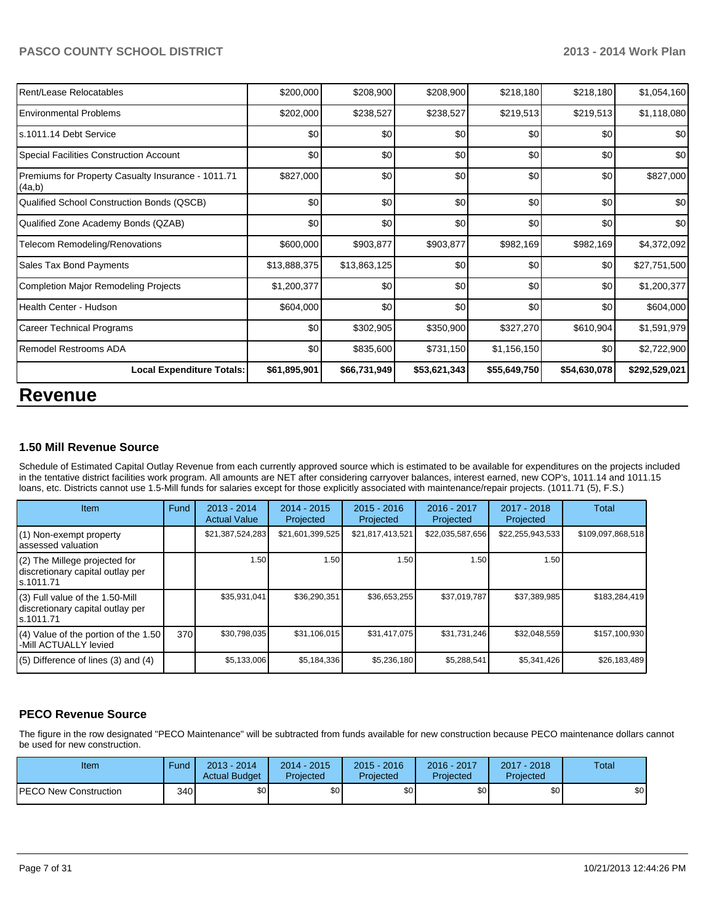#### PASCO COUNTY SCHOOL DISTRICT **2013 - 2014 Work Plan**

| <b>Local Expenditure Totals:</b>                             | \$61,895,901 | \$66,731,949 | \$53,621,343 | \$55,649,750 | \$54,630,078 | \$292,529,021 |
|--------------------------------------------------------------|--------------|--------------|--------------|--------------|--------------|---------------|
| Remodel Restrooms ADA                                        | \$0          | \$835,600    | \$731,150    | \$1,156,150  | \$0          | \$2,722,900   |
| <b>Career Technical Programs</b>                             | \$0          | \$302,905    | \$350,900    | \$327,270    | \$610,904    | \$1,591,979   |
| Health Center - Hudson                                       | \$604,000    | \$0          | \$0          | \$0          | \$0          | \$604,000     |
| <b>Completion Major Remodeling Projects</b>                  | \$1,200,377  | \$0          | \$0          | \$0          | \$0          | \$1,200,377   |
| Sales Tax Bond Payments                                      | \$13,888,375 | \$13,863,125 | \$0          | \$0          | \$0          | \$27,751,500  |
| <b>Telecom Remodeling/Renovations</b>                        | \$600,000    | \$903,877    | \$903,877    | \$982,169    | \$982,169    | \$4,372,092   |
| Qualified Zone Academy Bonds (QZAB)                          | \$0          | \$0          | \$0          | \$0          | \$0          | \$0           |
| Qualified School Construction Bonds (QSCB)                   | \$0          | \$0          | \$0          | \$0          | \$0          | \$0           |
| Premiums for Property Casualty Insurance - 1011.71<br>(4a,b) | \$827,000    | \$0          | \$0          | \$0          | \$0          | \$827,000     |
| Special Facilities Construction Account                      | \$0          | \$0          | \$0          | \$0          | \$0          | \$0           |
| ls.1011.14 Debt Service                                      | \$0          | \$0          | \$0          | \$0          | \$0          | \$0           |
| <b>Environmental Problems</b>                                | \$202,000    | \$238,527    | \$238,527    | \$219,513    | \$219,513    | \$1,118,080   |
| Rent/Lease Relocatables                                      | \$200,000    | \$208,900    | \$208,900    | \$218,180    | \$218,180    | \$1,054,160   |

# **Revenue**

#### **1.50 Mill Revenue Source**

Schedule of Estimated Capital Outlay Revenue from each currently approved source which is estimated to be available for expenditures on the projects included in the tentative district facilities work program. All amounts are NET after considering carryover balances, interest earned, new COP's, 1011.14 and 1011.15 loans, etc. Districts cannot use 1.5-Mill funds for salaries except for those explicitly associated with maintenance/repair projects. (1011.71 (5), F.S.)

| <b>Item</b>                                                                         | Fund | $2013 - 2014$<br><b>Actual Value</b> | $2014 - 2015$<br>Projected | $2015 - 2016$<br>Projected | $2016 - 2017$<br>Projected | 2017 - 2018<br>Projected | <b>Total</b>      |
|-------------------------------------------------------------------------------------|------|--------------------------------------|----------------------------|----------------------------|----------------------------|--------------------------|-------------------|
| $(1)$ Non-exempt property<br>assessed valuation                                     |      | \$21,387,524,283                     | \$21,601,399,525           | \$21,817,413,521           | \$22,035,587,656           | \$22,255,943,533         | \$109,097,868,518 |
| $(2)$ The Millege projected for<br>discretionary capital outlay per<br>ls.1011.71   |      | 1.50                                 | 1.50 l                     | 1.50                       | 1.50                       | 1.50                     |                   |
| $(3)$ Full value of the 1.50-Mill<br>discretionary capital outlay per<br>ls.1011.71 |      | \$35,931,041                         | \$36,290,351               | \$36,653,255               | \$37,019,787               | \$37,389,985             | \$183,284,419     |
| (4) Value of the portion of the 1.50<br>-Mill ACTUALLY levied                       | 370  | \$30,798,035                         | \$31,106,015               | \$31,417,075               | \$31,731,246               | \$32,048,559             | \$157,100,930     |
| $(5)$ Difference of lines $(3)$ and $(4)$                                           |      | \$5,133,006                          | \$5,184,336                | \$5,236,180                | \$5,288,541                | \$5,341,426              | \$26,183,489      |

#### **PECO Revenue Source**

The figure in the row designated "PECO Maintenance" will be subtracted from funds available for new construction because PECO maintenance dollars cannot be used for new construction.

| Item                         | Fund | $2013 - 2014$<br><b>Actual Budget</b> | $2014 - 2015$<br>Projected | $2015 - 2016$<br>Projected | 2016 - 2017<br>Projected | 2017 - 2018<br>Projected | Total |
|------------------------------|------|---------------------------------------|----------------------------|----------------------------|--------------------------|--------------------------|-------|
| <b>PECO New Construction</b> | 340  | \$0 <sub>1</sub>                      | \$0 <sub>1</sub>           | \$0                        | \$0 <sub>1</sub>         | \$0                      | \$0   |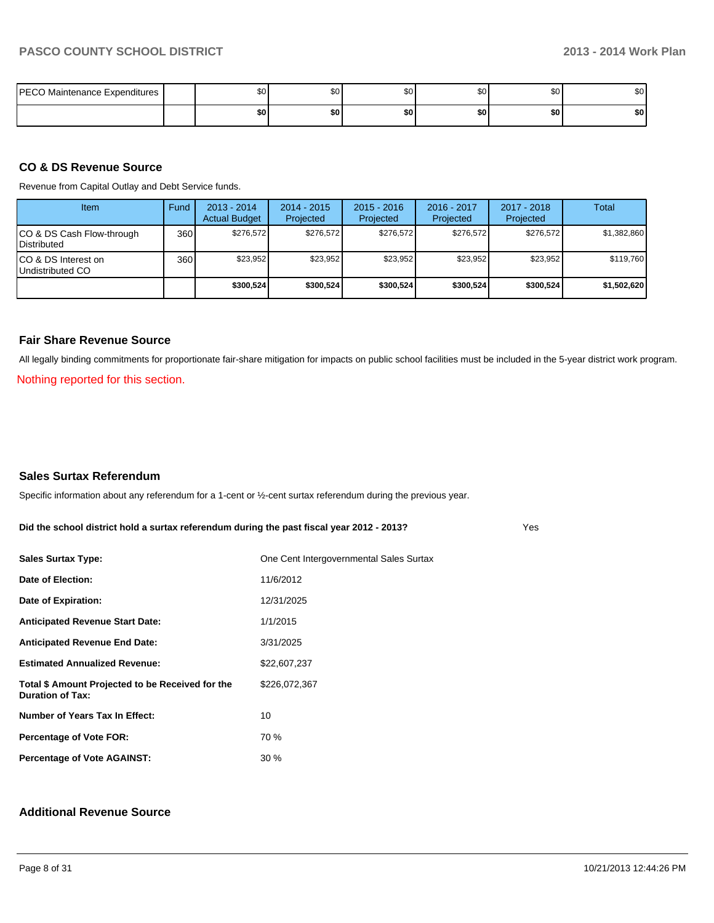| <b>PECO Maintenance Expenditures</b> | \$0 | ሶስ<br>ΦU | \$0 |     | ጦጣ<br>Ψ∪ | ΦO<br>-JU |
|--------------------------------------|-----|----------|-----|-----|----------|-----------|
|                                      | \$0 | \$0      | \$0 | \$0 | \$0      | \$0       |

#### **CO & DS Revenue Source**

Revenue from Capital Outlay and Debt Service funds.

| Item                                               | Fund | $2013 - 2014$<br><b>Actual Budget</b> | $2014 - 2015$<br>Projected | $2015 - 2016$<br>Projected | $2016 - 2017$<br>Projected | $2017 - 2018$<br>Projected | Total       |
|----------------------------------------------------|------|---------------------------------------|----------------------------|----------------------------|----------------------------|----------------------------|-------------|
| ICO & DS Cash Flow-through<br><b>I</b> Distributed | 360  | \$276.572                             | \$276.572                  | \$276.572                  | \$276.572                  | \$276.572                  | \$1.382.860 |
| ICO & DS Interest on<br>Undistributed CO           | 360  | \$23.952                              | \$23,952                   | \$23,952                   | \$23,952                   | \$23.952                   | \$119,760   |
|                                                    |      | \$300,524                             | \$300,524                  | \$300.524                  | \$300.524                  | \$300,524                  | \$1,502,620 |

#### **Fair Share Revenue Source**

All legally binding commitments for proportionate fair-share mitigation for impacts on public school facilities must be included in the 5-year district work program.

Nothing reported for this section.

#### **Sales Surtax Referendum**

Specific information about any referendum for a 1-cent or ½-cent surtax referendum during the previous year.

**Did the school district hold a surtax referendum during the past fiscal year 2012 - 2013?**

| <b>Sales Surtax Type:</b>                                                   | One Cent Intergovernmental Sales Surtax |
|-----------------------------------------------------------------------------|-----------------------------------------|
| Date of Election:                                                           | 11/6/2012                               |
| Date of Expiration:                                                         | 12/31/2025                              |
| <b>Anticipated Revenue Start Date:</b>                                      | 1/1/2015                                |
| <b>Anticipated Revenue End Date:</b>                                        | 3/31/2025                               |
| <b>Estimated Annualized Revenue:</b>                                        | \$22,607,237                            |
| Total \$ Amount Projected to be Received for the<br><b>Duration of Tax:</b> | \$226,072,367                           |
| Number of Years Tax In Effect:                                              | 10                                      |
| <b>Percentage of Vote FOR:</b>                                              | 70 %                                    |
| <b>Percentage of Vote AGAINST:</b>                                          | 30%                                     |

#### **Additional Revenue Source**

Yes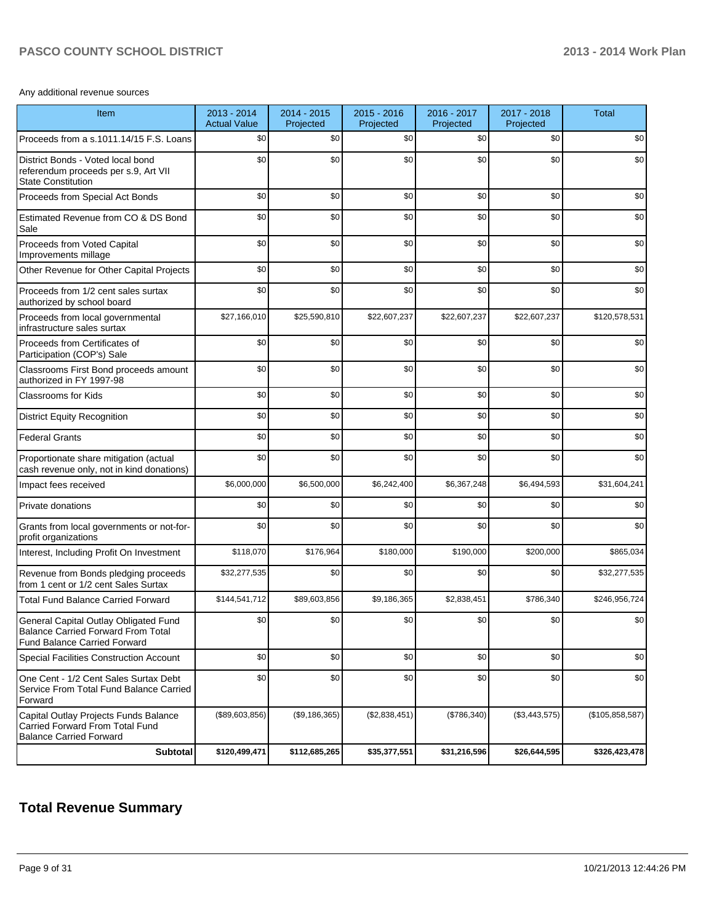## PASCO COUNTY SCHOOL DISTRICT **2013 - 2014 Work Plan**

Any additional revenue sources

| Item                                                                                                                      | 2013 - 2014<br><b>Actual Value</b> | 2014 - 2015<br>Projected | $2015 - 2016$<br>Projected | 2016 - 2017<br>Projected | 2017 - 2018<br>Projected | <b>Total</b>    |
|---------------------------------------------------------------------------------------------------------------------------|------------------------------------|--------------------------|----------------------------|--------------------------|--------------------------|-----------------|
| Proceeds from a s.1011.14/15 F.S. Loans                                                                                   | \$0                                | \$0                      | \$0                        | \$0                      | \$0                      | \$0             |
| District Bonds - Voted local bond<br>referendum proceeds per s.9, Art VII<br><b>State Constitution</b>                    | \$0                                | \$0                      | \$0                        | \$0                      | \$0                      | \$0             |
| Proceeds from Special Act Bonds                                                                                           | \$0                                | \$0                      | \$0                        | \$0                      | \$0                      | \$0             |
| Estimated Revenue from CO & DS Bond<br>Sale                                                                               | \$0                                | \$0                      | \$0                        | \$0                      | \$0                      | \$0             |
| Proceeds from Voted Capital<br>Improvements millage                                                                       | \$0                                | \$0                      | \$0                        | \$0                      | \$0                      | \$0             |
| Other Revenue for Other Capital Projects                                                                                  | \$0                                | \$0                      | \$0                        | \$0                      | \$0                      | \$0             |
| Proceeds from 1/2 cent sales surtax<br>authorized by school board                                                         | \$0                                | \$0                      | \$0                        | \$0                      | \$0                      | \$0             |
| Proceeds from local governmental<br>infrastructure sales surtax                                                           | \$27,166,010                       | \$25,590,810             | \$22,607,237               | \$22,607,237             | \$22,607,237             | \$120,578,531   |
| Proceeds from Certificates of<br>Participation (COP's) Sale                                                               | \$0                                | \$0                      | \$0                        | \$0                      | \$0                      | \$0             |
| Classrooms First Bond proceeds amount<br>authorized in FY 1997-98                                                         | \$0                                | \$0                      | \$0                        | \$0                      | \$0                      | \$0             |
| Classrooms for Kids                                                                                                       | \$0                                | \$0                      | \$0                        | \$0                      | \$0                      | \$0             |
| <b>District Equity Recognition</b>                                                                                        | \$0                                | \$0                      | \$0                        | \$0                      | \$0                      | \$0             |
| <b>Federal Grants</b>                                                                                                     | \$0                                | \$0                      | \$0                        | \$0                      | \$0                      | \$0             |
| Proportionate share mitigation (actual<br>cash revenue only, not in kind donations)                                       | \$0                                | \$0                      | \$0                        | \$0                      | \$0                      | \$0             |
| Impact fees received                                                                                                      | \$6,000,000                        | \$6,500,000              | \$6,242,400                | \$6,367,248              | \$6,494,593              | \$31,604,241    |
| Private donations                                                                                                         | \$0                                | \$0                      | \$0                        | \$0                      | \$0                      | \$0             |
| Grants from local governments or not-for-<br>profit organizations                                                         | \$0                                | \$0                      | \$0                        | \$0                      | \$0                      | \$0             |
| Interest, Including Profit On Investment                                                                                  | \$118,070                          | \$176,964                | \$180,000                  | \$190,000                | \$200,000                | \$865,034       |
| Revenue from Bonds pledging proceeds<br>from 1 cent or 1/2 cent Sales Surtax                                              | \$32,277,535                       | \$0                      | \$0                        | \$0                      | \$0                      | \$32,277,535    |
| <b>Total Fund Balance Carried Forward</b>                                                                                 | \$144,541,712                      | \$89,603,856             | \$9,186,365                | \$2,838,451              | \$786,340                | \$246,956,724   |
| General Capital Outlay Obligated Fund<br><b>Balance Carried Forward From Total</b><br><b>Fund Balance Carried Forward</b> | \$0                                | \$0                      | \$0                        | \$0                      | \$0                      | \$0             |
| Special Facilities Construction Account                                                                                   | \$0                                | \$0                      | \$0                        | \$0                      | \$0                      | \$0             |
| One Cent - 1/2 Cent Sales Surtax Debt<br>Service From Total Fund Balance Carried<br>Forward                               | \$0                                | \$0                      | \$0                        | \$0                      | \$0                      | \$0             |
| Capital Outlay Projects Funds Balance<br>Carried Forward From Total Fund<br><b>Balance Carried Forward</b>                | (\$89,603,856)                     | (\$9,186,365)            | (\$2,838,451)              | (\$786,340)              | (\$3,443,575)            | (\$105,858,587) |
| <b>Subtotal</b>                                                                                                           | \$120,499,471                      | \$112,685,265            | \$35,377,551               | \$31,216,596             | \$26,644,595             | \$326,423,478   |

## **Total Revenue Summary**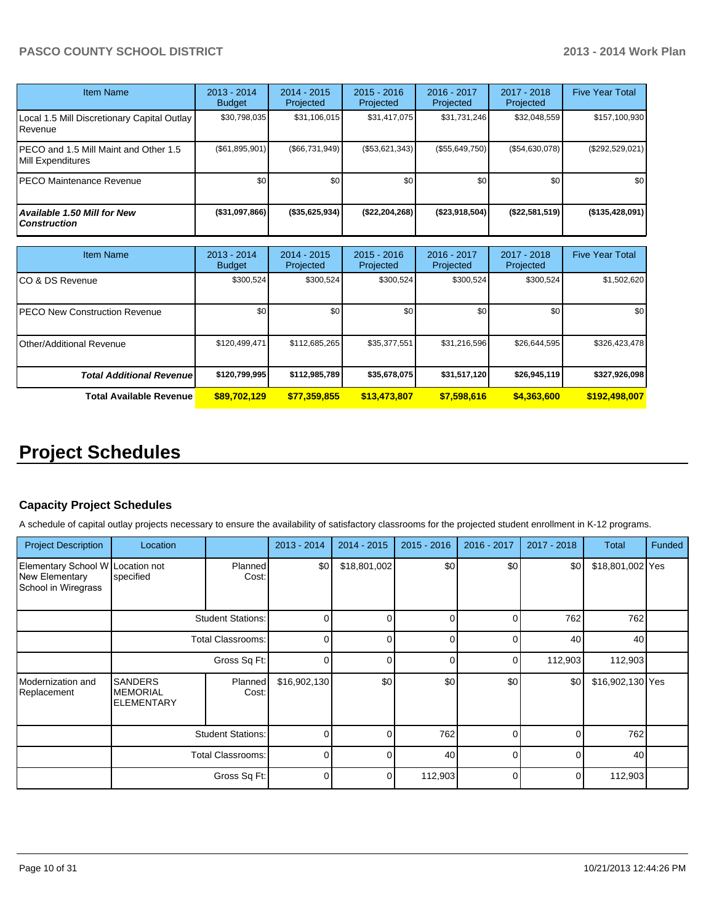### PASCO COUNTY SCHOOL DISTRICT **2013 - 2014 Work Plan**

| <b>Item Name</b>                                           | $2013 - 2014$<br><b>Budget</b> | $2014 - 2015$<br>Projected | $2015 - 2016$<br>Projected | $2016 - 2017$<br>Projected | $2017 - 2018$<br>Projected | <b>Five Year Total</b> |
|------------------------------------------------------------|--------------------------------|----------------------------|----------------------------|----------------------------|----------------------------|------------------------|
| Local 1.5 Mill Discretionary Capital Outlay  <br>Revenue   | \$30,798,035                   | \$31,106,015               | \$31,417,075               | \$31,731,246               | \$32,048,559               | \$157,100,930          |
| PECO and 1.5 Mill Maint and Other 1.5<br>Mill Expenditures | (S61, 895, 901)                | (S66.731.949)              | $(\$53,621,343)$           | (\$55,649,750)             | (\$54,630,078)             | (\$292,529,021)        |
| IPECO Maintenance Revenue                                  | \$0 <sub>1</sub>               | \$0 <sub>l</sub>           | \$0                        | \$0                        | \$0 <sub>1</sub>           | \$0                    |
| <b>Available 1.50 Mill for New</b><br><b>Construction</b>  | (\$31,097,866)                 | $($ \$35,625,934)          | (\$22, 204, 268)           | $($ \$23,918,504)          | (\$22,581,519)             | (\$135,428,091)        |

| Item Name                             | $2013 - 2014$<br><b>Budget</b> | $2014 - 2015$<br>Projected | $2015 - 2016$<br>Projected | $2016 - 2017$<br>Projected | $2017 - 2018$<br>Projected | <b>Five Year Total</b> |
|---------------------------------------|--------------------------------|----------------------------|----------------------------|----------------------------|----------------------------|------------------------|
| ICO & DS Revenue                      | \$300,524                      | \$300,524                  | \$300,524                  | \$300,524                  | \$300,524                  | \$1,502,620            |
| <b>IPECO New Construction Revenue</b> | \$0                            | \$0                        | \$0                        | \$0                        | \$0                        | \$0 <sub>1</sub>       |
| IOther/Additional Revenue             | \$120,499,471                  | \$112,685,265              | \$35,377,551               | \$31,216,596               | \$26,644,595               | \$326,423,478          |
| <b>Total Additional Revenuel</b>      | \$120,799,995                  | \$112,985,789              | \$35,678,075               | \$31,517,120               | \$26,945,119               | \$327,926,098          |
| <b>Total Available Revenue</b>        | \$89,702,129                   | \$77,359,855               | \$13,473,807               | \$7,598,616                | \$4,363,600                | \$192,498,007          |

# **Project Schedules**

#### **Capacity Project Schedules**

A schedule of capital outlay projects necessary to ensure the availability of satisfactory classrooms for the projected student enrollment in K-12 programs.

| <b>Project Description</b>                                   | Location                                               |                         | 2013 - 2014  | $2014 - 2015$ | $2015 - 2016$ | 2016 - 2017 | $2017 - 2018$ | <b>Total</b>     | Funded |
|--------------------------------------------------------------|--------------------------------------------------------|-------------------------|--------------|---------------|---------------|-------------|---------------|------------------|--------|
| Elementary School W<br>New Elementary<br>School in Wiregrass | Location not<br>specified                              | <b>Planned</b><br>Cost: | \$0          | \$18,801,002  | \$0           | \$0         | \$0           | \$18,801,002 Yes |        |
|                                                              | <b>Student Stations:</b>                               |                         | $\Omega$     |               | $\Omega$      |             | 762           | 762              |        |
|                                                              | <b>Total Classrooms:</b>                               |                         | 0            |               |               |             | 40            | 40               |        |
|                                                              | Gross Sq Ft:                                           |                         | $\Omega$     |               | $\Omega$      |             | 112,903       | 112,903          |        |
| Modernization and<br>Replacement                             | <b>SANDERS</b><br><b>MEMORIAL</b><br><b>ELEMENTARY</b> | Planned<br>Cost:        | \$16,902,130 | \$0           | \$0           | \$0         | \$0           | \$16,902,130 Yes |        |
|                                                              | <b>Student Stations:</b>                               |                         | <sup>o</sup> |               | 762           |             |               | 762              |        |
|                                                              | <b>Total Classrooms:</b>                               |                         | $\Omega$     |               | 40            |             |               | 40               |        |
|                                                              |                                                        | Gross Sq Ft:            | $\Omega$     |               | 112,903       |             |               | 112,903          |        |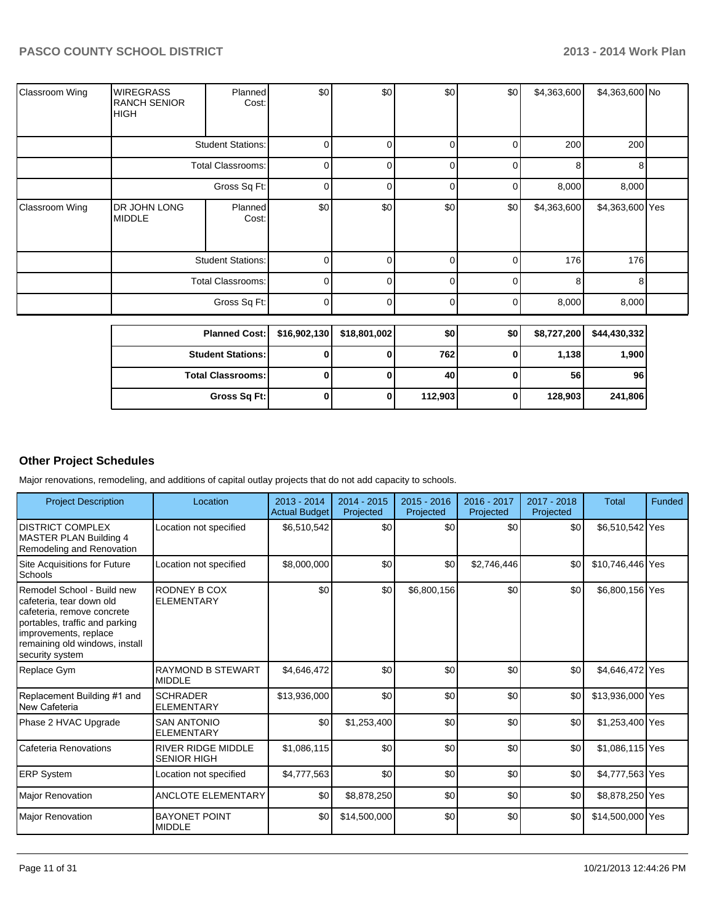| Classroom Wing        | <b>WIREGRASS</b><br><b>RANCH SENIOR</b><br><b>HIGH</b> | Planned<br>Cost:         | \$0          | \$0          | \$0         | \$0            | \$4,363,600 | \$4,363,600 No  |  |
|-----------------------|--------------------------------------------------------|--------------------------|--------------|--------------|-------------|----------------|-------------|-----------------|--|
|                       |                                                        | <b>Student Stations:</b> | 0            | 0            | 0           | 0              | 200         | 200             |  |
|                       |                                                        | <b>Total Classrooms:</b> | 0            | U            | $\mathbf 0$ | $\Omega$       | 8           | 8               |  |
|                       |                                                        | Gross Sq Ft:             | 0            | U            | 0           | 0              | 8,000       | 8,000           |  |
| <b>Classroom Wing</b> | DR JOHN LONG<br><b>MIDDLE</b>                          | Planned<br>Cost:         | \$0          | \$0          | \$0         | \$0            | \$4,363,600 | \$4,363,600 Yes |  |
|                       |                                                        | <b>Student Stations:</b> | 0            | 0            | $\Omega$    | $\Omega$       | 176         | 176             |  |
|                       |                                                        | <b>Total Classrooms:</b> | 0            | 0            | 0           | 0              | 8           | 8               |  |
|                       |                                                        | Gross Sq Ft:             | 0            | 0            | 0           | $\overline{0}$ | 8,000       | 8,000           |  |
|                       | <b>Planned Cost:</b>                                   |                          | \$16,902,130 | \$18,801,002 | \$0         | \$0            | \$8,727,200 | \$44,430,332    |  |
|                       |                                                        | <b>Student Stations:</b> | 0            |              | 762         | 0              | 1,138       | 1,900           |  |

**Total Classrooms: 0 0 40 0 56 96**

**Gross Sq Ft: 0 0 112,903 0 128,903 241,806**

## **Other Project Schedules**

Major renovations, remodeling, and additions of capital outlay projects that do not add capacity to schools.

| <b>Project Description</b>                                                                                                                                                                           | Location                                        | 2013 - 2014<br><b>Actual Budget</b> | $2014 - 2015$<br>Projected | $2015 - 2016$<br>Projected | 2016 - 2017<br>Projected | $2017 - 2018$<br>Projected | <b>Total</b>     | Funded |
|------------------------------------------------------------------------------------------------------------------------------------------------------------------------------------------------------|-------------------------------------------------|-------------------------------------|----------------------------|----------------------------|--------------------------|----------------------------|------------------|--------|
| <b>IDISTRICT COMPLEX</b><br>MASTER PLAN Building 4<br>Remodeling and Renovation                                                                                                                      | Location not specified                          | \$6,510,542                         | \$0                        | \$0                        | \$0                      | \$0                        | \$6,510,542 Yes  |        |
| Site Acquisitions for Future<br>Schools                                                                                                                                                              | Location not specified                          | \$8,000,000                         | \$0                        | \$0                        | \$2,746,446              | \$0                        | \$10,746,446 Yes |        |
| Remodel School - Build new<br>cafeteria, tear down old<br>cafeteria, remove concrete<br>portables, traffic and parking<br>improvements, replace<br>remaining old windows, install<br>security system | RODNEY B COX<br><b>ELEMENTARY</b>               | \$0                                 | \$0                        | \$6,800,156                | \$0                      | \$0                        | \$6,800,156 Yes  |        |
| Replace Gym                                                                                                                                                                                          | <b>RAYMOND B STEWART</b><br><b>MIDDLE</b>       | \$4,646,472                         | \$0                        | \$0                        | \$0                      | \$0                        | \$4,646,472 Yes  |        |
| Replacement Building #1 and<br>New Cafeteria                                                                                                                                                         | <b>SCHRADER</b><br><b>ELEMENTARY</b>            | \$13,936,000                        | \$0                        | \$0                        | \$0                      | \$0                        | \$13,936,000 Yes |        |
| Phase 2 HVAC Upgrade                                                                                                                                                                                 | <b>SAN ANTONIO</b><br><b>ELEMENTARY</b>         | \$0                                 | \$1,253,400                | \$0                        | \$0                      | \$0                        | \$1,253,400 Yes  |        |
| Cafeteria Renovations                                                                                                                                                                                | <b>RIVER RIDGE MIDDLE</b><br><b>SENIOR HIGH</b> | \$1,086,115                         | \$0                        | \$0                        | \$0                      | \$0                        | \$1,086,115 Yes  |        |
| <b>ERP System</b>                                                                                                                                                                                    | Location not specified                          | \$4,777,563                         | \$0                        | \$0                        | \$0                      | \$0                        | \$4,777,563 Yes  |        |
| <b>Major Renovation</b>                                                                                                                                                                              | <b>ANCLOTE ELEMENTARY</b>                       | \$0                                 | \$8,878,250                | \$0                        | \$0                      | \$0                        | \$8,878,250 Yes  |        |
| Major Renovation                                                                                                                                                                                     | <b>BAYONET POINT</b><br><b>MIDDLE</b>           | \$0                                 | \$14,500,000               | \$0                        | \$0                      | \$0                        | \$14,500,000 Yes |        |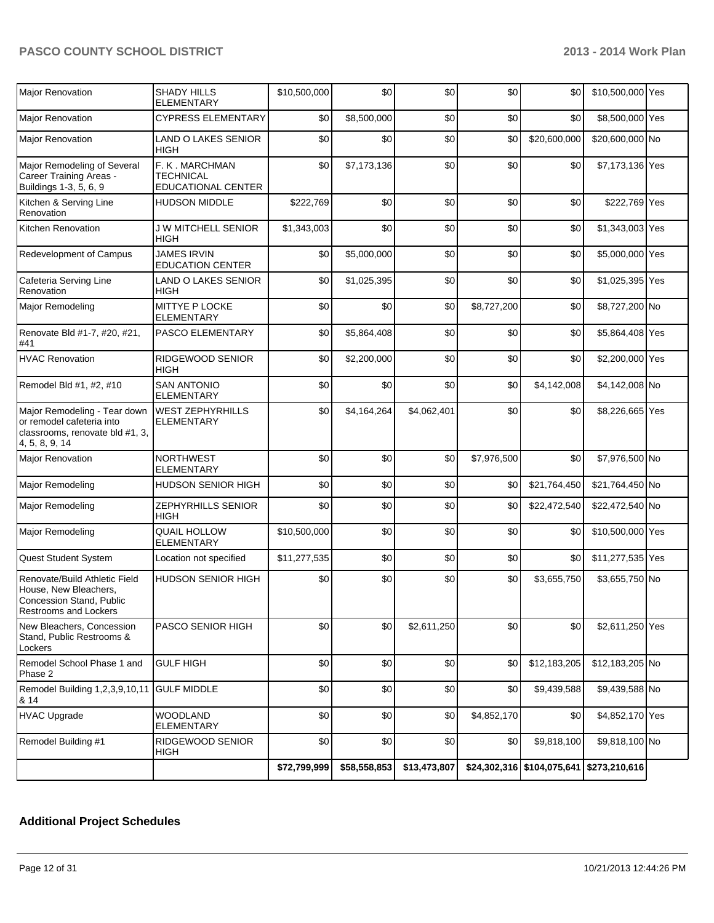| Major Renovation                                                                                                   | <b>SHADY HILLS</b><br>ELEMENTARY                         | \$10,500,000 | \$0          | \$0          | \$0         | \$0                        | \$10,500,000 Yes |  |
|--------------------------------------------------------------------------------------------------------------------|----------------------------------------------------------|--------------|--------------|--------------|-------------|----------------------------|------------------|--|
| Major Renovation                                                                                                   | <b>CYPRESS ELEMENTARY</b>                                | \$0          | \$8,500,000  | \$0          | \$0         | \$0                        | \$8,500,000 Yes  |  |
| <b>Major Renovation</b>                                                                                            | <b>LAND O LAKES SENIOR</b><br>HIGH                       | \$0          | \$0          | \$0          | \$0         | \$20,600,000               | \$20,600,000 No  |  |
| Major Remodeling of Several<br>Career Training Areas -<br>Buildings 1-3, 5, 6, 9                                   | F. K. MARCHMAN<br>TECHNICAL<br><b>EDUCATIONAL CENTER</b> | \$0          | \$7,173,136  | \$0          | \$0         | \$0                        | \$7,173,136 Yes  |  |
| Kitchen & Serving Line<br>Renovation                                                                               | <b>HUDSON MIDDLE</b>                                     | \$222,769    | \$0          | \$0          | \$0         | \$0                        | \$222,769 Yes    |  |
| Kitchen Renovation                                                                                                 | <b>J W MITCHELL SENIOR</b><br>HIGH                       | \$1,343,003  | \$0          | \$0          | \$0         | \$0                        | \$1,343,003 Yes  |  |
| Redevelopment of Campus                                                                                            | <b>JAMES IRVIN</b><br><b>EDUCATION CENTER</b>            | \$0          | \$5,000,000  | \$0          | \$0         | \$0                        | \$5,000,000 Yes  |  |
| Cafeteria Serving Line<br>Renovation                                                                               | <b>LAND O LAKES SENIOR</b><br>HIGH                       | \$0          | \$1,025,395  | \$0          | \$0         | \$0                        | \$1,025,395 Yes  |  |
| Major Remodeling                                                                                                   | MITTYE P LOCKE<br><b>ELEMENTARY</b>                      | \$0          | \$0          | \$0          | \$8,727,200 | \$0                        | \$8,727,200 No   |  |
| Renovate Bld #1-7, #20, #21,<br>#41                                                                                | PASCO ELEMENTARY                                         | \$0          | \$5,864,408  | \$0          | \$0         | \$0                        | \$5,864,408 Yes  |  |
| <b>HVAC Renovation</b>                                                                                             | RIDGEWOOD SENIOR<br>HIGH                                 | \$0          | \$2,200,000  | \$0          | \$0         | \$0                        | \$2,200,000 Yes  |  |
| Remodel Bld #1, #2, #10                                                                                            | <b>SAN ANTONIO</b><br><b>ELEMENTARY</b>                  | \$0          | \$0          | \$0          | \$0         | \$4,142,008                | \$4,142,008 No   |  |
| Major Remodeling - Tear down<br>or remodel cafeteria into<br>classrooms, renovate bld #1, 3,<br>4, 5, 8, 9, 14     | <b>WEST ZEPHYRHILLS</b><br><b>ELEMENTARY</b>             | \$0          | \$4,164,264  | \$4,062,401  | \$0         | \$0                        | \$8,226,665 Yes  |  |
| Major Renovation                                                                                                   | <b>NORTHWEST</b><br>ELEMENTARY                           | \$0          | \$0          | \$0          | \$7,976,500 | \$0                        | \$7,976,500 No   |  |
| Major Remodeling                                                                                                   | HUDSON SENIOR HIGH                                       | \$0          | \$0          | \$0          | \$0         | \$21,764,450               | \$21,764,450 No  |  |
| Major Remodeling                                                                                                   | ZEPHYRHILLS SENIOR<br><b>HIGH</b>                        | \$0          | \$0          | \$0          | \$0         | \$22,472,540               | \$22,472,540 No  |  |
| Major Remodeling                                                                                                   | <b>QUAIL HOLLOW</b><br>ELEMENTARY                        | \$10,500,000 | \$0          | \$0          | \$0         | \$0                        | \$10,500,000 Yes |  |
| Quest Student System                                                                                               | Location not specified                                   | \$11,277,535 | \$0          | \$0          | \$0         | \$0                        | \$11,277,535 Yes |  |
| Renovate/Build Athletic Field<br>House, New Bleachers,<br>Concession Stand, Public<br><b>Restrooms and Lockers</b> | <b>HUDSON SENIOR HIGH</b>                                | \$0          | \$0          | \$0          | \$0         | \$3,655,750                | \$3,655,750 No   |  |
| New Bleachers, Concession<br>Stand, Public Restrooms &<br>Lockers                                                  | PASCO SENIOR HIGH                                        | \$0          | \$0          | \$2,611,250  | \$0         | \$0                        | \$2,611,250 Yes  |  |
| Remodel School Phase 1 and<br>Phase 2                                                                              | <b>GULF HIGH</b>                                         | \$0          | \$0          | \$0          | \$0         | \$12,183,205               | \$12,183,205 No  |  |
| Remodel Building 1,2,3,9,10,11 GULF MIDDLE<br>& 14                                                                 |                                                          | \$0          | \$0          | \$0          | \$0         | \$9,439,588                | \$9,439,588 No   |  |
| <b>HVAC Upgrade</b>                                                                                                | <b>WOODLAND</b><br><b>ELEMENTARY</b>                     | \$0          | \$0          | \$0          | \$4,852,170 | \$0                        | \$4,852,170 Yes  |  |
| Remodel Building #1                                                                                                | RIDGEWOOD SENIOR<br>HIGH                                 | \$0          | \$0          | \$0          | \$0         | \$9,818,100                | \$9,818,100 No   |  |
|                                                                                                                    |                                                          | \$72,799,999 | \$58,558,853 | \$13,473,807 |             | \$24,302,316 \$104,075,641 | \$273,210,616    |  |

## **Additional Project Schedules**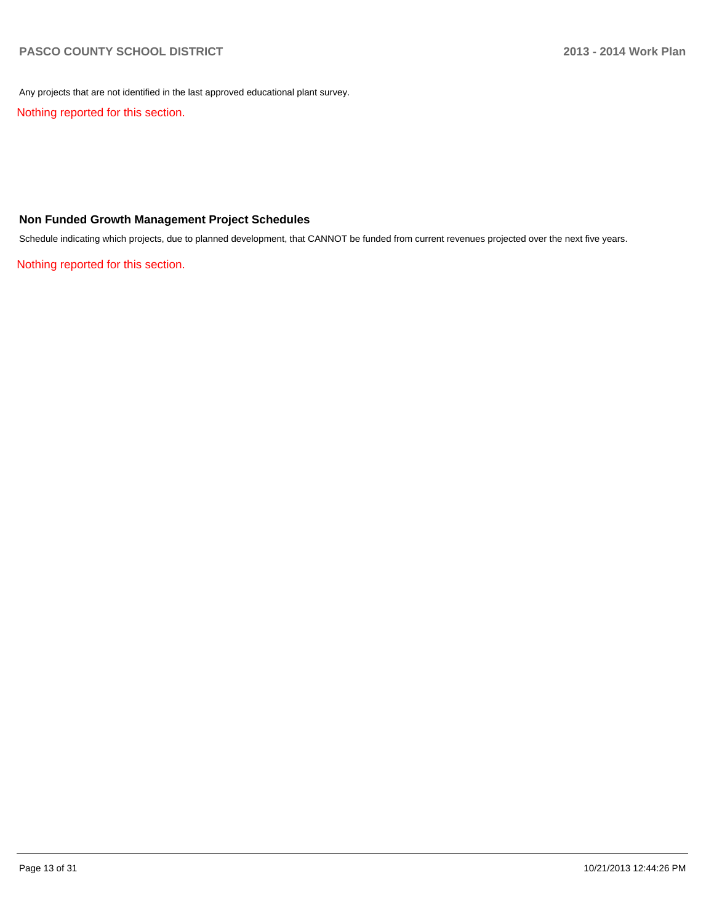Any projects that are not identified in the last approved educational plant survey.

Nothing reported for this section.

#### **Non Funded Growth Management Project Schedules**

Schedule indicating which projects, due to planned development, that CANNOT be funded from current revenues projected over the next five years.

Nothing reported for this section.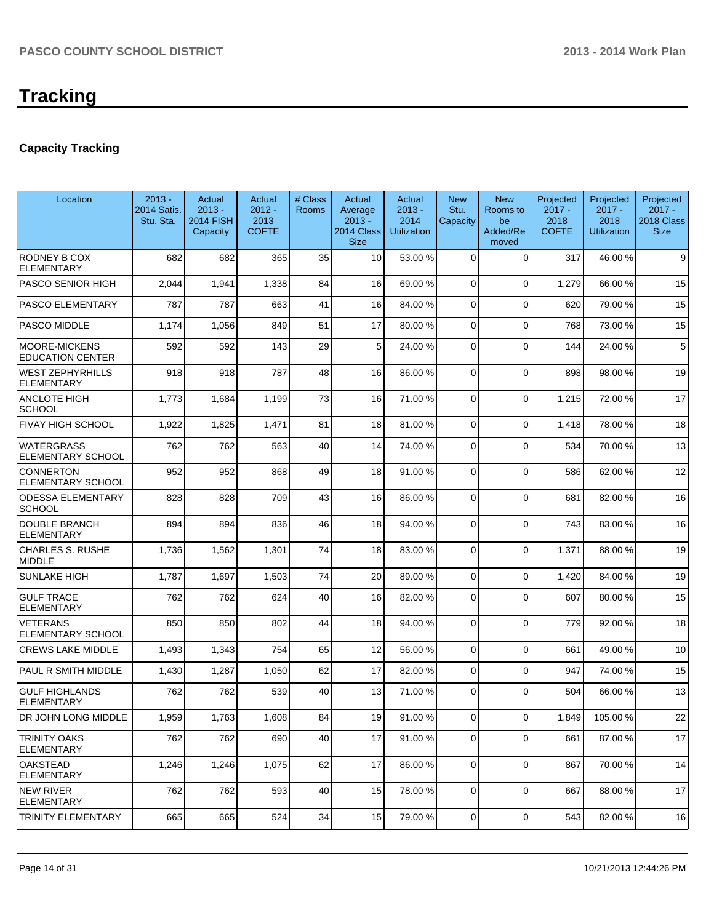## **Capacity Tracking**

| Location                                         | $2013 -$<br><b>2014 Satis.</b><br>Stu. Sta. | Actual<br>$2013 -$<br><b>2014 FISH</b><br>Capacity | Actual<br>$2012 -$<br>2013<br><b>COFTE</b> | # Class<br><b>Rooms</b> | Actual<br>Average<br>$2013 -$<br>2014 Class<br><b>Size</b> | Actual<br>$2013 -$<br>2014<br><b>Utilization</b> | <b>New</b><br>Stu.<br>Capacity | <b>New</b><br>Rooms to<br>be<br>Added/Re<br>moved | Projected<br>$2017 -$<br>2018<br><b>COFTE</b> | Projected<br>$2017 -$<br>2018<br><b>Utilization</b> | Projected<br>$2017 -$<br>2018 Class<br><b>Size</b> |
|--------------------------------------------------|---------------------------------------------|----------------------------------------------------|--------------------------------------------|-------------------------|------------------------------------------------------------|--------------------------------------------------|--------------------------------|---------------------------------------------------|-----------------------------------------------|-----------------------------------------------------|----------------------------------------------------|
| RODNEY B COX<br><b>ELEMENTARY</b>                | 682                                         | 682                                                | 365                                        | 35                      | 10                                                         | 53.00 %                                          | $\Omega$                       | $\Omega$                                          | 317                                           | 46.00%                                              | 9                                                  |
| <b>PASCO SENIOR HIGH</b>                         | 2,044                                       | 1,941                                              | 1,338                                      | 84                      | 16                                                         | 69.00 %                                          | 0                              | $\Omega$                                          | 1,279                                         | 66.00 %                                             | 15                                                 |
| <b>PASCO ELEMENTARY</b>                          | 787                                         | 787                                                | 663                                        | 41                      | 16                                                         | 84.00 %                                          | 0                              | $\Omega$                                          | 620                                           | 79.00 %                                             | 15                                                 |
| <b>PASCO MIDDLE</b>                              | 1,174                                       | 1,056                                              | 849                                        | 51                      | 17                                                         | 80.00 %                                          | 0                              | $\Omega$                                          | 768                                           | 73.00 %                                             | 15                                                 |
| <b>IMOORE-MICKENS</b><br><b>EDUCATION CENTER</b> | 592                                         | 592                                                | 143                                        | 29                      | 5                                                          | 24.00 %                                          | 0                              | $\Omega$                                          | 144                                           | 24.00%                                              | 5                                                  |
| <b>WEST ZEPHYRHILLS</b><br><b>ELEMENTARY</b>     | 918                                         | 918                                                | 787                                        | 48                      | 16                                                         | 86.00 %                                          | $\Omega$                       | $\Omega$                                          | 898                                           | 98.00 %                                             | 19                                                 |
| <b>ANCLOTE HIGH</b><br><b>SCHOOL</b>             | 1,773                                       | 1,684                                              | 1,199                                      | 73                      | 16                                                         | 71.00 %                                          | $\overline{0}$                 | $\Omega$                                          | 1,215                                         | 72.00 %                                             | 17                                                 |
| <b>FIVAY HIGH SCHOOL</b>                         | 1,922                                       | 1,825                                              | 1,471                                      | 81                      | 18                                                         | 81.00 %                                          | 0                              | $\Omega$                                          | 1,418                                         | 78.00 %                                             | 18                                                 |
| <b>WATERGRASS</b><br><b>ELEMENTARY SCHOOL</b>    | 762                                         | 762                                                | 563                                        | 40                      | 14                                                         | 74.00 %                                          | $\Omega$                       | $\Omega$                                          | 534                                           | 70.00%                                              | 13                                                 |
| <b>CONNERTON</b><br>ELEMENTARY SCHOOL            | 952                                         | 952                                                | 868                                        | 49                      | 18                                                         | 91.00 %                                          | $\Omega$                       | $\Omega$                                          | 586                                           | 62.00%                                              | 12                                                 |
| <b>ODESSA ELEMENTARY</b><br><b>SCHOOL</b>        | 828                                         | 828                                                | 709                                        | 43                      | 16                                                         | 86.00 %                                          | $\Omega$                       | $\Omega$                                          | 681                                           | 82.00%                                              | 16                                                 |
| <b>DOUBLE BRANCH</b><br><b>ELEMENTARY</b>        | 894                                         | 894                                                | 836                                        | 46                      | 18                                                         | 94.00 %                                          | $\overline{0}$                 | $\Omega$                                          | 743                                           | 83.00 %                                             | 16                                                 |
| <b>CHARLES S. RUSHE</b><br><b>MIDDLE</b>         | 1,736                                       | 1,562                                              | 1,301                                      | 74                      | 18                                                         | 83.00 %                                          | 0                              | $\Omega$                                          | 1,371                                         | 88.00 %                                             | 19                                                 |
| <b>SUNLAKE HIGH</b>                              | 1,787                                       | 1,697                                              | 1,503                                      | 74                      | 20                                                         | 89.00 %                                          | 0                              | $\Omega$                                          | 1,420                                         | 84.00%                                              | 19                                                 |
| <b>GULF TRACE</b><br><b>ELEMENTARY</b>           | 762                                         | 762                                                | 624                                        | 40                      | 16                                                         | 82.00 %                                          | 0                              | $\Omega$                                          | 607                                           | 80.00 %                                             | 15                                                 |
| <b>VETERANS</b><br><b>ELEMENTARY SCHOOL</b>      | 850                                         | 850                                                | 802                                        | 44                      | 18                                                         | 94.00 %                                          | $\Omega$                       | $\Omega$                                          | 779                                           | 92.00%                                              | 18                                                 |
| <b>CREWS LAKE MIDDLE</b>                         | 1,493                                       | 1,343                                              | 754                                        | 65                      | 12                                                         | 56.00 %                                          | $\overline{0}$                 | $\overline{0}$                                    | 661                                           | 49.00%                                              | 10                                                 |
| PAUL R SMITH MIDDLE                              | 1,430                                       | 1,287                                              | 1,050                                      | 62                      | 17                                                         | 82.00 %                                          | $\overline{0}$                 | $\overline{0}$                                    | 947                                           | 74.00 %                                             | 15                                                 |
| <b>GULF HIGHLANDS</b><br>ELEMENTARY              | 762                                         | 762                                                | 539                                        | 40                      | 13                                                         | 71.00 %                                          | 0                              | $\Omega$                                          | 504                                           | 66.00 %                                             | 13                                                 |
| DR JOHN LONG MIDDLE                              | 1,959                                       | 1,763                                              | 1,608                                      | 84                      | 19                                                         | 91.00 %                                          | $\overline{0}$                 | $\overline{0}$                                    | 1,849                                         | 105.00 %                                            | 22                                                 |
| <b>TRINITY OAKS</b><br>ELEMENTARY                | 762                                         | 762                                                | 690                                        | 40                      | 17                                                         | 91.00 %                                          | 0                              | $\overline{0}$                                    | 661                                           | 87.00%                                              | 17                                                 |
| <b>OAKSTEAD</b><br>ELEMENTARY                    | 1,246                                       | 1,246                                              | 1,075                                      | 62                      | 17                                                         | 86.00 %                                          | 0                              | $\overline{0}$                                    | 867                                           | 70.00%                                              | 14                                                 |
| NEW RIVER<br>ELEMENTARY                          | 762                                         | 762                                                | 593                                        | 40                      | 15                                                         | 78.00 %                                          | 0                              | $\overline{0}$                                    | 667                                           | 88.00%                                              | 17                                                 |
| <b>TRINITY ELEMENTARY</b>                        | 665                                         | 665                                                | 524                                        | 34                      | 15                                                         | 79.00 %                                          | $\overline{0}$                 | $\overline{0}$                                    | 543                                           | 82.00%                                              | 16                                                 |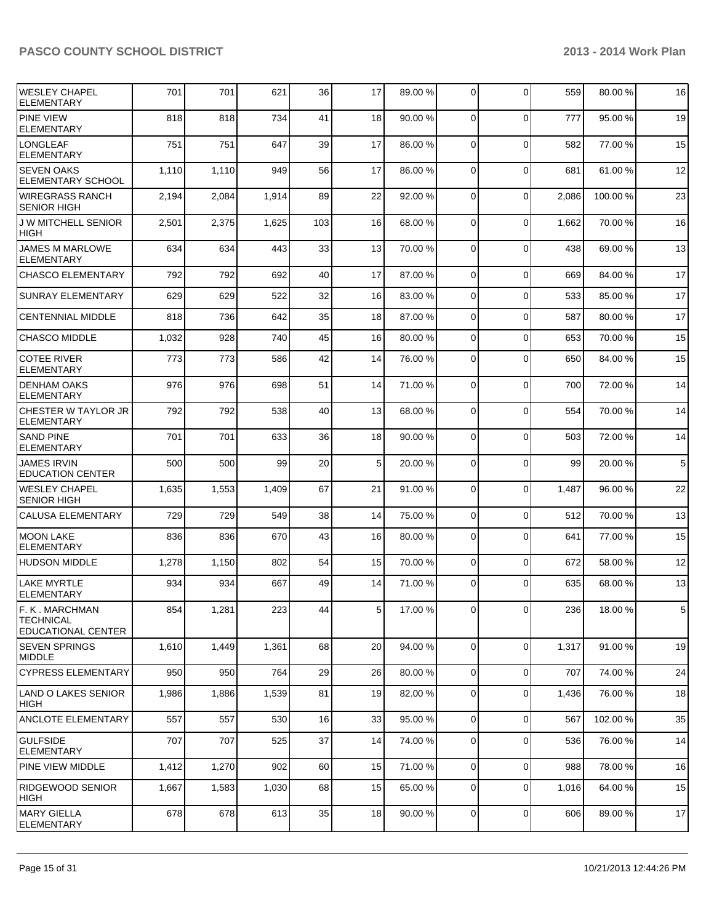### PASCO COUNTY SCHOOL DISTRICT **2013 - 2014 Work Plan**

| <b>WESLEY CHAPEL</b><br><b>ELEMENTARY</b>                       | 701   | 701   | 621   | 36  | 17              | 89.00 % | $\overline{0}$ | 0           | 559   | 80.00%   | 16              |
|-----------------------------------------------------------------|-------|-------|-------|-----|-----------------|---------|----------------|-------------|-------|----------|-----------------|
| <b>PINE VIEW</b><br>ELEMENTARY                                  | 818   | 818   | 734   | 41  | 18              | 90.00 % | $\Omega$       | 0           | 777   | 95.00 %  | 19              |
| <b>LONGLEAF</b><br>ELEMENTARY                                   | 751   | 751   | 647   | 39  | 17              | 86.00 % | $\overline{0}$ | 0           | 582   | 77.00 %  | 15              |
| ISEVEN OAKS<br><b>ELEMENTARY SCHOOL</b>                         | 1,110 | 1,110 | 949   | 56  | 17              | 86.00 % | $\Omega$       | $\Omega$    | 681   | 61.00%   | 12              |
| WIREGRASS RANCH<br><b>SENIOR HIGH</b>                           | 2,194 | 2,084 | 1,914 | 89  | 22              | 92.00 % | $\mathbf 0$    | 0           | 2,086 | 100.00%  | 23              |
| J W MITCHELL SENIOR<br> HIGH                                    | 2,501 | 2,375 | 1,625 | 103 | 16              | 68.00 % | $\Omega$       | 0           | 1,662 | 70.00%   | 16              |
| <b>JAMES M MARLOWE</b><br><b>ELEMENTARY</b>                     | 634   | 634   | 443   | 33  | 13              | 70.00 % | $\Omega$       | $\Omega$    | 438   | 69.00%   | 13              |
| <b>CHASCO ELEMENTARY</b>                                        | 792   | 792   | 692   | 40  | 17              | 87.00 % | $\Omega$       | $\Omega$    | 669   | 84.00%   | 17              |
| <b>SUNRAY ELEMENTARY</b>                                        | 629   | 629   | 522   | 32  | 16              | 83.00 % | $\Omega$       | $\mathbf 0$ | 533   | 85.00 %  | 17              |
| <b>CENTENNIAL MIDDLE</b>                                        | 818   | 736   | 642   | 35  | 18              | 87.00 % | $\overline{0}$ | $\mathbf 0$ | 587   | 80.00%   | 17              |
| <b>CHASCO MIDDLE</b>                                            | 1,032 | 928   | 740   | 45  | 16              | 80.00 % | $\Omega$       | $\Omega$    | 653   | 70.00%   | 15              |
| <b>COTEE RIVER</b><br>ELEMENTARY                                | 773   | 773   | 586   | 42  | 14              | 76.00 % | $\Omega$       | $\Omega$    | 650   | 84.00%   | 15              |
| I DENHAM OAKS<br>ELEMENTARY                                     | 976   | 976   | 698   | 51  | 14              | 71.00 % | $\Omega$       | $\mathbf 0$ | 700   | 72.00 %  | 14              |
| CHESTER W TAYLOR JR<br>ELEMENTARY                               | 792   | 792   | 538   | 40  | 13 <sup>1</sup> | 68.00 % | $\Omega$       | $\mathbf 0$ | 554   | 70.00%   | 14              |
| <b>SAND PINE</b><br>ELEMENTARY                                  | 701   | 701   | 633   | 36  | 18 <sup>l</sup> | 90.00 % | $\overline{0}$ | 0           | 503   | 72.00 %  | 14              |
| <b>JAMES IRVIN</b><br><b>EDUCATION CENTER</b>                   | 500   | 500   | 99    | 20  | 5 <sup>1</sup>  | 20.00 % | $\overline{0}$ | 0           | 99    | 20.00 %  | $5\phantom{.0}$ |
| WESLEY CHAPEL<br><b>SENIOR HIGH</b>                             | 1,635 | 1,553 | 1,409 | 67  | 21              | 91.00 % | $\Omega$       | 0           | 1,487 | 96.00 %  | 22              |
| <b>CALUSA ELEMENTARY</b>                                        | 729   | 729   | 549   | 38  | 14              | 75.00 % | $\overline{0}$ | $\mathbf 0$ | 512   | 70.00%   | 13              |
| <b>MOON LAKE</b><br><b>ELEMENTARY</b>                           | 836   | 836   | 670   | 43  | 16              | 80.00 % | $\Omega$       | $\Omega$    | 641   | 77.00 %  | 15              |
| HUDSON MIDDLE                                                   | 1,278 | 1,150 | 802   | 54  | 15              | 70.00 % | $\overline{0}$ | $\mathbf 0$ | 672   | 58.00 %  | 12              |
| LAKE MYRTLE<br>ELEMENTARY                                       | 934   | 934   | 667   | 49  | 14              | 71.00 % | $\overline{0}$ | $\Omega$    | 635   | 68.00 %  | 13              |
| F. K. MARCHMAN<br><b>TECHNICAL</b><br><b>EDUCATIONAL CENTER</b> | 854   | 1,281 | 223   | 44  | 5 <sub>l</sub>  | 17.00 % | $\overline{0}$ | 0           | 236   | 18.00 %  | 5 <sub>l</sub>  |
| <b>SEVEN SPRINGS</b><br>MIDDLE                                  | 1,610 | 1,449 | 1,361 | 68  | 20              | 94.00 % | $\overline{0}$ | $\mathbf 0$ | 1,317 | 91.00%   | 19              |
| CYPRESS ELEMENTARY                                              | 950   | 950   | 764   | 29  | 26              | 80.00 % | $\overline{0}$ | 0           | 707   | 74.00%   | 24              |
| LAND O LAKES SENIOR<br>HIGH                                     | 1,986 | 1,886 | 1,539 | 81  | 19              | 82.00 % | 0              | 0           | 1,436 | 76.00 %  | 18              |
| ANCLOTE ELEMENTARY                                              | 557   | 557   | 530   | 16  | 33              | 95.00 % | $\overline{0}$ | 0           | 567   | 102.00 % | 35              |
| <b>GULFSIDE</b><br>ELEMENTARY                                   | 707   | 707   | 525   | 37  | 14              | 74.00 % | 0              | 0           | 536   | 76.00 %  | 14              |
| <b>PINE VIEW MIDDLE</b>                                         | 1,412 | 1,270 | 902   | 60  | 15              | 71.00 % | $\overline{0}$ | 0           | 988   | 78.00 %  | 16              |
| RIDGEWOOD SENIOR<br> HIGH                                       | 1,667 | 1,583 | 1,030 | 68  | 15              | 65.00 % | $\overline{0}$ | 0           | 1,016 | 64.00 %  | 15              |
| MARY GIELLA<br>ELEMENTARY                                       | 678   | 678   | 613   | 35  | 18 <sup>l</sup> | 90.00 % | 0              | 0           | 606   | 89.00 %  | 17              |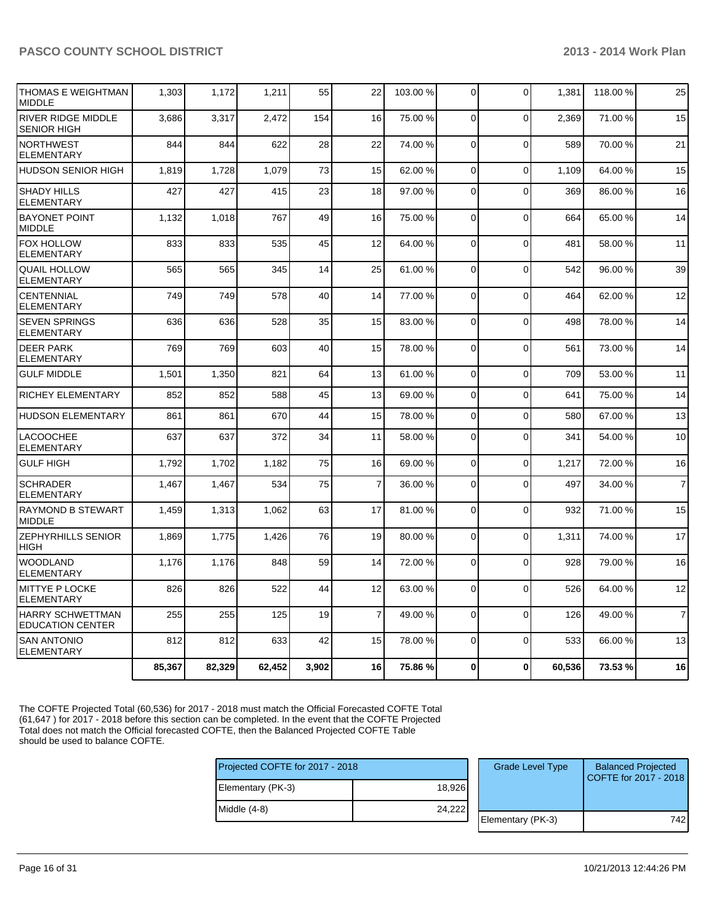| THOMAS E WEIGHTMAN<br><b>MIDDLE</b>                | 1,303  | 1,172  | 1,211  | 55    | 22             | 103.00 % | 0              | $\Omega$       | 1,381  | 118.00 % | 25             |
|----------------------------------------------------|--------|--------|--------|-------|----------------|----------|----------------|----------------|--------|----------|----------------|
| <b>RIVER RIDGE MIDDLE</b><br><b>SENIOR HIGH</b>    | 3,686  | 3,317  | 2,472  | 154   | 16             | 75.00 %  | 0              | $\Omega$       | 2.369  | 71.00 %  | 15             |
| <b>NORTHWEST</b><br><b>ELEMENTARY</b>              | 844    | 844    | 622    | 28    | 22             | 74.00 %  | $\Omega$       | $\Omega$       | 589    | 70.00%   | 21             |
| <b>HUDSON SENIOR HIGH</b>                          | 1,819  | 1,728  | 1,079  | 73    | 15             | 62.00%   | $\mathbf 0$    | $\Omega$       | 1,109  | 64.00%   | 15             |
| <b>SHADY HILLS</b><br><b>ELEMENTARY</b>            | 427    | 427    | 415    | 23    | 18             | 97.00 %  | $\Omega$       | $\Omega$       | 369    | 86.00 %  | 16             |
| <b>BAYONET POINT</b><br><b>MIDDLE</b>              | 1,132  | 1.018  | 767    | 49    | 16             | 75.00 %  | $\Omega$       | $\Omega$       | 664    | 65.00%   | 14             |
| FOX HOLLOW<br><b>ELEMENTARY</b>                    | 833    | 833    | 535    | 45    | 12             | 64.00 %  | $\Omega$       | $\Omega$       | 481    | 58.00 %  | 11             |
| <b>QUAIL HOLLOW</b><br><b>ELEMENTARY</b>           | 565    | 565    | 345    | 14    | 25             | 61.00%   | $\Omega$       | $\Omega$       | 542    | 96.00%   | 39             |
| <b>CENTENNIAL</b><br>ELEMENTARY                    | 749    | 749    | 578    | 40    | 14             | 77.00 %  | $\Omega$       | $\mathbf 0$    | 464    | 62.00%   | 12             |
| <b>SEVEN SPRINGS</b><br><b>ELEMENTARY</b>          | 636    | 636    | 528    | 35    | 15             | 83.00 %  | $\overline{0}$ | $\mathbf 0$    | 498    | 78.00 %  | 14             |
| <b>DEER PARK</b><br>ELEMENTARY                     | 769    | 769    | 603    | 40    | 15             | 78.00 %  | $\mathbf 0$    | $\overline{0}$ | 561    | 73.00 %  | 14             |
| <b>GULF MIDDLE</b>                                 | 1.501  | 1,350  | 821    | 64    | 13             | 61.00%   | $\Omega$       | $\overline{0}$ | 709    | 53.00 %  | 11             |
| RICHEY ELEMENTARY                                  | 852    | 852    | 588    | 45    | 13             | 69.00 %  | $\mathbf 0$    | $\mathbf 0$    | 641    | 75.00 %  | 14             |
| <b>HUDSON ELEMENTARY</b>                           | 861    | 861    | 670    | 44    | 15             | 78.00 %  | $\Omega$       | $\overline{0}$ | 580    | 67.00 %  | 13             |
| <b>LACOOCHEE</b><br><b>ELEMENTARY</b>              | 637    | 637    | 372    | 34    | 11             | 58.00 %  | $\mathbf 0$    | $\Omega$       | 341    | 54.00 %  | 10             |
| <b>GULF HIGH</b>                                   | 1,792  | 1,702  | 1,182  | 75    | 16             | 69.00 %  | $\mathbf 0$    | $\mathbf 0$    | 1,217  | 72.00 %  | 16             |
| <b>SCHRADER</b><br><b>ELEMENTARY</b>               | 1,467  | 1,467  | 534    | 75    | $\overline{7}$ | 36.00 %  | $\Omega$       | $\Omega$       | 497    | 34.00 %  | $\overline{7}$ |
| <b>RAYMOND B STEWART</b><br><b>MIDDLE</b>          | 1,459  | 1,313  | 1,062  | 63    | 17             | 81.00 %  | $\Omega$       | $\Omega$       | 932    | 71.00%   | 15             |
| <b>ZEPHYRHILLS SENIOR</b><br><b>HIGH</b>           | 1,869  | 1,775  | 1,426  | 76    | 19             | 80.00 %  | $\Omega$       | $\mathbf 0$    | 1,311  | 74.00 %  | 17             |
| <b>WOODLAND</b><br><b>ELEMENTARY</b>               | 1,176  | 1,176  | 848    | 59    | 14             | 72.00 %  | $\overline{0}$ | $\mathbf 0$    | 928    | 79.00 %  | 16             |
| <b>MITTYE P LOCKE</b><br><b>ELEMENTARY</b>         | 826    | 826    | 522    | 44    | 12             | 63.00 %  | $\Omega$       | $\Omega$       | 526    | 64.00%   | 12             |
| <b>HARRY SCHWETTMAN</b><br><b>EDUCATION CENTER</b> | 255    | 255    | 125    | 19    | $\overline{7}$ | 49.00 %  | $\Omega$       | $\overline{0}$ | 126    | 49.00%   | $\overline{7}$ |
| <b>SAN ANTONIO</b><br><b>ELEMENTARY</b>            | 812    | 812    | 633    | 42    | 15             | 78.00 %  | $\Omega$       | $\Omega$       | 533    | 66.00%   | 13             |
|                                                    | 85,367 | 82,329 | 62,452 | 3,902 | 16             | 75.86 %  | 0              | $\mathbf 0$    | 60,536 | 73.53 %  | 16             |

The COFTE Projected Total (60,536) for 2017 - 2018 must match the Official Forecasted COFTE Total (61,647 ) for 2017 - 2018 before this section can be completed. In the event that the COFTE Projected Total does not match the Official forecasted COFTE, then the Balanced Projected COFTE Table should be used to balance COFTE.

| Projected COFTE for 2017 - 2018 |        | <b>Grade Level Type</b> | <b>Balanced Projected</b><br>COFTE for 2017 - 2018 |
|---------------------------------|--------|-------------------------|----------------------------------------------------|
| Elementary (PK-3)               | 18,926 |                         |                                                    |
| Middle (4-8)                    | 24,222 |                         |                                                    |
|                                 |        | Elementary (PK-3)       | 742                                                |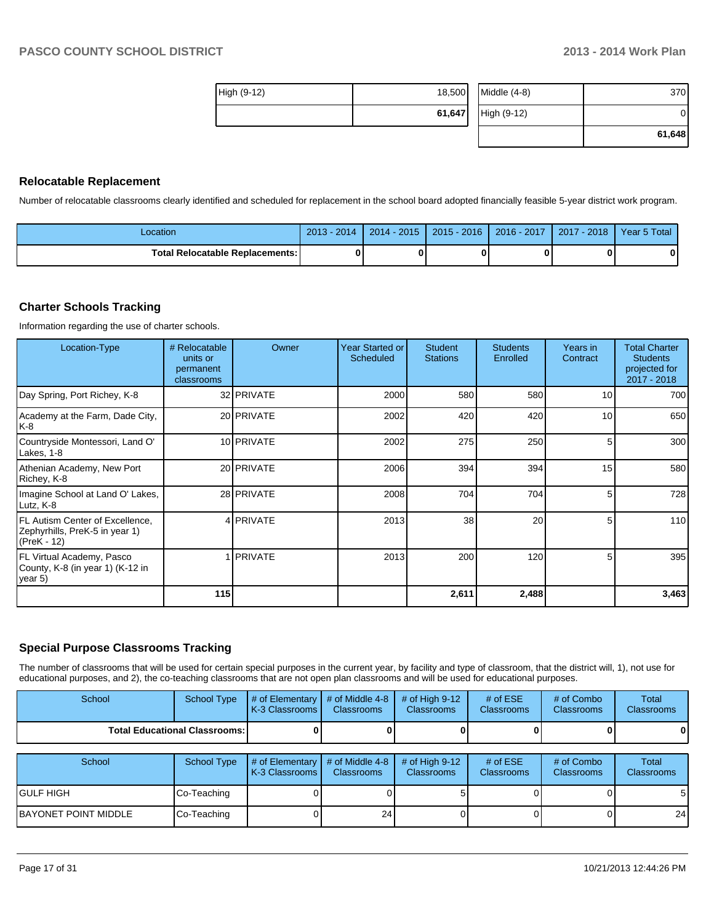|             |        |                | 61.648 |
|-------------|--------|----------------|--------|
|             | 61,647 | High (9-12)    |        |
| High (9-12) | 18,500 | Middle $(4-8)$ | 370    |

#### **Relocatable Replacement**

Number of relocatable classrooms clearly identified and scheduled for replacement in the school board adopted financially feasible 5-year district work program.

| Location                               | 2014<br>$2013 -$ | $2014 - 2015$ | $2015 - 2016$ | 2016 - 2017 | $-2018$<br>2017 | Year 5 Total |
|----------------------------------------|------------------|---------------|---------------|-------------|-----------------|--------------|
| <b>Total Relocatable Replacements:</b> | ŋ                |               |               |             |                 |              |

#### **Charter Schools Tracking**

Information regarding the use of charter schools.

| Location-Type                                                                    | # Relocatable<br>units or<br>permanent<br>classrooms | Owner            | Year Started or<br>Scheduled | <b>Student</b><br><b>Stations</b> | <b>Students</b><br>Enrolled | Years in<br>Contract | <b>Total Charter</b><br><b>Students</b><br>projected for<br>2017 - 2018 |
|----------------------------------------------------------------------------------|------------------------------------------------------|------------------|------------------------------|-----------------------------------|-----------------------------|----------------------|-------------------------------------------------------------------------|
| Day Spring, Port Richey, K-8                                                     |                                                      | 32 PRIVATE       | 2000                         | 580                               | 580                         | 10 <sub>l</sub>      | 700                                                                     |
| Academy at the Farm, Dade City,<br>IK-8                                          |                                                      | 20 PRIVATE       | 2002                         | 420                               | 420                         | 10 <sup>1</sup>      | 650                                                                     |
| Countryside Montessori, Land O'<br>Lakes, 1-8                                    |                                                      | 10 PRIVATE       | 2002                         | 275                               | 250                         | 5 <sub>l</sub>       | 300                                                                     |
| Athenian Academy, New Port<br>Richey, K-8                                        |                                                      | 20 PRIVATE       | 2006                         | 394                               | 394                         | 15                   | 580                                                                     |
| Imagine School at Land O' Lakes,<br>Lutz, K-8                                    |                                                      | 28 PRIVATE       | 2008                         | 704                               | 704                         | 5 <sub>l</sub>       | 728                                                                     |
| FL Autism Center of Excellence,<br>Zephyrhills, PreK-5 in year 1)<br>(PreK - 12) |                                                      | 4 <b>PRIVATE</b> | 2013                         | 38                                | 20                          | 5 <sub>l</sub>       | 110                                                                     |
| FL Virtual Academy, Pasco<br>County, K-8 (in year 1) (K-12 in<br>$\vert$ year 5) |                                                      | <b>IPRIVATE</b>  | 2013                         | 200                               | 120                         | 5 <sub>1</sub>       | 395                                                                     |
|                                                                                  | 115                                                  |                  |                              | 2,611                             | 2,488                       |                      | 3,463                                                                   |

#### **Special Purpose Classrooms Tracking**

The number of classrooms that will be used for certain special purposes in the current year, by facility and type of classroom, that the district will, 1), not use for educational purposes, and 2), the co-teaching classrooms that are not open plan classrooms and will be used for educational purposes.

| School               | <b>School Type</b>                     | # of Elementary<br>K-3 Classrooms | # of Middle 4-8<br><b>Classrooms</b> | # of High $9-12$<br><b>Classrooms</b> | # of $ESE$<br>Classrooms | # of Combo<br><b>Classrooms</b> | Total<br><b>Classrooms</b>        |
|----------------------|----------------------------------------|-----------------------------------|--------------------------------------|---------------------------------------|--------------------------|---------------------------------|-----------------------------------|
|                      | <b>Total Educational Classrooms: I</b> |                                   |                                      |                                       |                          |                                 | 0                                 |
|                      |                                        |                                   |                                      |                                       |                          |                                 |                                   |
| School               | School Type                            | # of Elementary<br>K-3 Classrooms | # of Middle 4-8<br><b>Classrooms</b> | # of High $9-12$<br><b>Classrooms</b> | # of $ESE$<br>Classrooms | # of Combo<br><b>Classrooms</b> | <b>Total</b><br><b>Classrooms</b> |
| <b>GULF HIGH</b>     | Co-Teaching                            |                                   |                                      |                                       |                          |                                 | 5 <sub>l</sub>                    |
| BAYONET POINT MIDDLE | Co-Teaching                            |                                   | 24                                   |                                       |                          |                                 | 24                                |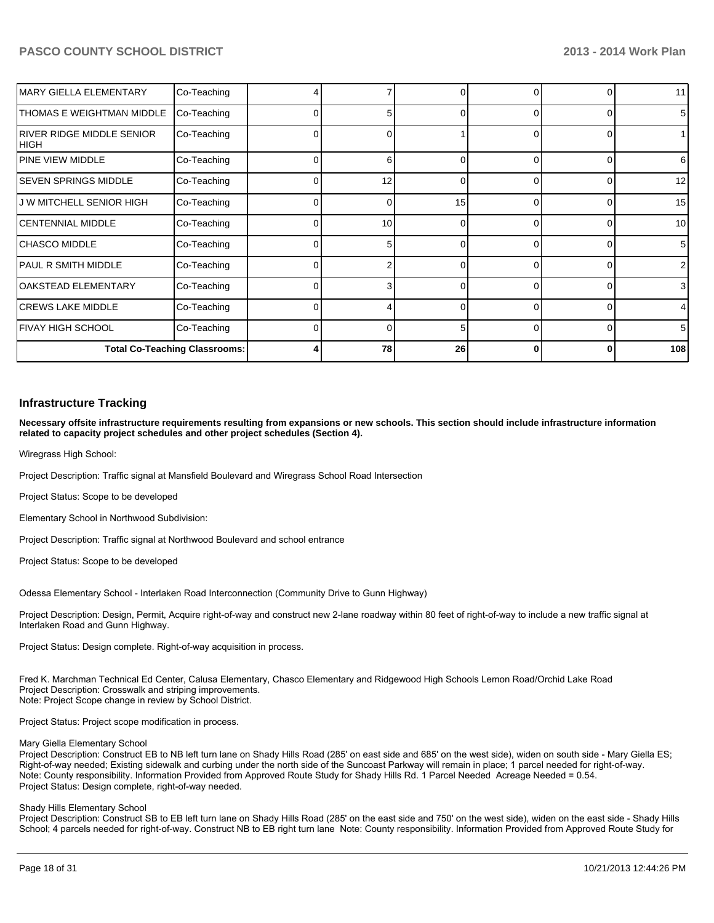| <b>IMARY GIELLA ELEMENTARY</b>      | Co-Teaching                          |          |    |    |              | <sup>0</sup> | 11             |
|-------------------------------------|--------------------------------------|----------|----|----|--------------|--------------|----------------|
| <b>ITHOMAS E WEIGHTMAN MIDDLE</b>   | Co-Teaching                          |          | 5  | 0  | $\Omega$     | 0            | 5              |
| IRIVER RIDGE MIDDLE SENIOR<br> HIGH | Co-Teaching                          |          |    |    |              |              |                |
| <b>IPINE VIEW MIDDLE</b>            | Co-Teaching                          |          | 6  |    | $\Omega$     | $\Omega$     | 6              |
| ISEVEN SPRINGS MIDDLE               | Co-Teaching                          |          | 12 | 0  | $\Omega$     | $\Omega$     | 12             |
| <b>J W MITCHELL SENIOR HIGH</b>     | Co-Teaching                          |          |    | 15 | 0            | 0            | 15             |
| CENTENNIAL MIDDLE                   | Co-Teaching                          | $\Omega$ | 10 |    | $\Omega$     | 0            | 10             |
| <b>ICHASCO MIDDLE</b>               | Co-Teaching                          |          | 5  |    |              | 0            | 5 <sup>1</sup> |
| IPAUL R SMITH MIDDLE                | Co-Teaching                          |          |    |    |              | ∩            | $\overline{2}$ |
| OAKSTEAD ELEMENTARY                 | Co-Teaching                          |          | 3  | ∩  | $\cap$       | $\Omega$     | 3              |
| <b>ICREWS LAKE MIDDLE</b>           | Co-Teaching                          |          |    |    | <sup>n</sup> | $\Omega$     | $\overline{4}$ |
| IFIVAY HIGH SCHOOL                  | Co-Teaching                          |          |    | 5  | $\Omega$     | $\Omega$     | 5              |
|                                     | <b>Total Co-Teaching Classrooms:</b> |          | 78 | 26 |              | 0            | 108            |

#### **Infrastructure Tracking**

**Necessary offsite infrastructure requirements resulting from expansions or new schools. This section should include infrastructure information related to capacity project schedules and other project schedules (Section 4).**

Wiregrass High School:

Project Description: Traffic signal at Mansfield Boulevard and Wiregrass School Road Intersection

Project Status: Scope to be developed

Elementary School in Northwood Subdivision:

Project Description: Traffic signal at Northwood Boulevard and school entrance

Project Status: Scope to be developed

Odessa Elementary School - Interlaken Road Interconnection (Community Drive to Gunn Highway)

Project Description: Design, Permit, Acquire right-of-way and construct new 2-lane roadway within 80 feet of right-of-way to include a new traffic signal at Interlaken Road and Gunn Highway.

Project Status: Design complete. Right-of-way acquisition in process.

Fred K. Marchman Technical Ed Center, Calusa Elementary, Chasco Elementary and Ridgewood High Schools Lemon Road/Orchid Lake Road Project Description: Crosswalk and striping improvements. Note: Project Scope change in review by School District.

Project Status: Project scope modification in process.

#### Mary Giella Elementary School

Project Description: Construct EB to NB left turn lane on Shady Hills Road (285' on east side and 685' on the west side), widen on south side - Mary Giella ES; Right-of-way needed; Existing sidewalk and curbing under the north side of the Suncoast Parkway will remain in place; 1 parcel needed for right-of-way. Note: County responsibility. Information Provided from Approved Route Study for Shady Hills Rd. 1 Parcel Needed Acreage Needed = 0.54. Project Status: Design complete, right-of-way needed.

#### Shady Hills Elementary School

Project Description: Construct SB to EB left turn lane on Shady Hills Road (285' on the east side and 750' on the west side), widen on the east side - Shady Hills School: 4 parcels needed for right-of-way. Construct NB to EB right turn lane Note: County responsibility. Information Provided from Approved Route Study for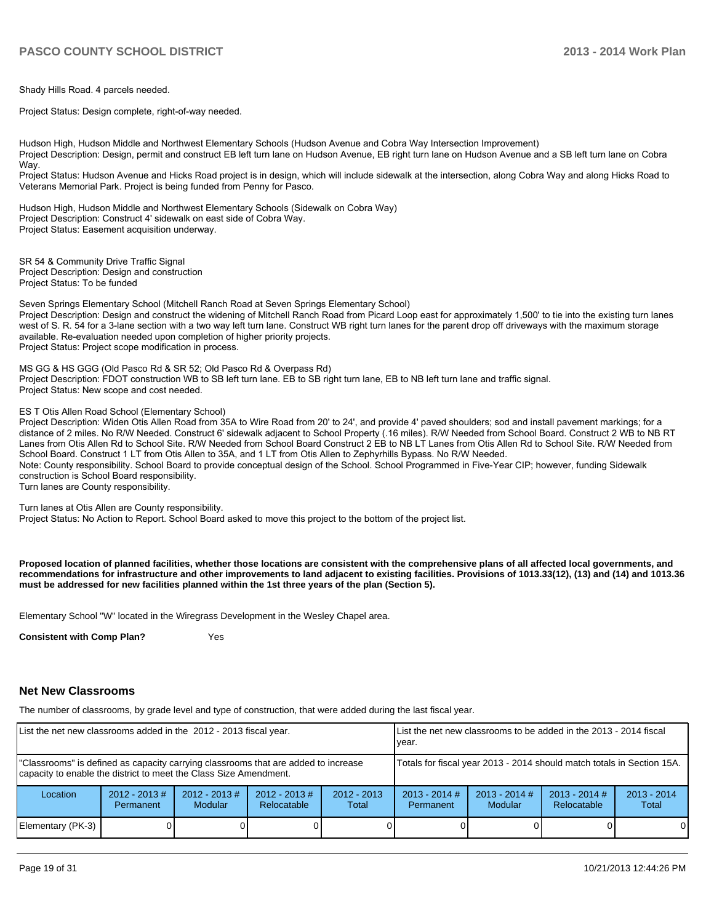Shady Hills Road. 4 parcels needed.

Proiect Status: Design complete, right-of-way needed.

Hudson High, Hudson Middle and Northwest Elementary Schools (Hudson Avenue and Cobra Way Intersection Improvement) Project Description: Design, permit and construct EB left turn lane on Hudson Avenue. EB right turn lane on Hudson Avenue and a SB left turn lane on Cobra Wav.

Project Status: Hudson Avenue and Hicks Road project is in design, which will include sidewalk at the intersection, along Cobra Way and along Hicks Road to 19HW COMPATIBLE THE CONSULTING THE PROPERTY OF A LOCAL DISPOSITION OF PASCO.

Hudson High, Hudson Middle and Northwest Elementary Schools (Sidewalk on Cobra Way) Project Description: Construct 4' sidewalk on east side of Cobra Way. Project Status: Easement acquisition underway.

SR 54 & Community Drive Traffic Signal Project Description: Design and construction Project Status: To be funded

Seven Springs Elementary School (Mitchell Ranch Road at Seven Springs Elementary School) Project Description: Design and construct the widening of Mitchell Ranch Road from Picard Loop east for approximately 1,500' to tie into the existing turn lanes west of S. R. 54 for a 3-lane section with a two way left turn lane. Construct WB right turn lanes for the parent drop off driveways with the maximum storage available. Re-evaluation needed upon completion of higher priority projects. Project Status: Project scope modification in process.

MS GG & HS GGG (Old Pasco Rd & SR 52; Old Pasco Rd & Overpass Rd) Project Description: FDOT construction WB to SB left turn lane. EB to SB right turn lane, EB to NB left turn lane and traffic signal. Project Status: New scope and cost needed.

#### ES T Otis Allen Road School (Elementary School)

Project Description: Widen Otis Allen Road from 35A to Wire Road from 20' to 24', and provide 4' paved shoulders; sod and install pavement markings; for a distance of 2 miles. No R/W Needed. Construct 6' sidewalk adjacent to School Property (.16 miles). R/W Needed from School Board. Construct 2 WB to NB RT Lanes from Otis Allen Rd to School Site. R/W Needed from School Board Construct 2 EB to NB LT Lanes from Otis Allen Rd to School Site. R/W Needed from School Board. Construct 1 LT from Otis Allen to 35A, and 1 LT from Otis Allen to Zephyrhills Bypass. No R/W Needed. Note: County responsibility. School Board to provide conceptual design of the School. School Programmed in Five-Year CIP; however, funding Sidewalk construction is School Board responsibility. Turn lanes are County responsibility.

Turn lanes at Otis Allen are County responsibility.

Project Status: No Action to Report. School Board asked to move this project to the bottom of the project list.

**Proposed location of planned facilities, whether those locations are consistent with the comprehensive plans of all affected local governments, and recommendations for infrastructure and other improvements to land adjacent to existing facilities. Provisions of 1013.33(12), (13) and (14) and 1013.36 must be addressed for new facilities planned within the 1st three years of the plan (Section 5).**

Elementary School "W" located in the Wiregrass Development in the Wesley Chapel area.

**Consistent with Comp Plan?** Yes

#### **Net New Classrooms**

The number of classrooms, by grade level and type of construction, that were added during the last fiscal year.

| List the net new classrooms added in the 2012 - 2013 fiscal year.                                                                                       |                                                                        |                                   |                                |                        |                              | List the net new classrooms to be added in the 2013 - 2014 fiscal<br>Ivear. |                                |                        |  |  |
|---------------------------------------------------------------------------------------------------------------------------------------------------------|------------------------------------------------------------------------|-----------------------------------|--------------------------------|------------------------|------------------------------|-----------------------------------------------------------------------------|--------------------------------|------------------------|--|--|
| "Classrooms" is defined as capacity carrying classrooms that are added to increase<br>capacity to enable the district to meet the Class Size Amendment. | Totals for fiscal year 2013 - 2014 should match totals in Section 15A. |                                   |                                |                        |                              |                                                                             |                                |                        |  |  |
| Location                                                                                                                                                | $2012 - 2013 \#$<br>Permanent                                          | $2012 - 2013$ #<br><b>Modular</b> | $2012 - 2013$ #<br>Relocatable | $2012 - 2013$<br>Total | $2013 - 2014$ #<br>Permanent | $2013 - 2014$ #<br><b>Modular</b>                                           | $2013 - 2014$ #<br>Relocatable | $2013 - 2014$<br>Total |  |  |
| Elementary (PK-3)                                                                                                                                       |                                                                        |                                   |                                |                        |                              |                                                                             |                                | 0                      |  |  |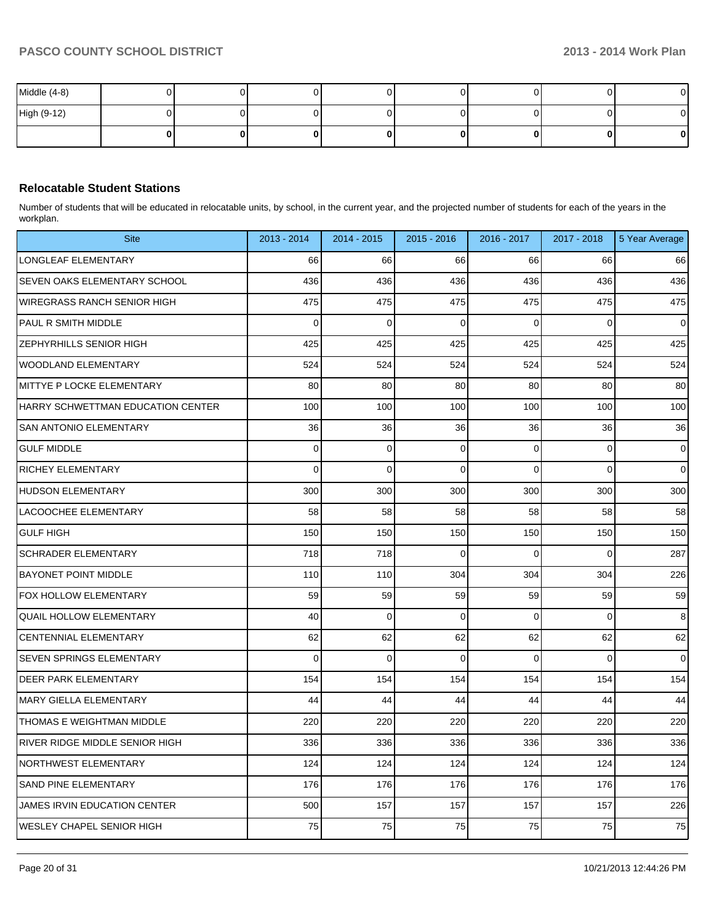| Middle (4-8) |  |  |  |   | $\overline{0}$ |
|--------------|--|--|--|---|----------------|
| High (9-12)  |  |  |  |   | $\overline{0}$ |
|              |  |  |  | 0 | 0              |

#### **Relocatable Student Stations**

Number of students that will be educated in relocatable units, by school, in the current year, and the projected number of students for each of the years in the workplan.

| <b>Site</b>                           | 2013 - 2014 | 2014 - 2015 | $2015 - 2016$ | 2016 - 2017 | 2017 - 2018    | 5 Year Average |
|---------------------------------------|-------------|-------------|---------------|-------------|----------------|----------------|
| LONGLEAF ELEMENTARY                   | 66          | 66          | 66            | 66          | 66             | 66             |
| SEVEN OAKS ELEMENTARY SCHOOL          | 436         | 436         | 436           | 436         | 436            | 436            |
| <b>WIREGRASS RANCH SENIOR HIGH</b>    | 475         | 475         | 475           | 475         | 475            | 475            |
| <b>PAUL R SMITH MIDDLE</b>            | $\Omega$    | $\mathbf 0$ | $\Omega$      | $\Omega$    | $\Omega$       | $\mathbf 0$    |
| ZEPHYRHILLS SENIOR HIGH               | 425         | 425         | 425           | 425         | 425            | 425            |
| <b>WOODLAND ELEMENTARY</b>            | 524         | 524         | 524           | 524         | 524            | 524            |
| MITTYE P LOCKE ELEMENTARY             | 80          | 80          | 80            | 80          | 80             | 80             |
| HARRY SCHWETTMAN EDUCATION CENTER     | 100         | 100         | 100           | 100         | 100            | 100            |
| SAN ANTONIO ELEMENTARY                | 36          | 36          | 36            | 36          | 36             | 36             |
| <b>GULF MIDDLE</b>                    | $\mathbf 0$ | $\mathbf 0$ | $\mathbf 0$   | 0           | $\mathbf 0$    | $\mathbf{0}$   |
| <b>RICHEY ELEMENTARY</b>              | $\mathbf 0$ | 0           | $\Omega$      | $\Omega$    | $\mathbf{0}$   | $\mathbf{0}$   |
| <b>HUDSON ELEMENTARY</b>              | 300         | 300         | 300           | 300         | 300            | 300            |
| <b>LACOOCHEE ELEMENTARY</b>           | 58          | 58          | 58            | 58          | 58             | 58             |
| <b>GULF HIGH</b>                      | 150         | 150         | 150           | 150         | 150            | 150            |
| <b>SCHRADER ELEMENTARY</b>            | 718         | 718         | $\Omega$      | $\Omega$    | $\overline{0}$ | 287            |
| <b>BAYONET POINT MIDDLE</b>           | 110         | 110         | 304           | 304         | 304            | 226            |
| <b>FOX HOLLOW ELEMENTARY</b>          | 59          | 59          | 59            | 59          | 59             | 59             |
| <b>QUAIL HOLLOW ELEMENTARY</b>        | 40          | $\mathbf 0$ | $\Omega$      | $\mathbf 0$ | $\mathbf 0$    | 8              |
| <b>CENTENNIAL ELEMENTARY</b>          | 62          | 62          | 62            | 62          | 62             | 62             |
| <b>SEVEN SPRINGS ELEMENTARY</b>       | $\mathbf 0$ | $\mathbf 0$ | $\Omega$      | $\Omega$    | $\mathbf{0}$   | $\mathbf{0}$   |
| <b>DEER PARK ELEMENTARY</b>           | 154         | 154         | 154           | 154         | 154            | 154            |
| MARY GIELLA ELEMENTARY                | 44          | 44          | 44            | 44          | 44             | 44             |
| THOMAS E WEIGHTMAN MIDDLE             | 220         | 220         | 220           | 220         | 220            | 220            |
| <b>RIVER RIDGE MIDDLE SENIOR HIGH</b> | 336         | 336         | 336           | 336         | 336            | 336            |
| <b>NORTHWEST ELEMENTARY</b>           | 124         | 124         | 124           | 124         | 124            | 124            |
| <b>SAND PINE ELEMENTARY</b>           | 176         | 176         | 176           | 176         | 176            | 176            |
| <b>JAMES IRVIN EDUCATION CENTER</b>   | 500         | 157         | 157           | 157         | 157            | 226            |
| <b>WESLEY CHAPEL SENIOR HIGH</b>      | 75          | 75          | 75            | 75          | 75             | 75             |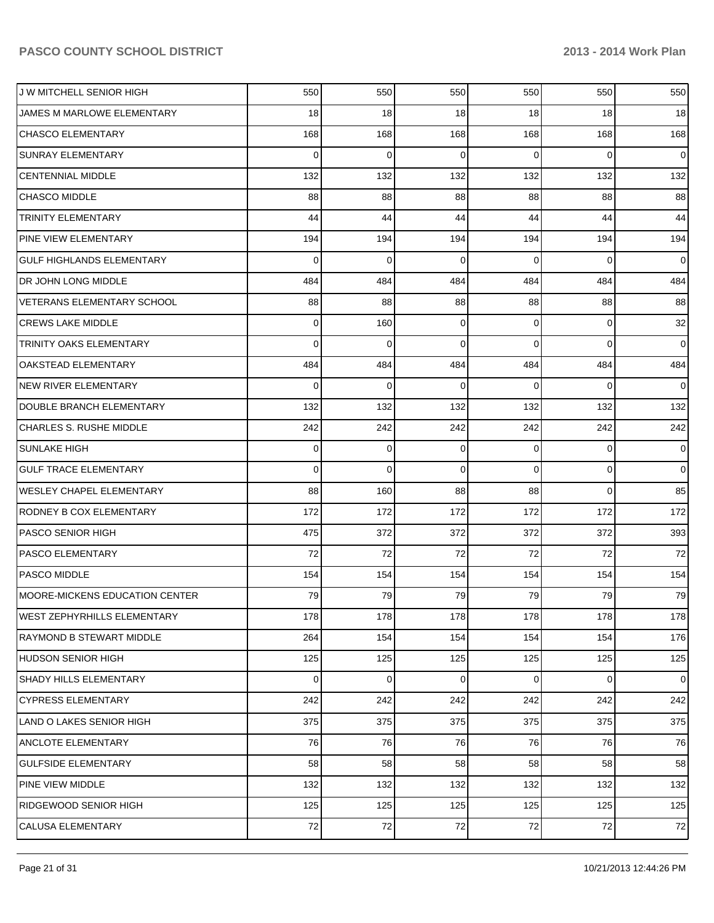| <b>J W MITCHELL SENIOR HIGH</b>    | 550      | 550      | 550         | 550            | 550            | 550            |
|------------------------------------|----------|----------|-------------|----------------|----------------|----------------|
| JAMES M MARLOWE ELEMENTARY         | 18       | 18       | 18          | 18             | 18             | 18             |
| <b>CHASCO ELEMENTARY</b>           | 168      | 168      | 168         | 168            | 168            | 168            |
| SUNRAY ELEMENTARY                  | $\Omega$ | 0        | $\Omega$    | $\Omega$       | $\Omega$       | $\overline{0}$ |
| <b>CENTENNIAL MIDDLE</b>           | 132      | 132      | 132         | 132            | 132            | 132            |
| <b>CHASCO MIDDLE</b>               | 88       | 88       | 88          | 88             | 88             | 88             |
| <b>TRINITY ELEMENTARY</b>          | 44       | 44       | 44          | 44             | 44             | 44             |
| PINE VIEW ELEMENTARY               | 194      | 194      | 194         | 194            | 194            | 194            |
| <b>GULF HIGHLANDS ELEMENTARY</b>   | 0        | $\Omega$ | $\Omega$    | $\Omega$       | $\Omega$       | $\overline{0}$ |
| DR JOHN LONG MIDDLE                | 484      | 484      | 484         | 484            | 484            | 484            |
| VETERANS ELEMENTARY SCHOOL         | 88       | 88       | 88          | 88             | 88             | 88             |
| <b>CREWS LAKE MIDDLE</b>           | 0        | 160      | 0           | $\Omega$       | $\mathbf 0$    | 32             |
| <b>TRINITY OAKS ELEMENTARY</b>     | 0        | $\Omega$ | $\Omega$    | $\Omega$       | $\Omega$       | $\overline{0}$ |
| OAKSTEAD ELEMENTARY                | 484      | 484      | 484         | 484            | 484            | 484            |
| <b>NEW RIVER ELEMENTARY</b>        | 0        | 0        | $\Omega$    | $\Omega$       | $\Omega$       | $\overline{0}$ |
| DOUBLE BRANCH ELEMENTARY           | 132      | 132      | 132         | 132            | 132            | 132            |
| CHARLES S. RUSHE MIDDLE            | 242      | 242      | 242         | 242            | 242            | 242            |
| <b>SUNLAKE HIGH</b>                | 0        | 0        | $\Omega$    | $\Omega$       | $\mathbf{0}$   | $\mathbf 0$    |
| <b>GULF TRACE ELEMENTARY</b>       | $\Omega$ | 0        | $\Omega$    | $\Omega$       | $\overline{0}$ | $\Omega$       |
| <b>WESLEY CHAPEL ELEMENTARY</b>    | 88       | 160      | 88          | 88             | $\overline{0}$ | 85             |
| <b>RODNEY B COX ELEMENTARY</b>     | 172      | 172      | 172         | 172            | 172            | 172            |
| <b>PASCO SENIOR HIGH</b>           | 475      | 372      | 372         | 372            | 372            | 393            |
| <b>PASCO ELEMENTARY</b>            | 72       | 72       | 72          | 72             | 72             | 72             |
| <b>PASCO MIDDLE</b>                | 154      | 154      | 154         | 154            | 154            | 154            |
| MOORE-MICKENS EDUCATION CENTER     | 79       | 79       | 79          | 79             | 79             | 79             |
| <b>WEST ZEPHYRHILLS ELEMENTARY</b> | 178      | 178      | 178         | 178            | 178            | 178            |
| RAYMOND B STEWART MIDDLE           | 264      | 154      | 154         | 154            | 154            | 176            |
| <b>HUDSON SENIOR HIGH</b>          | 125      | 125      | 125         | 125            | 125            | 125            |
| <b>SHADY HILLS ELEMENTARY</b>      | 0        | 0        | $\mathbf 0$ | $\overline{0}$ | $\overline{0}$ | $\overline{0}$ |
| <b>CYPRESS ELEMENTARY</b>          | 242      | 242      | 242         | 242            | 242            | 242            |
| LAND O LAKES SENIOR HIGH           | 375      | 375      | 375         | 375            | 375            | 375            |
| ANCLOTE ELEMENTARY                 | 76       | 76       | 76          | 76             | 76             | 76             |
| <b>GULFSIDE ELEMENTARY</b>         | 58       | 58       | 58          | 58             | 58             | 58             |
| PINE VIEW MIDDLE                   | 132      | 132      | 132         | 132            | 132            | 132            |
| RIDGEWOOD SENIOR HIGH              | 125      | 125      | 125         | 125            | 125            | 125            |
| CALUSA ELEMENTARY                  | 72       | 72       | 72          | 72             | 72             | 72             |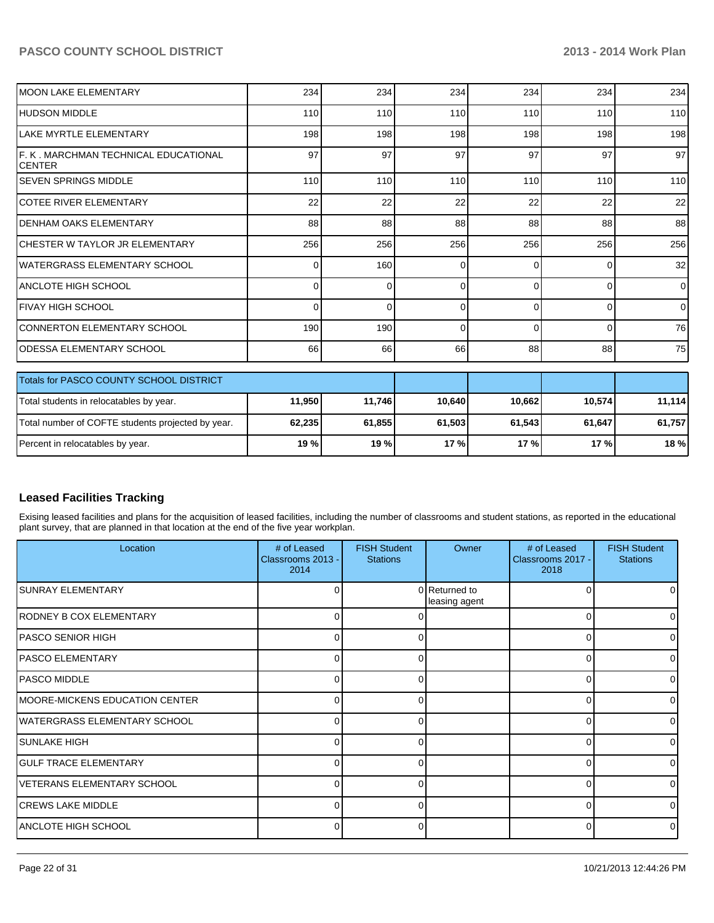### **PASCO COUNTY SCHOOL DISTRICT 2013 - 2014 Work Plan**

| MOON LAKE ELEMENTARY                                    | 234    | 234      | 234    | 234      | 234      | 234    |
|---------------------------------------------------------|--------|----------|--------|----------|----------|--------|
| IHUDSON MIDDLE                                          | 110    | 110      | 110    | 110      | 110      | 110    |
| LAKE MYRTLE ELEMENTARY                                  | 198    | 198      | 198    | 198      | 198      | 198    |
| IF. K . MARCHMAN TECHNICAL EDUCATIONAL<br><b>CENTER</b> | 97     | 97       | 97     | 97       | 97       | 97     |
| <b>SEVEN SPRINGS MIDDLE</b>                             | 110    | 110      | 110    | 110      | 110      | 110    |
| <b>ICOTEE RIVER ELEMENTARY</b>                          | 22     | 22       | 22     | 22       | 22       | 22     |
| <b>DENHAM OAKS ELEMENTARY</b>                           | 88     | 88       | 88     | 88       | 88       | 88     |
| ICHESTER W TAYLOR JR ELEMENTARY                         | 256    | 256      | 256    | 256      | 256      | 256    |
| IWATERGRASS ELEMENTARY SCHOOL                           | 0      | 160      | 0      | ∩        | $\Omega$ | 32     |
| ANCLOTE HIGH SCHOOL                                     | 0      | $\Omega$ | 0      | $\Omega$ | 0        | 0      |
| ÍFIVAY HIGH SCHOOL                                      | 0      | O        | 0      | ∩        | 0        | 0      |
| CONNERTON ELEMENTARY SCHOOL                             | 190    | 190      | 0      | $\Omega$ | $\Omega$ | 76     |
| <b>ODESSA ELEMENTARY SCHOOL</b>                         | 66     | 66       | 66     | 88       | 88       | 75     |
| <b>Totals for PASCO COUNTY SCHOOL DISTRICT</b>          |        |          |        |          |          |        |
| Total students in relocatables by year.                 | 11,950 | 11,746   | 10,640 | 10,662   | 10,574   | 11,114 |
| Total number of COFTE students projected by year.       | 62,235 | 61,855   | 61,503 | 61,543   | 61,647   | 61,757 |
| Percent in relocatables by year.                        | 19 %   | 19%      | 17%    | 17%      | 17%      | 18 %   |

#### **Leased Facilities Tracking**

Exising leased facilities and plans for the acquisition of leased facilities, including the number of classrooms and student stations, as reported in the educational plant survey, that are planned in that location at the end of the five year workplan.

| Location                               | # of Leased<br>Classrooms 2013 -<br>2014 | <b>FISH Student</b><br><b>Stations</b> | Owner                          | # of Leased<br>Classrooms 2017 -<br>2018 | <b>FISH Student</b><br><b>Stations</b> |
|----------------------------------------|------------------------------------------|----------------------------------------|--------------------------------|------------------------------------------|----------------------------------------|
| <b>SUNRAY ELEMENTARY</b>               | $\Omega$                                 |                                        | 0 Returned to<br>leasing agent |                                          |                                        |
| RODNEY B COX ELEMENTARY                | U                                        |                                        |                                | U                                        |                                        |
| <b>PASCO SENIOR HIGH</b>               | 0                                        | $\Omega$                               |                                | 0                                        |                                        |
| <b>PASCO ELEMENTARY</b>                | $\Omega$                                 | 0                                      |                                | $\Omega$                                 |                                        |
| <b>PASCO MIDDLE</b>                    | $\Omega$                                 | 0                                      |                                | $\Omega$                                 |                                        |
| <b>IMOORE-MICKENS EDUCATION CENTER</b> | 0                                        | $\Omega$                               |                                | $\Omega$                                 | ΩI                                     |
| WATERGRASS ELEMENTARY SCHOOL           | U                                        |                                        |                                | U                                        |                                        |
| <b>SUNLAKE HIGH</b>                    | $\Omega$                                 | $\Omega$                               |                                | $\Omega$                                 |                                        |
| <b>GULF TRACE ELEMENTARY</b>           | $\overline{0}$                           | $\Omega$                               |                                | 0                                        |                                        |
| VETERANS ELEMENTARY SCHOOL             | $\Omega$                                 | 0                                      |                                | $\Omega$                                 |                                        |
| <b>CREWS LAKE MIDDLE</b>               | $\Omega$                                 | $\Omega$                               |                                | $\Omega$                                 | $\Omega$                               |
| ANCLOTE HIGH SCHOOL                    | $\Omega$                                 | 0                                      |                                | $\Omega$                                 |                                        |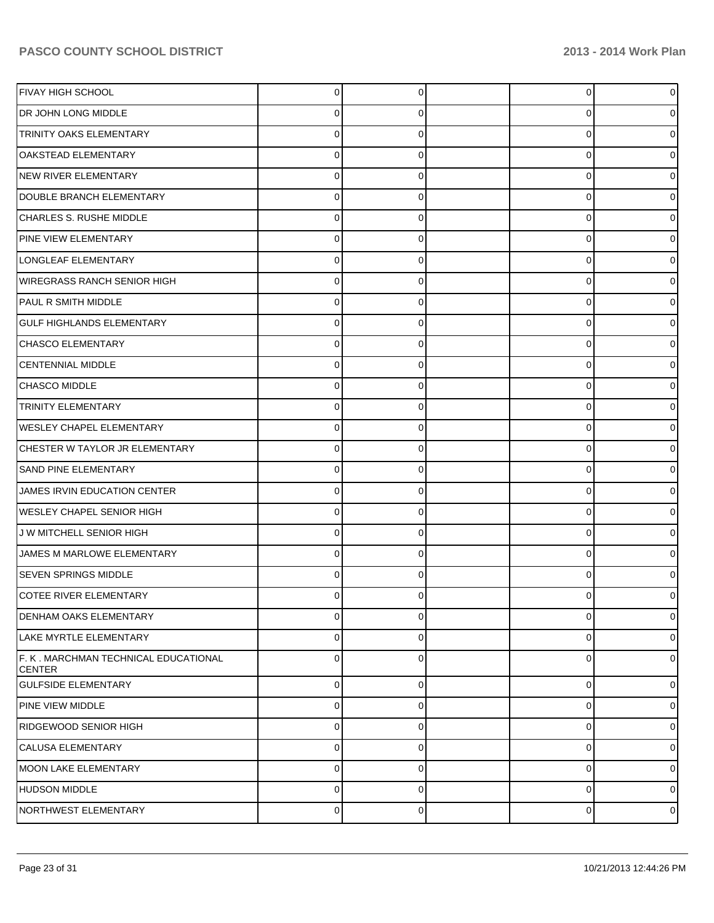| <b>FIVAY HIGH SCHOOL</b>                              | $\Omega$       | 0        | $\overline{0}$ | 0              |
|-------------------------------------------------------|----------------|----------|----------------|----------------|
| DR JOHN LONG MIDDLE                                   | 0              | 0        | 0              | 0              |
| <b>TRINITY OAKS ELEMENTARY</b>                        | O              | 0        | 0              | 0              |
| <b>OAKSTEAD ELEMENTARY</b>                            | 0              | 0        | 0              | 0              |
| NEW RIVER ELEMENTARY                                  | ⋂              | 0        | 0              | 0              |
| DOUBLE BRANCH ELEMENTARY                              | 0              | 0        | 0              | 0              |
| CHARLES S. RUSHE MIDDLE                               | O              | 0        | 0              | 0              |
| <b>PINE VIEW ELEMENTARY</b>                           | 0              | 0        | 0              | 0              |
| LONGLEAF ELEMENTARY                                   | 0              | 0        | 0              | 0              |
| <b>WIREGRASS RANCH SENIOR HIGH</b>                    | 0              | 0        | 0              | 0              |
| PAUL R SMITH MIDDLE                                   | ⋂              | 0        | 0              | 0              |
| <b>GULF HIGHLANDS ELEMENTARY</b>                      | 0              | 0        | 0              | 0              |
| CHASCO ELEMENTARY                                     | O              | 0        | 0              | 0              |
| <b>CENTENNIAL MIDDLE</b>                              | 0              | 0        | 0              | 0              |
| <b>CHASCO MIDDLE</b>                                  | O              | 0        | 0              | 0              |
| <b>TRINITY ELEMENTARY</b>                             | 0              | 0        | 0              | 0              |
| <b>WESLEY CHAPEL ELEMENTARY</b>                       | ∩              | 0        | 0              | 0              |
| CHESTER W TAYLOR JR ELEMENTARY                        | 0              | 0        | 0              | 0              |
| <b>SAND PINE ELEMENTARY</b>                           | ∩              | 0        | 0              | 0              |
| JAMES IRVIN EDUCATION CENTER                          | 0              | 0        | 0              | 0              |
| <b>WESLEY CHAPEL SENIOR HIGH</b>                      | ∩              | 0        | 0              | 0              |
| J W MITCHELL SENIOR HIGH                              | 0              | 0        | 0              | 0              |
| JAMES M MARLOWE ELEMENTARY                            | ⋂              | 0        | 0              | 0              |
| <b>SEVEN SPRINGS MIDDLE</b>                           | 0              | 0        | 0              | o              |
| COTEE RIVER ELEMENTARY                                |                |          |                |                |
| <b>DENHAM OAKS ELEMENTARY</b>                         | $\mathbf 0$    | 0        | 0              | $\overline{0}$ |
| LAKE MYRTLE ELEMENTARY                                | 0              | 0        | 0              | $\overline{0}$ |
| F. K. MARCHMAN TECHNICAL EDUCATIONAL<br><b>CENTER</b> | $\Omega$       | 0        | 0              | $\overline{0}$ |
| <b>GULFSIDE ELEMENTARY</b>                            | $\overline{0}$ | 0        | $\overline{0}$ | $\overline{0}$ |
| PINE VIEW MIDDLE                                      | $\mathbf 0$    | 0        | 0              | $\overline{0}$ |
| RIDGEWOOD SENIOR HIGH                                 | $\mathbf 0$    | 0        | 0              | $\overline{0}$ |
| CALUSA ELEMENTARY                                     | $\mathbf 0$    | 0        | 0              | $\overline{0}$ |
| MOON LAKE ELEMENTARY                                  | $\mathbf 0$    | $\Omega$ | 0              | $\overline{0}$ |
| HUDSON MIDDLE                                         | $\mathbf 0$    | $\Omega$ | 0              | $\overline{0}$ |
| NORTHWEST ELEMENTARY                                  | $\pmb{0}$      | 0        | 0              | $\circ$        |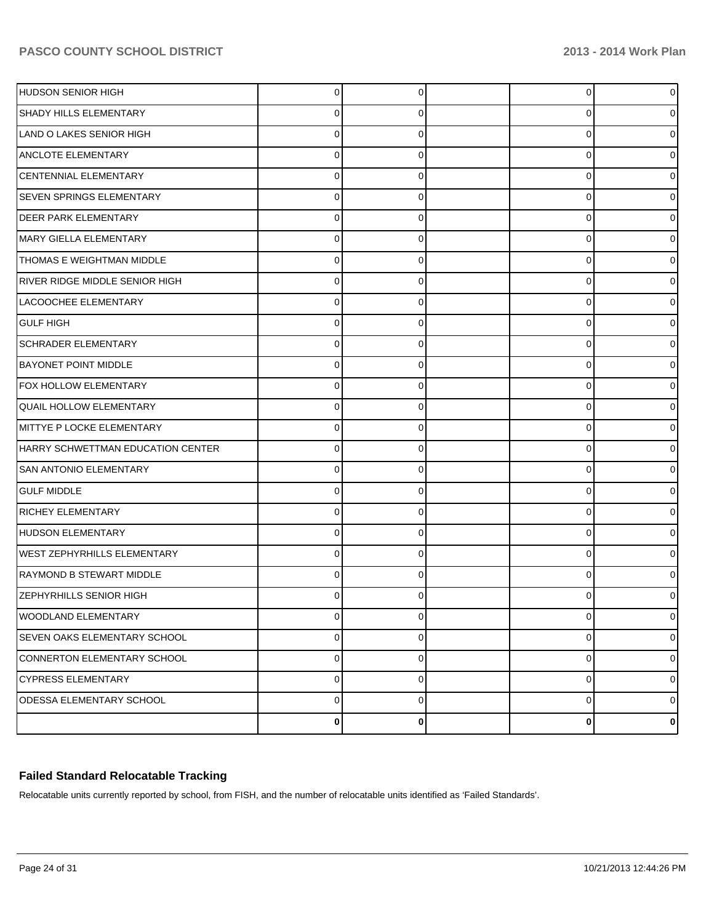| <b>HUDSON SENIOR HIGH</b>             | $\Omega$  | 0 | 0        | 0              |
|---------------------------------------|-----------|---|----------|----------------|
| <b>SHADY HILLS ELEMENTARY</b>         | 0         | 0 | 0        | 0              |
| LAND O LAKES SENIOR HIGH              | $\Omega$  | 0 | 0        | 0              |
| <b>ANCLOTE ELEMENTARY</b>             | $\Omega$  | 0 | 0        | 0              |
| CENTENNIAL ELEMENTARY                 | $\Omega$  | 0 | 0        |                |
| <b>SEVEN SPRINGS ELEMENTARY</b>       | $\Omega$  | 0 | 0        | 0              |
| <b>DEER PARK ELEMENTARY</b>           | $\Omega$  | 0 | 0        |                |
| MARY GIELLA ELEMENTARY                | $\Omega$  | 0 | 0        | 0              |
| THOMAS E WEIGHTMAN MIDDLE             | $\Omega$  | 0 | 0        | 0              |
| <b>RIVER RIDGE MIDDLE SENIOR HIGH</b> | $\Omega$  | 0 | 0        | 0              |
| LACOOCHEE ELEMENTARY                  | $\Omega$  | 0 | 0        |                |
| <b>GULF HIGH</b>                      | $\Omega$  | 0 | 0        | 0              |
| <b>SCHRADER ELEMENTARY</b>            | $\Omega$  | O | 0        |                |
| <b>BAYONET POINT MIDDLE</b>           | $\Omega$  | 0 | 0        | 0              |
| <b>FOX HOLLOW ELEMENTARY</b>          | $\Omega$  | 0 | 0        |                |
| <b>QUAIL HOLLOW ELEMENTARY</b>        | $\Omega$  | 0 | 0        | 0              |
| MITTYE P LOCKE ELEMENTARY             | $\Omega$  |   | 0        |                |
| HARRY SCHWETTMAN EDUCATION CENTER     | $\Omega$  | 0 | 0        | 0              |
| <b>SAN ANTONIO ELEMENTARY</b>         | $\Omega$  | 0 | 0        |                |
| <b>GULF MIDDLE</b>                    | $\Omega$  | 0 | 0        | 0              |
| <b>RICHEY ELEMENTARY</b>              | $\Omega$  | O | 0        |                |
| HUDSON ELEMENTARY                     | $\Omega$  | 0 | 0        | 0              |
| <b>WEST ZEPHYRHILLS ELEMENTARY</b>    | $\Omega$  |   | 0        |                |
| <b>RAYMOND B STEWART MIDDLE</b>       | $\Omega$  | 0 | 0        |                |
| <b>ZEPHYRHILLS SENIOR HIGH</b>        | ŋ         |   | O        |                |
| WOODLAND ELEMENTARY                   | $\pmb{0}$ | 0 | 0        | $\overline{0}$ |
| <b>SEVEN OAKS ELEMENTARY SCHOOL</b>   | $\pmb{0}$ | 0 | 0        | $\overline{0}$ |
| CONNERTON ELEMENTARY SCHOOL           | $\pmb{0}$ | 0 | 0        | $\overline{0}$ |
| <b>CYPRESS ELEMENTARY</b>             | $\pmb{0}$ | 0 | 0        | $\overline{0}$ |
| ODESSA ELEMENTARY SCHOOL              | $\pmb{0}$ | 0 | 0        | $\overline{0}$ |
|                                       | $\bf{0}$  | 0 | $\bf{0}$ | $\mathbf{0}$   |

### **Failed Standard Relocatable Tracking**

Relocatable units currently reported by school, from FISH, and the number of relocatable units identified as 'Failed Standards'.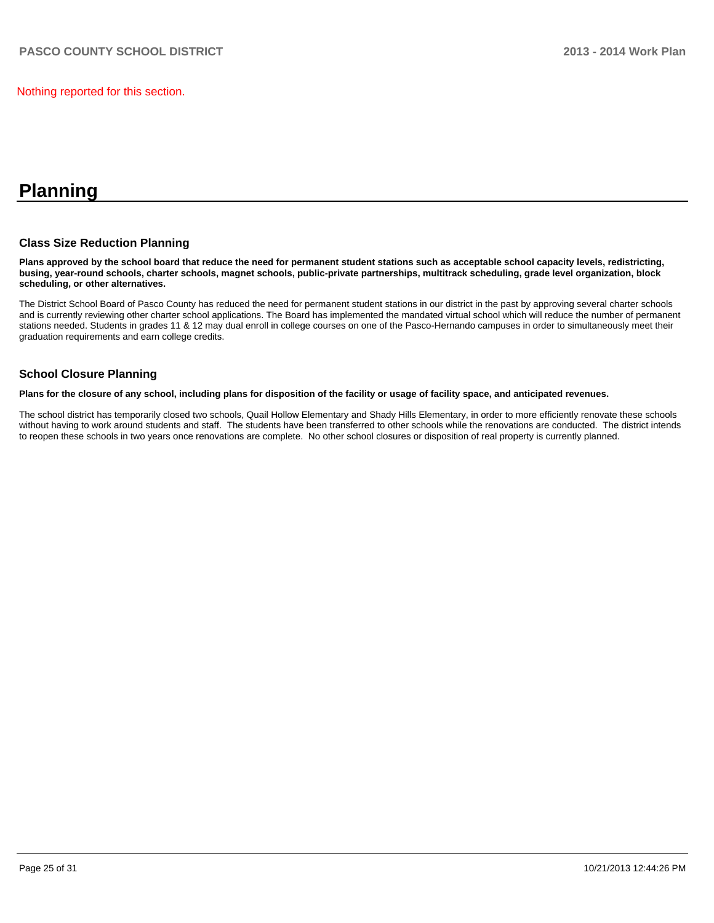Nothing reported for this section.

# **Planning**

#### **Class Size Reduction Planning**

**Plans approved by the school board that reduce the need for permanent student stations such as acceptable school capacity levels, redistricting, busing, year-round schools, charter schools, magnet schools, public-private partnerships, multitrack scheduling, grade level organization, block scheduling, or other alternatives.**

The District School Board of Pasco County has reduced the need for permanent student stations in our district in the past by approving several charter schools and is currently reviewing other charter school applications. The Board has implemented the mandated virtual school which will reduce the number of permanent stations needed. Students in grades 11 & 12 may dual enroll in college courses on one of the Pasco-Hernando campuses in order to simultaneously meet their graduation requirements and earn college credits.

#### **School Closure Planning**

**Plans for the closure of any school, including plans for disposition of the facility or usage of facility space, and anticipated revenues.**

The school district has temporarily closed two schools, Quail Hollow Elementary and Shady Hills Elementary, in order to more efficiently renovate these schools without having to work around students and staff. The students have been transferred to other schools while the renovations are conducted. The district intends to reopen these schools in two years once renovations are complete. No other school closures or disposition of real property is currently planned.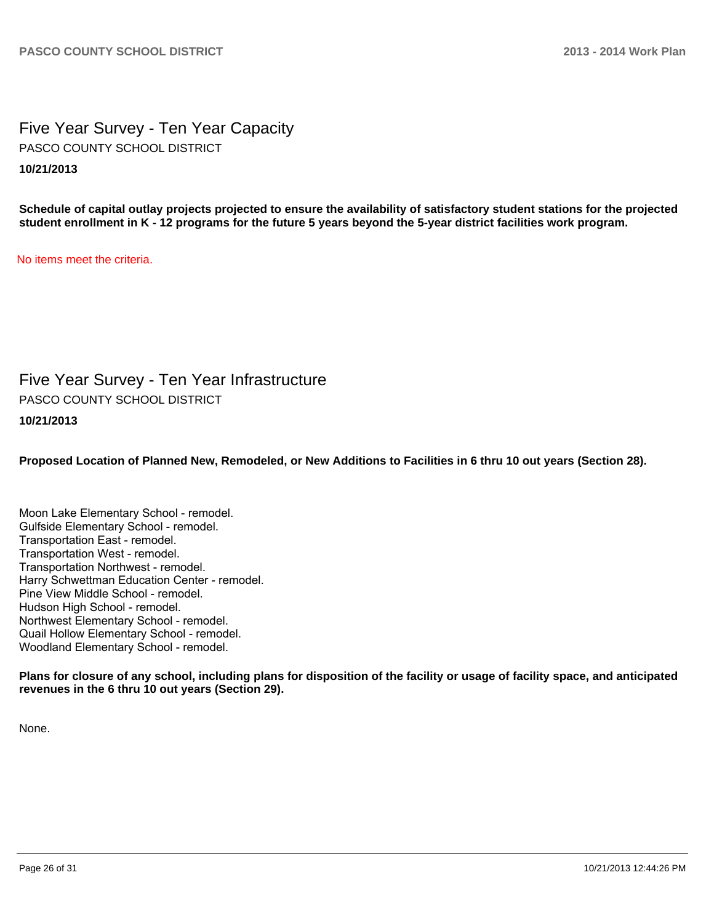Five Year Survey - Ten Year Capacity **10/21/2013** PASCO COUNTY SCHOOL DISTRICT

**Schedule of capital outlay projects projected to ensure the availability of satisfactory student stations for the projected student enrollment in K - 12 programs for the future 5 years beyond the 5-year district facilities work program.**

No items meet the criteria.

Five Year Survey - Ten Year Infrastructure PASCO COUNTY SCHOOL DISTRICT

**10/21/2013**

**Proposed Location of Planned New, Remodeled, or New Additions to Facilities in 6 thru 10 out years (Section 28).**

Moon Lake Elementary School - remodel. Gulfside Elementary School - remodel. Transportation East - remodel. Transportation West - remodel. Transportation Northwest - remodel. Harry Schwettman Education Center - remodel. Pine View Middle School - remodel. Hudson High School - remodel. Northwest Elementary School - remodel. Quail Hollow Elementary School - remodel. Woodland Elementary School - remodel.

**Plans for closure of any school, including plans for disposition of the facility or usage of facility space, and anticipated revenues in the 6 thru 10 out years (Section 29).**

None.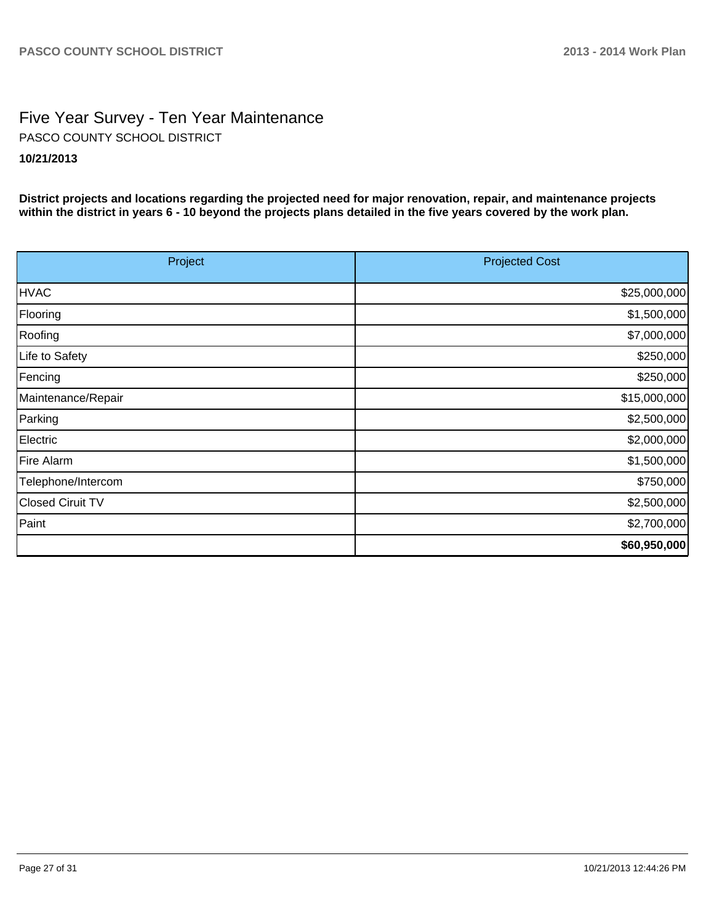# Five Year Survey - Ten Year Maintenance **10/21/2013** PASCO COUNTY SCHOOL DISTRICT

**District projects and locations regarding the projected need for major renovation, repair, and maintenance projects within the district in years 6 - 10 beyond the projects plans detailed in the five years covered by the work plan.**

| Project            | <b>Projected Cost</b> |
|--------------------|-----------------------|
| <b>HVAC</b>        | \$25,000,000          |
| Flooring           | \$1,500,000           |
| Roofing            | \$7,000,000           |
| Life to Safety     | \$250,000             |
| Fencing            | \$250,000             |
| Maintenance/Repair | \$15,000,000          |
| Parking            | \$2,500,000           |
| Electric           | \$2,000,000           |
| Fire Alarm         | \$1,500,000           |
| Telephone/Intercom | \$750,000             |
| Closed Ciruit TV   | \$2,500,000           |
| Paint              | \$2,700,000           |
|                    | \$60,950,000          |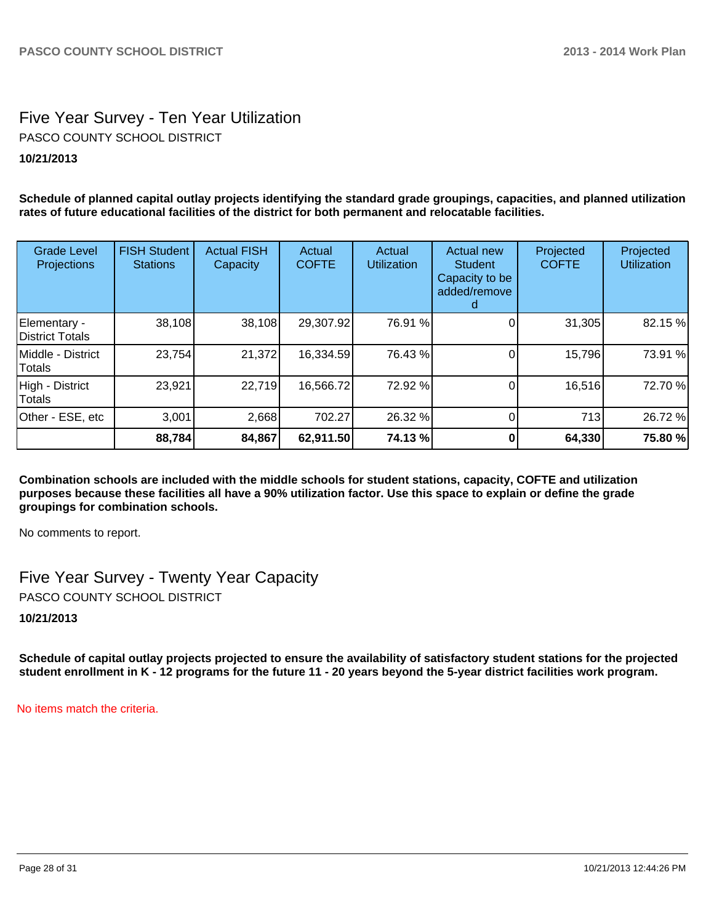# Five Year Survey - Ten Year Utilization **10/21/2013** PASCO COUNTY SCHOOL DISTRICT

**Schedule of planned capital outlay projects identifying the standard grade groupings, capacities, and planned utilization rates of future educational facilities of the district for both permanent and relocatable facilities.**

| <b>Grade Level</b><br><b>Projections</b> | <b>FISH Student</b><br><b>Stations</b> | <b>Actual FISH</b><br>Capacity | Actual<br><b>COFTE</b> | Actual<br><b>Utilization</b> | <b>Actual new</b><br><b>Student</b><br>Capacity to be<br>added/remove<br>d | Projected<br><b>COFTE</b> | Projected<br><b>Utilization</b> |
|------------------------------------------|----------------------------------------|--------------------------------|------------------------|------------------------------|----------------------------------------------------------------------------|---------------------------|---------------------------------|
| Elementary -<br><b>District Totals</b>   | 38,108                                 | 38,108                         | 29,307.92              | 76.91 %                      |                                                                            | 31,305                    | 82.15 %                         |
| Middle - District<br>Totals              | 23,754                                 | 21,372                         | 16,334.59              | 76.43 %                      |                                                                            | 15,796                    | 73.91 %                         |
| High - District<br><b>Totals</b>         | 23,921                                 | 22,719                         | 16,566.72              | 72.92 %                      |                                                                            | 16,516                    | 72.70 %                         |
| Other - ESE, etc                         | 3,001                                  | 2,668                          | 702.27                 | 26.32 %                      |                                                                            | 713                       | 26.72 %                         |
|                                          | 88,784                                 | 84,867                         | 62,911.50              | 74.13 %                      |                                                                            | 64,330                    | 75.80 %                         |

**Combination schools are included with the middle schools for student stations, capacity, COFTE and utilization purposes because these facilities all have a 90% utilization factor. Use this space to explain or define the grade groupings for combination schools.**

No comments to report.

Five Year Survey - Twenty Year Capacity PASCO COUNTY SCHOOL DISTRICT

**10/21/2013**

**Schedule of capital outlay projects projected to ensure the availability of satisfactory student stations for the projected student enrollment in K - 12 programs for the future 11 - 20 years beyond the 5-year district facilities work program.**

No items match the criteria.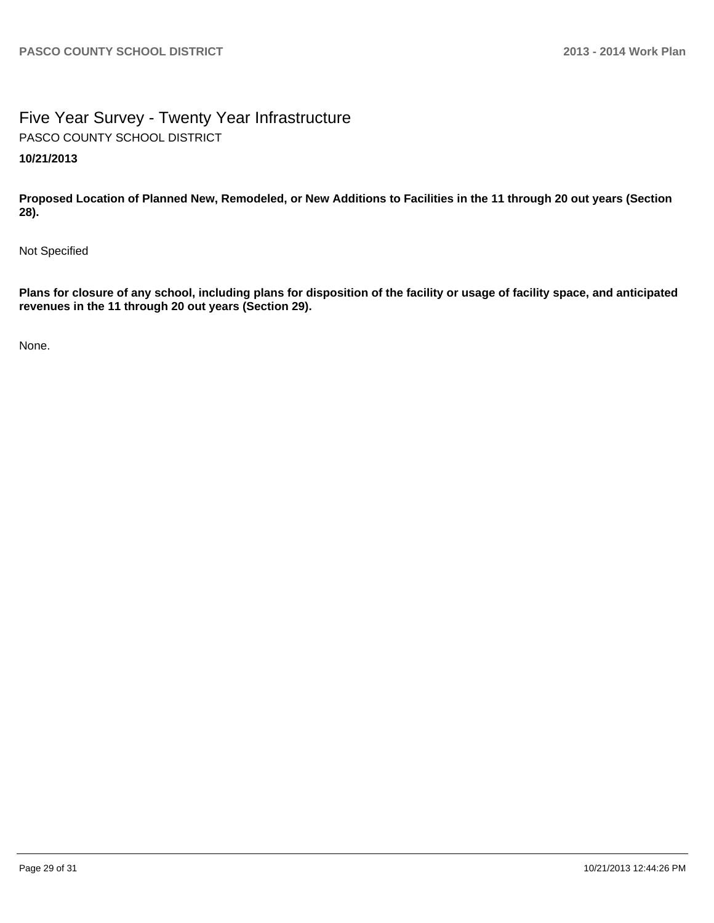# Five Year Survey - Twenty Year Infrastructure **10/21/2013** PASCO COUNTY SCHOOL DISTRICT

**Proposed Location of Planned New, Remodeled, or New Additions to Facilities in the 11 through 20 out years (Section 28).**

Not Specified

**Plans for closure of any school, including plans for disposition of the facility or usage of facility space, and anticipated revenues in the 11 through 20 out years (Section 29).**

None.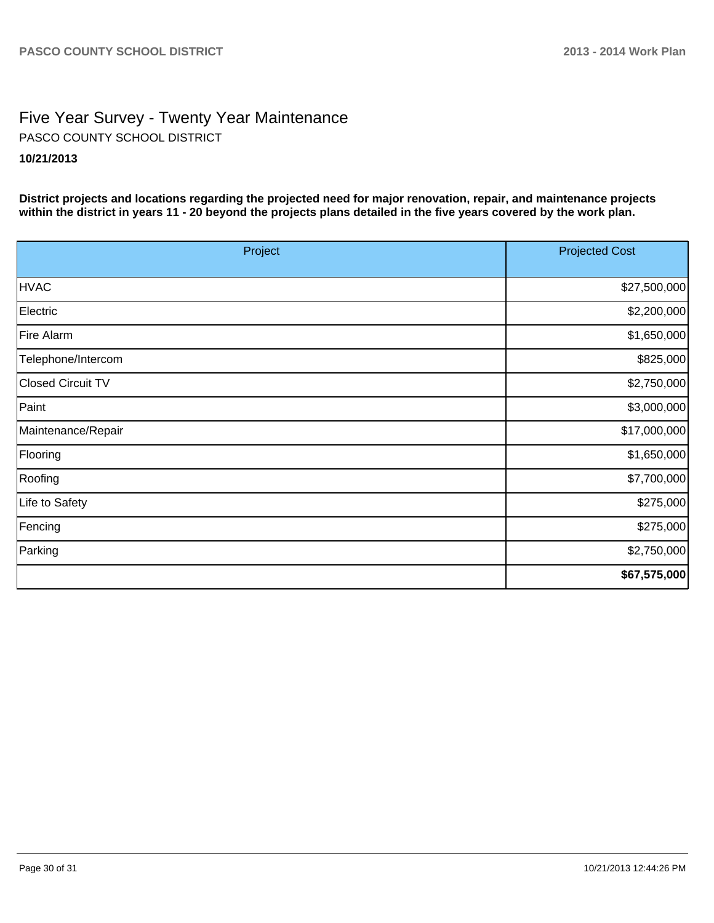# Five Year Survey - Twenty Year Maintenance **10/21/2013** PASCO COUNTY SCHOOL DISTRICT

**District projects and locations regarding the projected need for major renovation, repair, and maintenance projects within the district in years 11 - 20 beyond the projects plans detailed in the five years covered by the work plan.**

| Project                  | <b>Projected Cost</b> |
|--------------------------|-----------------------|
| <b>HVAC</b>              | \$27,500,000          |
| Electric                 | \$2,200,000           |
| Fire Alarm               | \$1,650,000           |
| Telephone/Intercom       | \$825,000             |
| <b>Closed Circuit TV</b> | \$2,750,000           |
| Paint                    | \$3,000,000           |
| Maintenance/Repair       | \$17,000,000          |
| Flooring                 | \$1,650,000           |
| Roofing                  | \$7,700,000           |
| Life to Safety           | \$275,000             |
| Fencing                  | \$275,000             |
| Parking                  | \$2,750,000           |
|                          | \$67,575,000          |